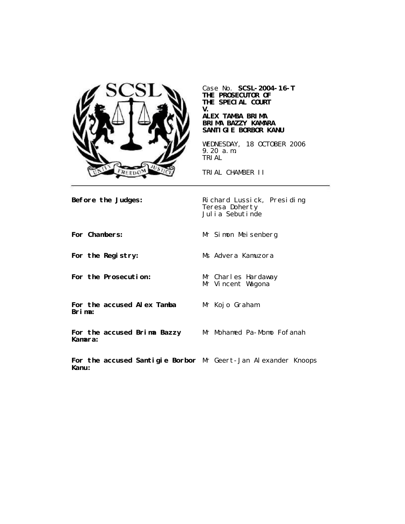

Case No. **SCSL-2004-16-T THE PROSECUTOR OF THE SPECIAL COURT V.**

#### **ALEX TAMBA BRIMA BRIMA BAZZY KAMARA SANTIGIE BORBOR KANU**

WEDNESDAY, 18 OCTOBER 2006 9.20 a.m. TRIAL

TRIAL CHAMBER II

**Before the Judges:** Richard Lussick, Presiding Teresa Doherty Julia Sebutinde

**For Chambers:** Mr Simon Meisenberg **For the Registry:** Ms Advera Kamuzora **For the Prosecution:** Mr Charles Hardaway Mr Vincent Wagona **For the accused Alex Tamba Brima:** Mr Kojo Graham **For the accused Brima Bazzy Kamara:** Mr Mohamed Pa-Momo Fofanah

**For the accused Santigie Borbor** Mr Geert-Jan Alexander Knoops**Kanu:**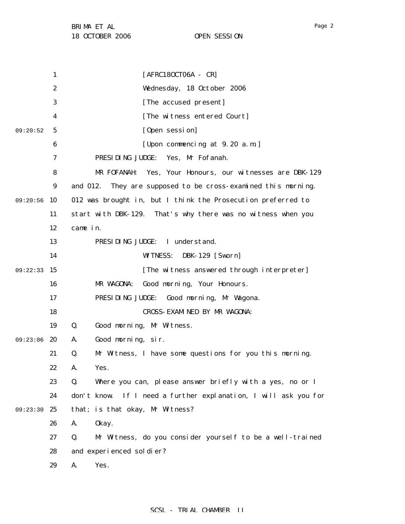1 2 3 4 5 6 7 8 9 09:20:56 10 11 12 13 14 09:22:33 15 16 17 18 19 09:23:06 20 21 22 23 24 09:23:30 25 26 27 28 29 09:20:52 [AFRC18OCT06A - CR] Wednesday, 18 October 2006 [The accused present] [The witness entered Court] [Open session] [Upon commencing at 9.20 a.m.] PRESIDING JUDGE: Yes, Mr Fofanah. MR FOFANAH: Yes, Your Honours, our witnesses are DBK-129 and 012. They are supposed to be cross-examined this morning. 012 was brought in, but I think the Prosecution preferred to start with DBK-129. That's why there was no witness when you came in. PRESIDING JUDGE: I understand. WITNESS: DBK-129 [Sworn] [The witness answered through interpreter] MR WAGONA: Good morning, Your Honours. PRESIDING JUDGE: Good morning, Mr Wagona. CROSS-EXAMINED BY MR WAGONA: Q. Good morning, Mr Witness. A. Good morning, sir. Q. Mr Witness, I have some questions for you this morning. A. Yes. Q. Where you can, please answer briefly with a yes, no or I don't know. If I need a further explanation, I will ask you for that; is that okay, Mr Witness? A. Okay. Q. Mr Witness, do you consider yourself to be a well-trained and experienced soldier? A. Yes.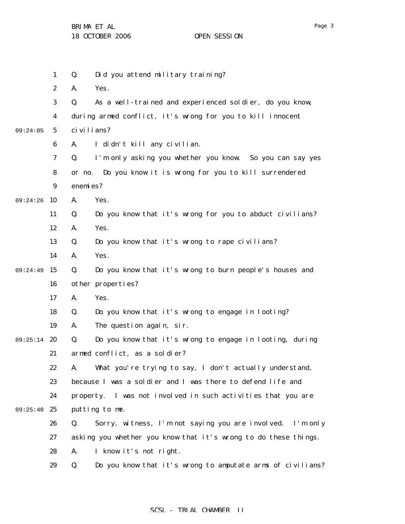1 2 3 4 5 6 7 8 9 09:24:26 10 11 12 13 14 09:24:49 15 16 17 18 19 09:25:14 20 21 22 23 24 09:25:40 25 26 27 28 29 09:24:05 Q. Did you attend military training? A. Yes. Q. As a well-trained and experienced soldier, do you know, during armed conflict, it's wrong for you to kill innocent civilians? A. I didn't kill any civilian. Q. I'm only asking you whether you know. So you can say yes or no. Do you know it is wrong for you to kill surrendered enemies? A. Yes. Q. Do you know that it's wrong for you to abduct civilians? A. Yes. Q. Do you know that it's wrong to rape civilians? A. Yes. Q. Do you know that it's wrong to burn people's houses and other properties? A. Yes. Q. Do you know that it's wrong to engage in looting? A. The question again, sir. Q. Do you know that it's wrong to engage in looting, during armed conflict, as a soldier? A. What you're trying to say, I don't actually understand, because I was a soldier and I was there to defend life and property. I was not involved in such activities that you are putting to me. Q. Sorry, witness, I'm not saying you are involved. I'm only asking you whether you know that it's wrong to do these things. A. I know it's not right. Q. Do you know that it's wrong to amputate arms of civilians?

### SCSL - TRIAL CHAMBER II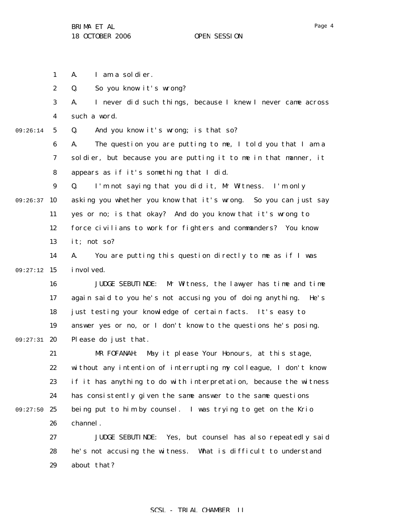1 A. I am a soldier.

2 Q. So you know it's wrong?

3 4 A. I never did such things, because I knew I never came across such a word.

5 09:26:14 Q. And you know it's wrong; is that so?

> 6 7 8 A. The question you are putting to me, I told you that I am a soldier, but because you are putting it to me in that manner, it appears as if it's something that I did.

9 09:26:37 10 11 12 13 Q. I'm not saying that you did it, Mr Witness. I'm only asking you whether you know that it's wrong. So you can just say yes or no; is that okay? And do you know that it's wrong to force civilians to work for fighters and commanders? You know it; not so?

14 09:27:12 15 A. You are putting this question directly to me as if I was i nvolved.

16 17 18 19 09:27:31 20 JUDGE SEBUTINDE: Mr Witness, the lawyer has time and time again said to you he's not accusing you of doing anything. He's just testing your knowledge of certain facts. It's easy to answer yes or no, or I don't know to the questions he's posing. Please do just that.

21 22 23 24 09:27:50 25 26 MR FOFANAH: May it please Your Honours, at this stage, without any intention of interrupting my colleague, I don't know if it has anything to do with interpretation, because the witness has consistently given the same answer to the same questions being put to him by counsel. I was trying to get on the Krio channel.

27 28 29 JUDGE SEBUTINDE: Yes, but counsel has also repeatedly said he's not accusing the witness. What is difficult to understand about that?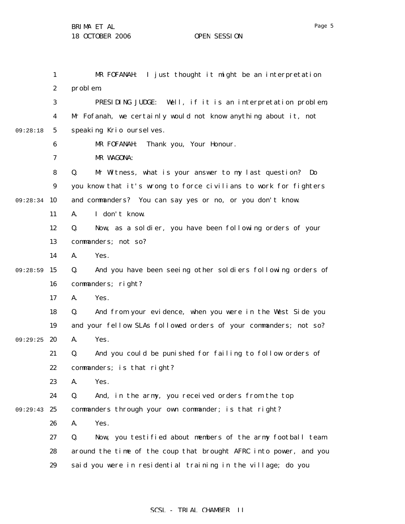1 2 3 4 5 6 7 8 9 09:28:34 10 11 12 13 14 09:28:59 15 16 17 18 19 09:29:25 20 21 22 23 24 09:29:43 25 26 27 28 29 09:28:18 MR FOFANAH: I just thought it might be an interpretation problem. PRESIDING JUDGE: Well, if it is an interpretation problem, Mr Fofanah, we certainly would not know anything about it, not speaking Krio ourselves. MR FOFANAH: Thank you, Your Honour. MR WAGONA: Q. Mr Witness, what is your answer to my last question? Do you know that it's wrong to force civilians to work for fighters and commanders? You can say yes or no, or you don't know. A. I don't know. Q. Now, as a soldier, you have been following orders of your commanders; not so? A. Yes. Q. And you have been seeing other soldiers following orders of commanders; right? A. Yes. Q. And from your evidence, when you were in the West Side you and your fellow SLAs followed orders of your commanders; not so? A. Yes. Q. And you could be punished for failing to follow orders of commanders; is that right? A. Yes. Q. And, in the army, you received orders from the top commanders through your own commander; is that right? A. Yes. Q. Now, you testified about members of the army football team around the time of the coup that brought AFRC into power, and you said you were in residential training in the village; do you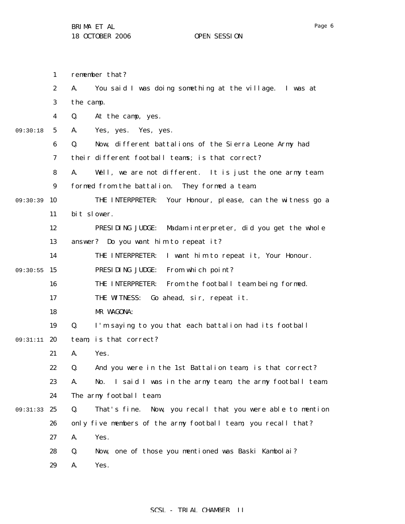1 2 3 4 5 6 7 8 9 09:30:39 10 11 12 13 14 09:30:55 15 16 17 18 19 09:31:11 20 21 22 23 24 09:31:33 25 26 27 28 29 09:30:18 remember that? A. You said I was doing something at the village. I was at the camp. Q. At the camp, yes. A. Yes, yes. Yes, yes. Q. Now, different battalions of the Sierra Leone Army had their different football teams; is that correct? A. Well, we are not different. It is just the one army team formed from the battalion. They formed a team. THE INTERPRETER: Your Honour, please, can the witness go a bit slower. PRESIDING JUDGE: Madam interpreter, did you get the whole answer? Do you want him to repeat it? THE INTERPRETER: I want him to repeat it, Your Honour. PRESIDING JUDGE: From which point? THE INTERPRETER: From the football team being formed. THE WITNESS: Go ahead, sir, repeat it. MR WAGONA: Q. I'm saying to you that each battalion had its football team; is that correct? A. Yes. Q. And you were in the 1st Battalion team; is that correct? A. No. I said I was in the army team, the army football team. The army football team. Q. That's fine. Now, you recall that you were able to mention only five members of the army football team; you recall that? A. Yes. Q. Now, one of those you mentioned was Baski Kambolai? A. Yes.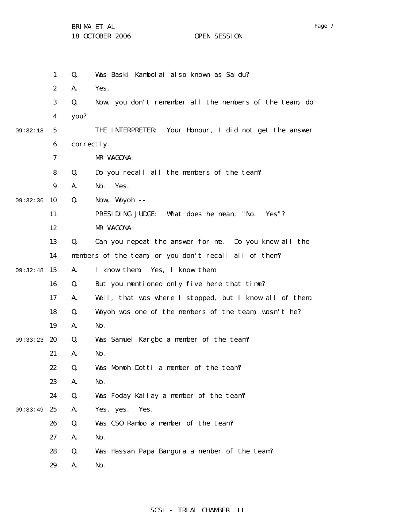BRIMA ET AL

18 OCTOBER 2006 OPEN SESSION

|          | $\mathbf{1}$     | Q.         | Was Baski Kambolai also known as Saidu?                   |
|----------|------------------|------------|-----------------------------------------------------------|
|          | $\boldsymbol{2}$ | A.         | Yes.                                                      |
|          | $\boldsymbol{3}$ | Q.         | Now, you don't remember all the members of the team, do   |
|          | 4                | you?       |                                                           |
| 09:32:18 | $\mathbf{5}$     |            | Your Honour, I did not get the answer<br>THE INTERPRETER: |
|          | 6                | correctly. |                                                           |
|          | 7                |            | MR WAGONA:                                                |
|          | 8                | Q.         | Do you recall all the members of the team?                |
|          | 9                | A.         | Yes.<br>No.                                               |
| 09:32:36 | 10               | Q.         | Now, Woyoh --                                             |
|          | 11               |            | PRESIDING JUDGE:<br>What does he mean, "No.<br>Yes''?     |
|          | 12               |            | MR WAGONA:                                                |
|          | 13               | Q.         | Can you repeat the answer for me. Do you know all the     |
|          | 14               |            | members of the team, or you don't recall all of them?     |
| 09:32:48 | 15               | A.         | I know them. Yes, I know them.                            |
|          | 16               | Q.         | But you mentioned only five here that time?               |
|          | 17               | A.         | Well, that was where I stopped, but I know all of them.   |
|          | 18               | Q.         | Woyoh was one of the members of the team, wasn't he?      |
|          | 19               | A.         | No.                                                       |
| 09:33:23 | 20               | Q.         | Was Samuel Kargbo a member of the team?                   |
|          | 21               | A.         | No.                                                       |
|          | 22               | Q.         | Was Momoh Dotti a member of the team?                     |
|          | 23               | A.         | No.                                                       |
|          | 24               | Q.         | Was Foday Kallay a member of the team?                    |
| 09:33:49 | 25               | A.         | Yes, yes. Yes.                                            |
|          | 26               | Q.         | Was CSO Rambo a member of the team?                       |
|          | 27               | A.         | No.                                                       |
|          | 28               | Q.         | Was Hassan Papa Bangura a member of the team?             |
|          | 29               | A.         | No.                                                       |
|          |                  |            |                                                           |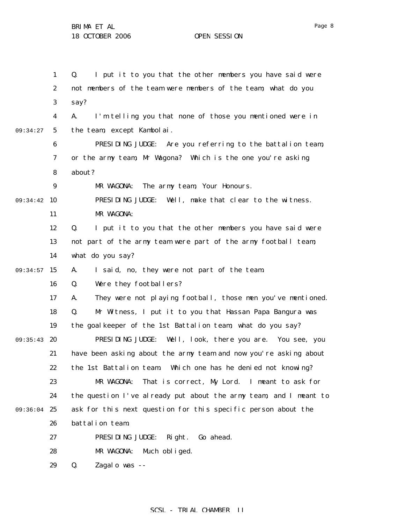1 2 3 4 5 6 7 8 9 09:34:42 10 11 12 13 14 09:34:57 15 16 17 18 19 09:35:43 20 21 22 23 24 09:36:04 25 26 27 28 29 09:34:27 Q. I put it to you that the other members you have said were not members of the team were members of the team; what do you say? A. I'm telling you that none of those you mentioned were in the team, except Kambolai. PRESIDING JUDGE: Are you referring to the battalion team, or the army team, Mr Wagona? Which is the one you're asking about? MR WAGONA: The army team, Your Honours. PRESIDING JUDGE: Well, make that clear to the witness. MR WAGONA: Q. I put it to you that the other members you have said were not part of the army team were part of the army football team; what do you say? A. I said, no, they were not part of the team. Q. Were they footballers? A. They were not playing football, those men you've mentioned. Q. Mr Witness, I put it to you that Hassan Papa Bangura was the goalkeeper of the 1st Battalion team; what do you say? PRESIDING JUDGE: Well, look, there you are. You see, you have been asking about the army team and now you're asking about the 1st Battalion team. Which one has he denied not knowing? MR WAGONA: That is correct, My Lord. I meant to ask for the question I've already put about the army team, and I meant to ask for this next question for this specific person about the battalion team. PRESIDING JUDGE: Right. Go ahead. MR WAGONA: Much obliged. Q. Zagalo was --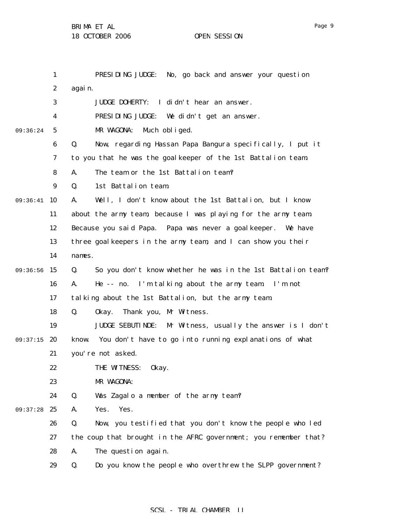|          | $\mathbf{1}$     | PRESIDING JUDGE:<br>No, go back and answer your question             |
|----------|------------------|----------------------------------------------------------------------|
|          | $\boldsymbol{2}$ | again.                                                               |
|          | 3                | JUDGE DOHERTY: I didn't hear an answer.                              |
|          | 4                | PRESIDING JUDGE: We didn't get an answer.                            |
| 09:36:24 | 5                | MR WAGONA:<br>Much obliged.                                          |
|          | 6                | Now, regarding Hassan Papa Bangura specifically, I put it<br>Q.      |
|          | 7                | to you that he was the goalkeeper of the 1st Battalion team.         |
|          | 8                | The team or the 1st Battalion team?<br>A.                            |
|          | 9                | 1st Battalion team.<br>Q.                                            |
| 09:36:41 | 10               | Well, I don't know about the 1st Battalion, but I know<br>A.         |
|          | 11               | about the army team, because I was playing for the army team.        |
|          | 12               | Because you said Papa. Papa was never a goal keeper. We have         |
|          | 13               | three goalkeepers in the army team, and I can show you their         |
|          | 14               | names.                                                               |
| 09:36:56 | 15               | Q.<br>So you don't know whether he was in the 1st Battalion team?    |
|          | 16               | A.<br>He -- no. I'm talking about the army team. I'm not             |
|          | 17               | talking about the 1st Battalion, but the army team.                  |
|          | 18               | Q.<br>0kay.<br>Thank you, Mr Witness.                                |
|          | 19               | <b>JUDGE SEBUTINDE:</b><br>Mr Witness, usually the answer is I don't |
| 09:37:15 | 20               | know. You don't have to go into running explanations of what         |
|          | 21               | you're not asked.                                                    |
|          | 22               | THE WITNESS: 0kay.                                                   |
|          | 23               | MR WAGONA:                                                           |
|          | 24               | Q.<br>Was Zagalo a member of the army team?                          |
| 09:37:28 | 25               | A.<br>Yes.<br>Yes.                                                   |
|          | 26               | Q.<br>Now, you testified that you don't know the people who led      |
|          | 27               | the coup that brought in the AFRC government; you remember that?     |
|          | 28               | A.<br>The question again.                                            |
|          | 29               | Q.<br>Do you know the people who overthrew the SLPP government?      |

# SCSL - TRIAL CHAMBER II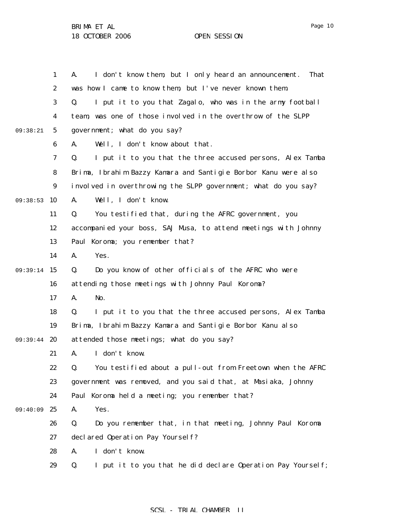1 2 3 4 5 6 7 8 9 09:38:53 10 11 12 13 14 09:39:14 15 16 17 18 19 09:39:44 20 21 22 23 24 25 26 27 28 29 09:38:21 09:40:09 A. I don't know them, but I only heard an announcement. That was how I came to know them, but I've never known them. Q. I put it to you that Zagalo, who was in the army football team, was one of those involved in the overthrow of the SLPP government; what do you say? A. Well, I don't know about that. Q. I put it to you that the three accused persons, Alex Tamba Brima, Ibrahim Bazzy Kamara and Santigie Borbor Kanu were also involved in overthrowing the SLPP government; what do you say? A. Well, I don't know. Q. You testified that, during the AFRC government, you accompanied your boss, SAJ Musa, to attend meetings with Johnny Paul Koroma; you remember that? A. Yes. Q. Do you know of other officials of the AFRC who were attending those meetings with Johnny Paul Koroma? A. No. Q. I put it to you that the three accused persons, Alex Tamba Brima, Ibrahim Bazzy Kamara and Santigie Borbor Kanu also attended those meetings; what do you say? A. I don't know. Q. You testified about a pull-out from Freetown when the AFRC government was removed, and you said that, at Masiaka, Johnny Paul Koroma held a meeting; you remember that? A. Yes. Q. Do you remember that, in that meeting, Johnny Paul Koroma declared Operation Pay Yourself? A. I don't know. Q. I put it to you that he did declare Operation Pay Yourself;

#### SCSL - TRIAL CHAMBER II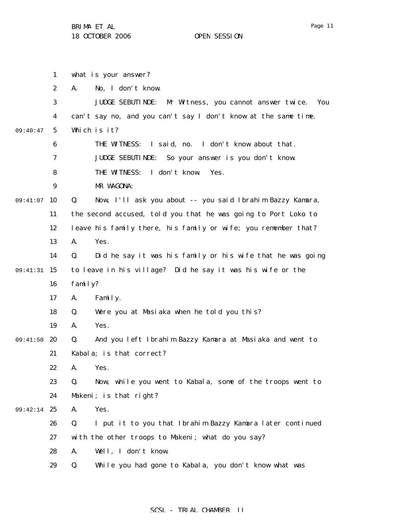|          | 1                | what is your answer?   |                                                                     |
|----------|------------------|------------------------|---------------------------------------------------------------------|
|          | $\boldsymbol{2}$ | A.                     | No, I don't know.                                                   |
|          | 3                |                        | <b>JUDGE SEBUTINDE:</b><br>Mr Witness, you cannot answer twice. You |
|          | 4                |                        | can't say no, and you can't say I don't know at the same time.      |
| 09:40:47 | $\sqrt{5}$       | Which is it?           |                                                                     |
|          | 6                |                        | I said, no. I don't know about that.<br>THE WITNESS:                |
|          | 7                |                        | <b>JUDGE SEBUTINDE:</b><br>So your answer is you don't know.        |
|          | 8                |                        | THE WITNESS:<br>I don't know.<br>Yes.                               |
|          | $\boldsymbol{9}$ | MR WAGONA:             |                                                                     |
| 09:41:07 | 10               | Q.                     | Now, I'll ask you about -- you said Ibrahim Bazzy Kamara,           |
|          | 11               |                        | the second accused, told you that he was going to Port Loko to      |
|          | 12               |                        | leave his family there, his family or wife; you remember that?      |
|          | 13               | Yes.<br>A.             |                                                                     |
|          | 14               | Q.                     | Did he say it was his family or his wife that he was going          |
| 09:41:31 | 15               |                        | to leave in his village? Did he say it was his wife or the          |
|          | 16               | family?                |                                                                     |
|          | 17               | Family.<br>A.          |                                                                     |
|          | 18               | Q.                     | Were you at Masiaka when he told you this?                          |
|          | 19               | Yes.<br>A.             |                                                                     |
| 09:41:50 | 20               | Q.                     | And you left Ibrahim Bazzy Kamara at Masiaka and went to            |
|          | 21               |                        | Kabala; is that correct?                                            |
|          | 22               | A.<br>Yes.             |                                                                     |
|          | 23               | Q.                     | Now, while you went to Kabala, some of the troops went to           |
|          | 24               | Makeni; is that right? |                                                                     |
| 09:42:14 | 25               | Yes.<br>A.             |                                                                     |
|          | 26               | Q.                     | I put it to you that Ibrahim Bazzy Kamara later continued           |
|          | 27               |                        | with the other troops to Makeni; what do you say?                   |
|          | 28               | A.                     | Well, I don't know.                                                 |
|          | 29               | Q.                     | While you had gone to Kabala, you don't know what was               |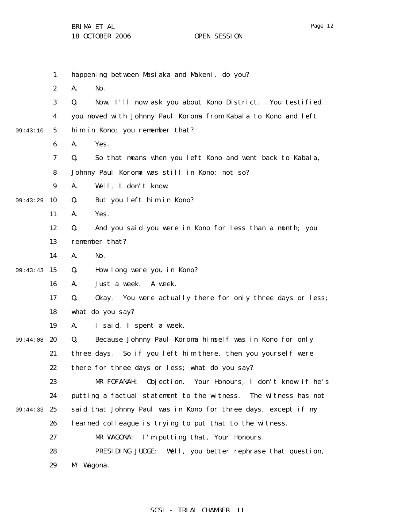|          | $\mathbf{1}$     | happening between Masiaka and Makeni, do you?                    |
|----------|------------------|------------------------------------------------------------------|
|          | $\boldsymbol{2}$ | No.<br>A.                                                        |
|          | 3                | Now, I'll now ask you about Kono District. You testified<br>Q.   |
|          | $\boldsymbol{4}$ | you moved with Johnny Paul Koroma from Kabala to Kono and left   |
| 09:43:10 | $5\overline{ }$  | him in Kono; you remember that?                                  |
|          | 6                | A.<br>Yes.                                                       |
|          | 7                | So that means when you left Kono and went back to Kabala,<br>Q.  |
|          | 8                | Johnny Paul Koroma was still in Kono; not so?                    |
|          | $\boldsymbol{9}$ | Well, I don't know.<br>A.                                        |
| 09:43:29 | 10               | Q.<br>But you left him in Kono?                                  |
|          | 11               | Yes.<br>A.                                                       |
|          | 12               | And you said you were in Kono for less than a month; you<br>Q.   |
|          | 13               | remember that?                                                   |
|          | 14               | A.<br>No.                                                        |
| 09:43:43 | 15               | How long were you in Kono?<br>Q.                                 |
|          | 16               | Just a week.<br>A week.<br>A.                                    |
|          | 17               | Q.<br>Okay. You were actually there for only three days or less; |
|          | 18               | what do you say?                                                 |
|          | 19               | A.<br>I said, I spent a week.                                    |
| 09:44:08 | 20               | Because Johnny Paul Koroma himself was in Kono for only<br>Q.    |
|          | 21               | three days. So if you left him there, then you yourself were     |
|          | 22               | there for three days or less; what do you say?                   |
|          | 23               | Objection. Your Honours, I don't know if he's<br>MR FOFANAH:     |
|          | 24               | putting a factual statement to the witness. The witness has not  |
| 09:44:33 | 25               | said that Johnny Paul was in Kono for three days, except if my   |
|          | 26               | learned colleague is trying to put that to the witness.          |
|          | 27               | I'm putting that, Your Honours.<br>MR WAGONA:                    |
|          | 28               | PRESIDING JUDGE:<br>Well, you better rephrase that question,     |
|          | 29               | Mr Wagona.                                                       |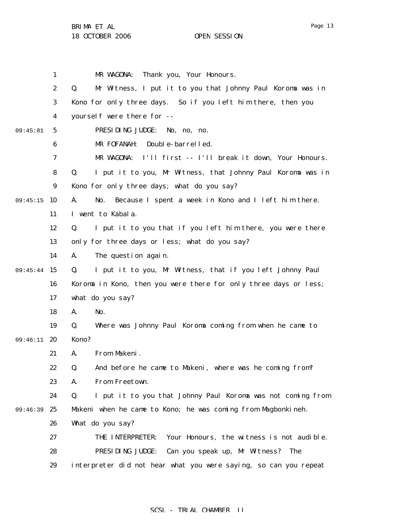BRIMA ET AL

18 OCTOBER 2006 OPEN SESSION

|          | 1                | MR WAGONA:<br>Thank you, Your Honours.                            |
|----------|------------------|-------------------------------------------------------------------|
|          | $\boldsymbol{2}$ | Mr Witness, I put it to you that Johnny Paul Koroma was in<br>Q.  |
|          | 3                | Kono for only three days. So if you left him there, then you      |
|          | 4                | yourself were there for --                                        |
| 09:45:01 | 5                | PRESIDING JUDGE:<br>No, no, no.                                   |
|          | 6                | Double-barrelled.<br>MR FOFANAH:                                  |
|          | 7                | MR WAGONA:<br>I'll first -- I'll break it down, Your Honours.     |
|          | 8                | I put it to you, Mr Witness, that Johnny Paul Koroma was in<br>Q. |
|          | 9                | Kono for only three days; what do you say?                        |
| 09:45:15 | 10               | Because I spent a week in Kono and I left him there.<br>A.<br>No. |
|          | 11               | I went to Kabala.                                                 |
|          | 12               | I put it to you that if you left him there, you were there<br>Q.  |
|          | 13               | only for three days or less; what do you say?                     |
|          | 14               | The question again.<br>A.                                         |
| 09:45:44 | 15               | I put it to you, Mr Witness, that if you left Johnny Paul<br>Q.   |
|          | 16               | Koroma in Kono, then you were there for only three days or less;  |
|          | 17               | what do you say?                                                  |
|          | 18               | No.<br>A.                                                         |
|          | 19               | Where was Johnny Paul Koroma coming from when he came to<br>Q.    |
| 09:46:11 | 20               | Kono?                                                             |
|          | 21               | From Makeni.<br>A.                                                |
|          | 22               | And before he came to Makeni, where was he coming from?<br>Q.     |
|          | 23               | From Freetown.<br>A.                                              |
|          | 24               | I put it to you that Johnny Paul Koroma was not coming from<br>Q. |
| 09:46:39 | 25               | Makeni when he came to Kono; he was coming from Magbonkineh.      |
|          | 26               | What do you say?                                                  |
|          | 27               | THE INTERPRETER:<br>Your Honours, the witness is not audible.     |
|          | 28               | PRESIDING JUDGE:<br>Can you speak up, Mr Witness? The             |
|          | 29               | interpreter did not hear what you were saying, so can you repeat  |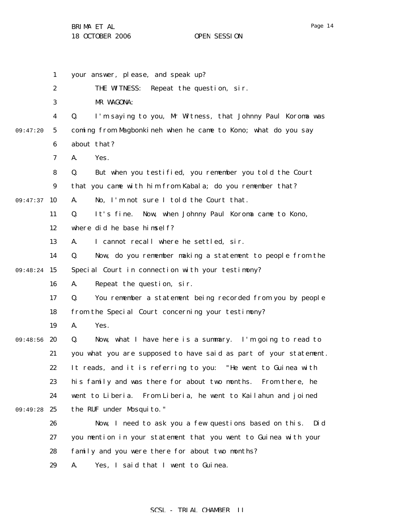1 2 3 4 5 6 7 8 9 09:47:37 10 11 12 13 14 09:48:24 15 16 17 18 19 09:48:56 20 21 22 23 24 09:49:28 25 26 27 28 29 09:47:20 your answer, please, and speak up? THE WITNESS: Repeat the question, sir. MR WAGONA: Q. I'm saying to you, Mr Witness, that Johnny Paul Koroma was coming from Magbonkineh when he came to Kono; what do you say about that? A. Yes. Q. But when you testified, you remember you told the Court that you came with him from Kabala; do you remember that? A. No, I'm not sure I told the Court that. Q. It's fine. Now, when Johnny Paul Koroma came to Kono, where did he base himself? A. I cannot recall where he settled, sir. Q. Now, do you remember making a statement to people from the Special Court in connection with your testimony? A. Repeat the question, sir. Q. You remember a statement being recorded from you by people from the Special Court concerning your testimony? A. Yes. Q. Now, what I have here is a summary. I'm going to read to you what you are supposed to have said as part of your statement. It reads, and it is referring to you: "He went to Guinea with his family and was there for about two months. From there, he went to Liberia. From Liberia, he went to Kailahun and joined the RUF under Mosquito." Now, I need to ask you a few questions based on this. Did you mention in your statement that you went to Guinea with your family and you were there for about two months? A. Yes, I said that I went to Guinea.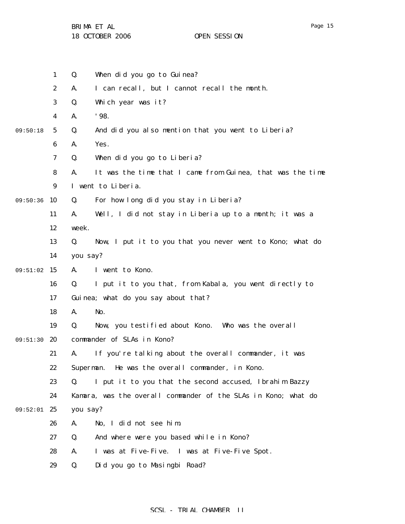BRIMA ET AL

18 OCTOBER 2006 OPEN SESSION

|          | $\mathbf{1}$     | When did you go to Guinea?<br>Q.                                 |
|----------|------------------|------------------------------------------------------------------|
|          | $\boldsymbol{2}$ | I can recall, but I cannot recall the month.<br>A.               |
|          | 3                | Q.<br>Which year was it?                                         |
|          | $\boldsymbol{4}$ | '98.<br>A.                                                       |
| 09:50:18 | 5                | And did you also mention that you went to Liberia?<br>Q.         |
|          | 6                | Yes.<br>A.                                                       |
|          | $\boldsymbol{7}$ | When did you go to Liberia?<br>Q.                                |
|          | 8                | It was the time that I came from Guinea, that was the time<br>A. |
|          | 9                | I went to Liberia.                                               |
| 09:50:36 | 10               | For how long did you stay in Liberia?<br>Q.                      |
|          | 11               | Well, I did not stay in Liberia up to a month; it was a<br>A.    |
|          | 12               | week.                                                            |
|          | 13               | Now, I put it to you that you never went to Kono; what do<br>Q.  |
|          | 14               | you say?                                                         |
| 09:51:02 | 15               | I went to Kono.<br>A.                                            |
|          | 16               | I put it to you that, from Kabala, you went directly to<br>Q.    |
|          | 17               | Guinea; what do you say about that?                              |
|          | 18               | No.<br>A.                                                        |
|          | 19               | Now, you testified about Kono. Who was the overall<br>Q.         |
| 09:51:30 | 20               | commander of SLAs in Kono?                                       |
|          | 21               | If you're talking about the overall commander, it was<br>А.      |
|          | 22               | He was the overall commander, in Kono.<br>Superman.              |
|          | 23               | I put it to you that the second accused, Ibrahim Bazzy<br>Q.     |
|          | 24               | Kamara, was the overall commander of the SLAs in Kono; what do   |
| 09:52:01 | 25               | you say?                                                         |
|          | 26               | No, I did not see him.<br>A.                                     |
|          | 27               | And where were you based while in Kono?<br>Q.                    |
|          | 28               | I was at Five-Five. I was at Five-Five Spot.<br>A.               |
|          | 29               | Did you go to Masingbi Road?<br>Q.                               |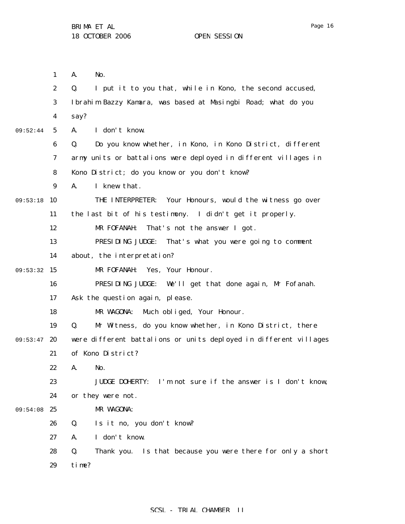A. No.

1

2 3 4 5 6 7 8 9 09:53:18 10 11 12 13 14 09:53:32 15 16 17 18 19 09:53:47 20 21 22 23 24 09:54:08 25 26 27 28 29 09:52:44 Q. I put it to you that, while in Kono, the second accused, Ibrahim Bazzy Kamara, was based at Masingbi Road; what do you say? A. I don't know. Q. Do you know whether, in Kono, in Kono District, different army units or battalions were deployed in different villages in Kono District; do you know or you don't know? A. I knew that. THE INTERPRETER: Your Honours, would the witness go over the last bit of his testimony. I didn't get it properly. MR FOFANAH: That's not the answer I got. PRESIDING JUDGE: That's what you were going to comment about, the interpretation? MR FOFANAH: Yes, Your Honour. PRESIDING JUDGE: We'll get that done again, Mr Fofanah. Ask the question again, please. MR WAGONA: Much obliged, Your Honour. Q. Mr Witness, do you know whether, in Kono District, there were different battalions or units deployed in different villages of Kono District? A. No. JUDGE DOHERTY: I'm not sure if the answer is I don't know, or they were not. MR WAGONA: Q. Is it no, you don't know? A. I don't know. Q. Thank you. Is that because you were there for only a short time?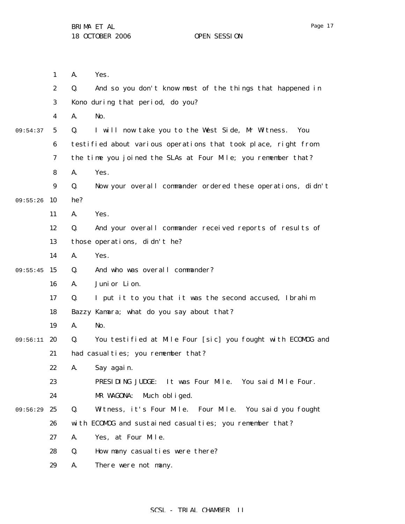1 2 3 4 5 6 7 8 9 09:55:26 10 11 12 13 14 09:55:45 15 16 17 18 19 09:56:11 20 21 22 23 24 09:56:29 25 26 27 28 29 09:54:37 A. Yes. Q. And so you don't know most of the things that happened in Kono during that period, do you? A. No. Q. I will now take you to the West Side, Mr Witness. You testified about various operations that took place, right from the time you joined the SLAs at Four Mile; you remember that? A. Yes. Q. Now your overall commander ordered these operations, didn't he? A. Yes. Q. And your overall commander received reports of results of those operations, didn't he? A. Yes. Q. And who was overall commander? A. Junior Lion. Q. I put it to you that it was the second accused, Ibrahim Bazzy Kamara; what do you say about that? A. No. Q. You testified at Mile Four [sic] you fought with ECOMOG and had casualties; you remember that? A. Say again. PRESIDING JUDGE: It was Four Mile. You said Mile Four. MR WAGONA: Much obliged. Q. Witness, it's Four Mile. Four Mile. You said you fought with ECOMOG and sustained casualties; you remember that? A. Yes, at Four Mile. Q. How many casualties were there? A. There were not many.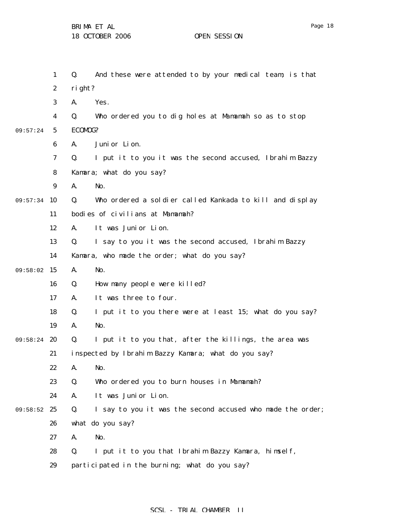1 2 3 4 5 6 7 8 9 09:57:34 10 11 12 13 14 09:58:02 15 16 17 18 19 09:58:24 20 21 22 23 24 09:58:52 25 26 27 28 29 09:57:24 Q. And these were attended to by your medical team; is that right? A. Yes. Q. Who ordered you to dig holes at Mamamah so as to stop ECOMOG? A. Junior Lion. Q. I put it to you it was the second accused, Ibrahim Bazzy Kamara; what do you say? A. No. Q. Who ordered a soldier called Kankada to kill and display bodies of civilians at Mamamah? A. It was Junior Lion. Q. I say to you it was the second accused, Ibrahim Bazzy Kamara, who made the order; what do you say? A. No. Q. How many people were killed? A. It was three to four. Q. I put it to you there were at least 15; what do you say? A. No. Q. I put it to you that, after the killings, the area was inspected by Ibrahim Bazzy Kamara; what do you say? A. No. Q. Who ordered you to burn houses in Mamamah? A. It was Junior Lion. Q. I say to you it was the second accused who made the order; what do you say? A. No. Q. I put it to you that Ibrahim Bazzy Kamara, himself, participated in the burning; what do you say?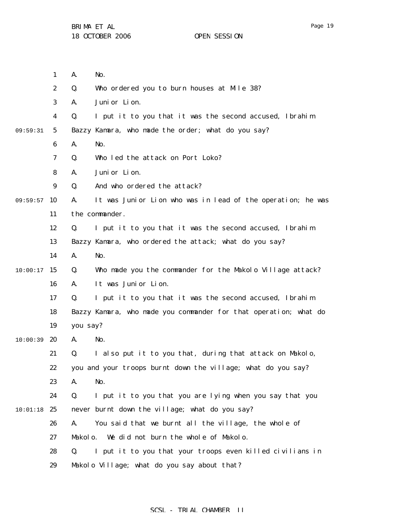1 2 3 4 5 6 7 8 9 09:59:57 10 11 12 13 14  $10:00:17$  15 16 17 18 19  $10:00:39$  20 21 22 23 24  $10:01:18$  25 26 27 28 29 09:59:31 A. No. Q. Who ordered you to burn houses at Mile 38? A. Junior Lion. Q. I put it to you that it was the second accused, Ibrahim Bazzy Kamara, who made the order; what do you say? A. No. Q. Who led the attack on Port Loko? A. Junior Lion. Q. And who ordered the attack? A. It was Junior Lion who was in lead of the operation; he was the commander. Q. I put it to you that it was the second accused, Ibrahim Bazzy Kamara, who ordered the attack; what do you say? A. No. Q. Who made you the commander for the Makolo Village attack? A. It was Junior Lion. Q. I put it to you that it was the second accused, Ibrahim Bazzy Kamara, who made you commander for that operation; what do you say? A. No. Q. I also put it to you that, during that attack on Makolo, you and your troops burnt down the village; what do you say? A. No. Q. I put it to you that you are lying when you say that you never burnt down the village; what do you say? A. You said that we burnt all the village, the whole of Makolo. We did not burn the whole of Makolo. Q. I put it to you that your troops even killed civilians in Makolo Village; what do you say about that?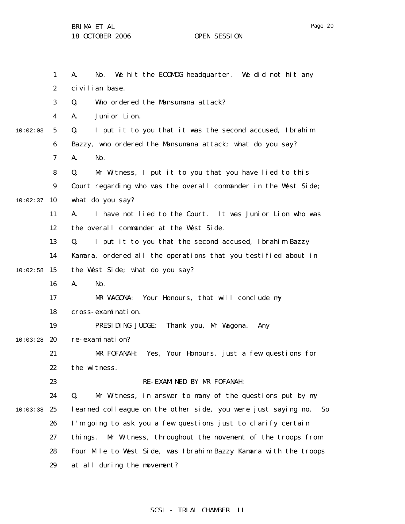1 2 3 4 5 6 7 8 9  $10:02:37$  10 11 12 13 14  $10:02:58$  15 16 17 18 19  $10:03:28$  20 21 22 23 24 10:03:38 25 26 27 28 29 10:02:03 A. No. We hit the ECOMOG headquarter. We did not hit any civilian base. Q. Who ordered the Mansumana attack? A. Junior Lion. Q. I put it to you that it was the second accused, Ibrahim Bazzy, who ordered the Mansumana attack; what do you say? A. No. Q. Mr Witness, I put it to you that you have lied to this Court regarding who was the overall commander in the West Side; what do you say? A. I have not lied to the Court. It was Junior Lion who was the overall commander at the West Side. Q. I put it to you that the second accused, Ibrahim Bazzy Kamara, ordered all the operations that you testified about in the West Side; what do you say? A. No. MR WAGONA: Your Honours, that will conclude my cross-examination. PRESIDING JUDGE: Thank you, Mr Wagona. Any re-examination? MR FOFANAH: Yes, Your Honours, just a few questions for the witness. RE-EXAMINED BY MR FOFANAH: Q. Mr Witness, in answer to many of the questions put by my learned colleague on the other side, you were just saying no. So I'm going to ask you a few questions just to clarify certain things. Mr Witness, throughout the movement of the troops from Four Mile to West Side, was Ibrahim Bazzy Kamara with the troops at all during the movement?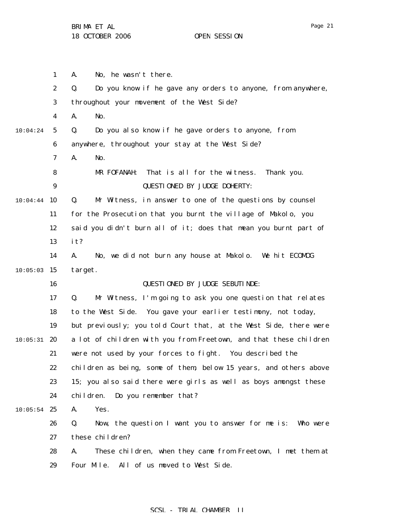1 2 3 4 5 6 7 8 9 10:04:44 10 11 12 13 14  $10:05:03$  15 16 17 18 19  $10:05:31$  20 21 22 23 24  $10:05:54$  25 26 27 28 29 10:04:24 A. No, he wasn't there. Q. Do you know if he gave any orders to anyone, from anywhere, throughout your movement of the West Side? A. No. Q. Do you also know if he gave orders to anyone, from anywhere, throughout your stay at the West Side? A. No. MR FOFANAH: That is all for the witness. Thank you. QUESTIONED BY JUDGE DOHERTY: Q. Mr Witness, in answer to one of the questions by counsel for the Prosecution that you burnt the village of Makolo, you said you didn't burn all of it; does that mean you burnt part of it? A. No, we did not burn any house at Makolo. We hit ECOMOG target. QUESTIONED BY JUDGE SEBUTINDE: Q. Mr Witness, I'm going to ask you one question that relates to the West Side. You gave your earlier testimony, not today, but previously; you told Court that, at the West Side, there were a lot of children with you from Freetown, and that these children were not used by your forces to fight. You described the children as being, some of them, below 15 years, and others above 15; you also said there were girls as well as boys amongst these children. Do you remember that? A. Yes. Q. Now, the question I want you to answer for me is: Who were these children? A. These children, when they came from Freetown, I met them at Four Mile. All of us moved to West Side.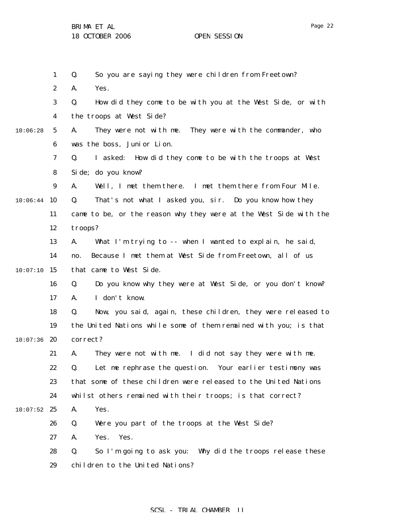|          | $\mathbf{1}$     | So you are saying they were children from Freetown?<br>Q.          |
|----------|------------------|--------------------------------------------------------------------|
|          | $\boldsymbol{2}$ | Yes.<br>A.                                                         |
|          | 3                | How did they come to be with you at the West Side, or with<br>Q.   |
|          | 4                | the troops at West Side?                                           |
| 10:06:28 | 5                | They were not with me. They were with the commander, who<br>A.     |
|          | 6                | was the boss, Junior Lion.                                         |
|          | 7                | I asked: How did they come to be with the troops at West<br>Q.     |
|          | 8                | Si de; do you know?                                                |
|          | $\boldsymbol{9}$ | Well, I met them there. I met them there from Four Mile.<br>A.     |
| 10:06:44 | 10               | That's not what I asked you, sir. Do you know how they<br>Q.       |
|          | 11               | came to be, or the reason why they were at the West Side with the  |
|          | 12               | troops?                                                            |
|          | 13               | What I'm trying to -- when I wanted to explain, he said,<br>A.     |
|          | 14               | Because I met them at West Side from Freetown, all of us<br>no.    |
| 10:07:10 | 15               | that came to West Side.                                            |
|          | 16               | Do you know why they were at West Side, or you don't know?<br>Q.   |
|          | 17               | I don't know.<br>A.                                                |
|          | 18               | Now, you said, again, these children, they were released to<br>Q.  |
|          | 19               | the United Nations while some of them remained with you; is that   |
| 10:07:36 | 20               | correct?                                                           |
|          | 21               | They were not with me. I did not say they were with me.<br>A.      |
|          | 22               | Let me rephrase the question. Your earlier testimony was<br>Q.     |
|          | 23               | that some of these children were released to the United Nations    |
|          | 24               | whilst others remained with their troops; is that correct?         |
| 10:07:52 | 25               | Yes.<br>A.                                                         |
|          | 26               | Q.<br>Were you part of the troops at the West Side?                |
|          | 27               | Yes.<br>Yes.<br>A.                                                 |
|          | 28               | So I'm going to ask you:<br>Why did the troops release these<br>Q. |
|          | 29               | children to the United Nations?                                    |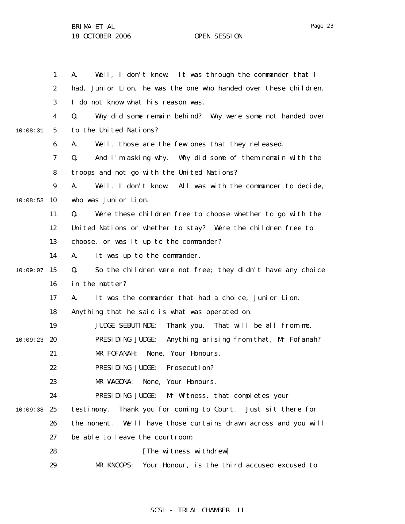1 2 3 4 5 6 7 8 9  $10:08:53$  10 11 12 13 14  $10:09:07$  15 16 17 18 19  $10:09:23$  20 21 22 23 24  $10:09:38$  25 26 27 28 29 10:08:31 A. Well, I don't know. It was through the commander that I had, Junior Lion, he was the one who handed over these children. I do not know what his reason was. Q. Why did some remain behind? Why were some not handed over to the United Nations? A. Well, those are the few ones that they released. Q. And I'm asking why. Why did some of them remain with the troops and not go with the United Nations? A. Well, I don't know. All was with the commander to decide, who was Junior Lion. Q. Were these children free to choose whether to go with the United Nations or whether to stay? Were the children free to choose, or was it up to the commander? A. It was up to the commander. Q. So the children were not free; they didn't have any choice in the matter? A. It was the commander that had a choice, Junior Lion. Anything that he said is what was operated on. JUDGE SEBUTINDE: Thank you. That will be all from me. PRESIDING JUDGE: Anything arising from that, Mr Fofanah? MR FOFANAH: None, Your Honours. PRESIDING JUDGE: Prosecution? MR WAGONA: None, Your Honours. PRESIDING JUDGE: Mr Witness, that completes your testimony. Thank you for coming to Court. Just sit there for the moment. We'll have those curtains drawn across and you will be able to leave the courtroom. [The witness withdrew] MR KNOOPS: Your Honour, is the third accused excused to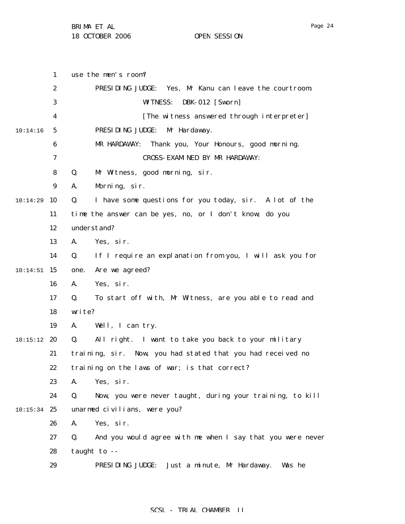1 2 3 4 5 6 7 8 9 10:14:29 10 11 12 13 14  $10:14:51$  15 16 17 18 19  $10:15:12$  20 21 22 23 24  $10:15:34$  25 26 27 28 29 10:14:16 use the men's room? PRESIDING JUDGE: Yes, Mr Kanu can leave the courtroom. WITNESS: DBK-012 [Sworn] [The witness answered through interpreter] PRESIDING JUDGE: Mr Hardaway. MR HARDAWAY: Thank you, Your Honours, good morning. CROSS-EXAMINED BY MR HARDAWAY: Q. Mr Witness, good morning, sir. A. Morning, sir. Q. I have some questions for you today, sir. A lot of the time the answer can be yes, no, or I don't know; do you understand? A. Yes, sir. Q. If I require an explanation from you, I will ask you for one. Are we agreed? A. Yes, sir. Q. To start off with, Mr Witness, are you able to read and write? A. Well, I can try. Q. All right. I want to take you back to your military training, sir. Now, you had stated that you had received no training on the laws of war; is that correct? A. Yes, sir. Q. Now, you were never taught, during your training, to kill unarmed civilians, were you? A. Yes, sir. Q. And you would agree with me when I say that you were never taught to -- PRESIDING JUDGE: Just a minute, Mr Hardaway. Was he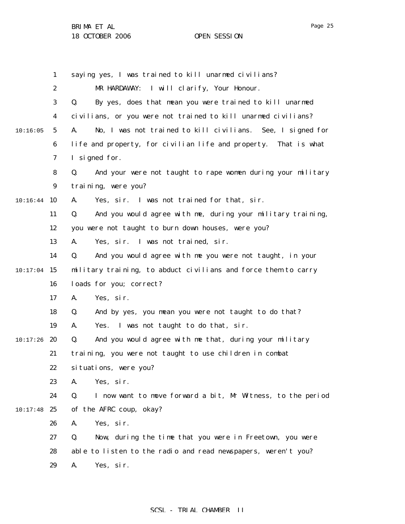|          | 1                | saying yes, I was trained to kill unarmed civilians?              |
|----------|------------------|-------------------------------------------------------------------|
|          | $\boldsymbol{2}$ | MR HARDAWAY: I will clarify, Your Honour.                         |
|          | 3                | By yes, does that mean you were trained to kill unarmed<br>Q.     |
|          | 4                | civilians, or you were not trained to kill unarmed civilians?     |
| 10:16:05 | $\sqrt{5}$       | No, I was not trained to kill civilians. See, I signed for<br>A.  |
|          | $\boldsymbol{6}$ | life and property, for civilian life and property. That is what   |
|          | 7                | I signed for.                                                     |
|          | 8                | And your were not taught to rape women during your military<br>Q. |
|          | 9                | training, were you?                                               |
| 10:16:44 | 10               | Yes, sir. I was not trained for that, sir.<br>A.                  |
|          | 11               | And you would agree with me, during your military training,<br>Q. |
|          | 12               | you were not taught to burn down houses, were you?                |
|          | 13               | Yes, sir. I was not trained, sir.<br>A.                           |
|          | 14               | And you would agree with me you were not taught, in your<br>Q.    |
| 10:17:04 | 15               | military training, to abduct civilians and force them to carry    |
|          | 16               | loads for you; correct?                                           |
|          | 17               | Yes, sir.<br>A.                                                   |
|          | 18               | And by yes, you mean you were not taught to do that?<br>Q.        |
|          | 19               | Yes. I was not taught to do that, sir.<br>A.                      |
| 10:17:26 | 20               | And you would agree with me that, during your military<br>Q.      |
|          | 21               | training, you were not taught to use children in combat           |
|          | 22               | situations, were you?                                             |
|          | 23               | Yes, sir.<br>A.                                                   |
|          | 24               | I now want to move forward a bit, Mr Witness, to the period<br>Q. |
| 10:17:48 | 25               | of the AFRC coup, okay?                                           |
|          | 26               | Yes, sir.<br>A.                                                   |
|          | 27               | Q.<br>Now, during the time that you were in Freetown, you were    |
|          | 28               | able to listen to the radio and read newspapers, weren't you?     |
|          | 29               | Yes, sir.<br>A.                                                   |
|          |                  |                                                                   |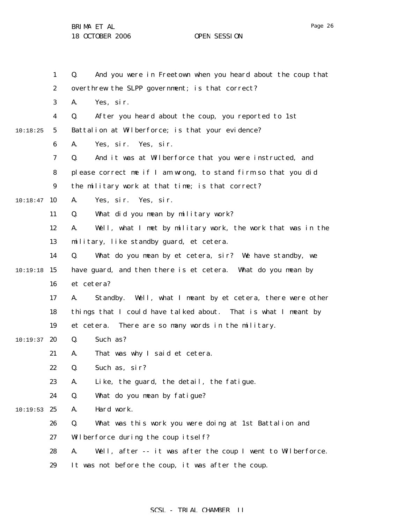1 2 3 4 5 6 7 8 9 10:18:47 10 11 12 13 14  $10:19:18$  15 16 17 18 19  $10:19:37$  20 21 22 23 24  $10:19:53$  25 26 27 28 29 10:18:25 Q. And you were in Freetown when you heard about the coup that overthrew the SLPP government; is that correct? A. Yes, sir. Q. After you heard about the coup, you reported to 1st Battalion at Wilberforce; is that your evidence? A. Yes, sir. Yes, sir. Q. And it was at Wilberforce that you were instructed, and please correct me if I am wrong, to stand firm so that you did the military work at that time; is that correct? A. Yes, sir. Yes, sir. Q. What did you mean by military work? A. Well, what I met by military work, the work that was in the military, like standby guard, et cetera. Q. What do you mean by et cetera, sir? We have standby, we have guard, and then there is et cetera. What do you mean by et cetera? A. Standby. Well, what I meant by et cetera, there were other things that I could have talked about. That is what I meant by et cetera. There are so many words in the military. Q. Such as? A. That was why I said et cetera. Q. Such as, sir? A. Like, the guard, the detail, the fatigue. Q. What do you mean by fatigue? A. Hard work. Q. What was this work you were doing at 1st Battalion and Wilberforce during the coup itself? A. Well, after -- it was after the coup I went to Wilberforce. It was not before the coup, it was after the coup.

### SCSL - TRIAL CHAMBER II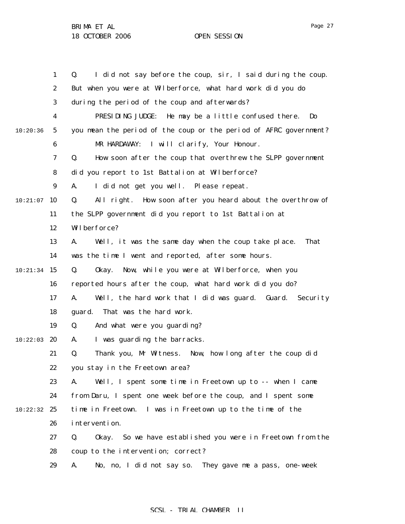1 2 3 4 5 6 7 8 9 10:21:07 10 11 12 13 14 10:21:34 15 16 17 18 19  $10:22:03$  20 21 22 23 24 10:22:32 25 26 27 28 29 10:20:36 Q. I did not say before the coup, sir, I said during the coup. But when you were at Wilberforce, what hard work did you do during the period of the coup and afterwards? PRESIDING JUDGE: He may be a little confused there. Do you mean the period of the coup or the period of AFRC government? MR HARDAWAY: I will clarify, Your Honour. Q. How soon after the coup that overthrew the SLPP government did you report to 1st Battalion at Wilberforce? A. I did not get you well. Please repeat. Q. All right. How soon after you heard about the overthrow of the SLPP government did you report to 1st Battalion at Wilberforce? A. Well, it was the same day when the coup take place. That was the time I went and reported, after some hours. Q. Okay. Now, while you were at Wilberforce, when you reported hours after the coup, what hard work did you do? A. Well, the hard work that I did was guard. Guard. Security guard. That was the hard work. Q. And what were you guarding? A. I was guarding the barracks. Q. Thank you, Mr Witness. Now, how long after the coup did you stay in the Freetown area? A. Well, I spent some time in Freetown up to -- when I came from Daru, I spent one week before the coup, and I spent some time in Freetown. I was in Freetown up to the time of the intervention. Q. Okay. So we have established you were in Freetown from the coup to the intervention; correct? A. No, no, I did not say so. They gave me a pass, one-week

#### SCSL - TRIAL CHAMBER II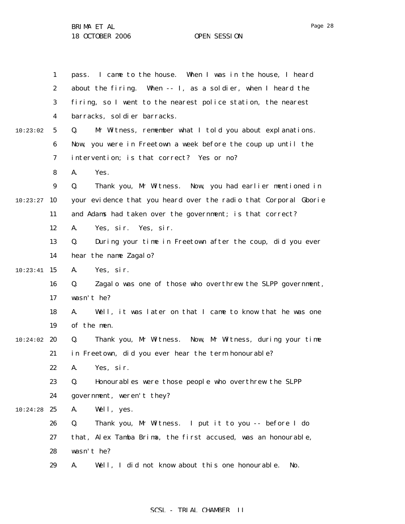|          | $\mathbf{1}$     | I came to the house. When I was in the house, I heard<br>pass.   |
|----------|------------------|------------------------------------------------------------------|
|          | $\boldsymbol{2}$ | about the firing. When -- I, as a soldier, when I heard the      |
|          | 3                | firing, so I went to the nearest police station, the nearest     |
|          | 4                | barracks, sol di er barracks.                                    |
| 10:23:02 | $5\overline{)}$  | Mr Witness, remember what I told you about explanations.<br>Q.   |
|          | 6                | Now, you were in Freetown a week before the coup up until the    |
|          | 7                | intervention; is that correct? Yes or no?                        |
|          | 8                | Yes.<br>A.                                                       |
|          | $\boldsymbol{9}$ | Thank you, Mr Witness. Now, you had earlier mentioned in<br>Q.   |
| 10:23:27 | 10               | your evidence that you heard over the radio that Corporal Gborie |
|          | 11               | and Adams had taken over the government; is that correct?        |
|          | 12               | Yes, sir. Yes, sir.<br>A.                                        |
|          | 13               | During your time in Freetown after the coup, did you ever<br>Q.  |
|          | 14               | hear the name Zagalo?                                            |
| 10:23:41 | 15               | A.<br>Yes, sir.                                                  |
|          | 16               | Zagalo was one of those who overthrew the SLPP government,<br>Q. |
|          | 17               | wasn't he?                                                       |
|          | 18               | Well, it was later on that I came to know that he was one<br>A.  |
|          | 19               | of the men.                                                      |
| 10:24:02 | 20               | Thank you, Mr Witness. Now, Mr Witness, during your time<br>Q.   |
|          | 21               | in Freetown, did you ever hear the term honourable?              |
|          | 22               | A.<br>Yes, sir.                                                  |
|          | 23               | Q.<br>Honourables were those people who overthrew the SLPP       |
|          | 24               | government, weren't they?                                        |
| 10:24:28 | 25               | Well, yes.<br>A.                                                 |
|          | 26               | Q.<br>Thank you, Mr Witness. I put it to you -- before I do      |
|          | 27               | that, Alex Tamba Brima, the first accused, was an honourable,    |
|          | 28               | wasn't he?                                                       |
|          | 29               | Well, I did not know about this one honourable.<br>A.<br>No.     |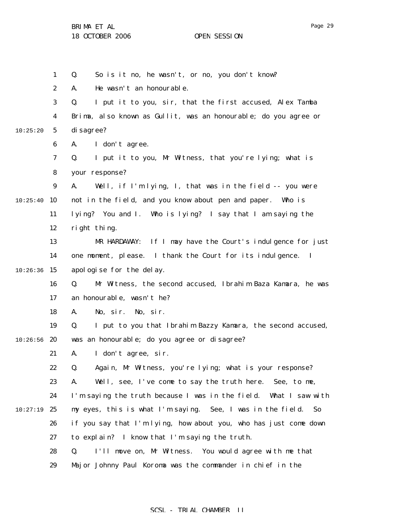|          | $\mathbf{1}$     | So is it no, he wasn't, or no, you don't know?<br>Q.                |
|----------|------------------|---------------------------------------------------------------------|
|          | $\boldsymbol{2}$ | He wasn't an honourable.<br>A.                                      |
|          | 3                | I put it to you, sir, that the first accused, Alex Tamba<br>Q.      |
|          | $\boldsymbol{4}$ | Brima, also known as Gullit, was an honourable; do you agree or     |
| 10:25:20 | $\mathbf 5$      | di sagree?                                                          |
|          | $\boldsymbol{6}$ | I don't agree.<br>A.                                                |
|          | 7                | I put it to you, Mr Witness, that you're lying; what is<br>Q.       |
|          | 8                | your response?                                                      |
|          | $\boldsymbol{9}$ | Well, if I'm lying, I, that was in the field -- you were<br>A.      |
| 10:25:40 | 10               | not in the field, and you know about pen and paper. Who is          |
|          | 11               | lying? You and I. Who is lying? I say that I am saying the          |
|          | 12               | right thing.                                                        |
|          | 13               | If I may have the Court's indulgence for just<br>MR HARDAWAY:       |
|          | 14               | one moment, please. I thank the Court for its indulgence. I         |
| 10:26:36 | 15               | apologise for the delay.                                            |
|          | 16               | Mr Witness, the second accused, Ibrahim Baza Kamara, he was<br>Q.   |
|          | 17               | an honourable, wasn't he?                                           |
|          | 18               | No, sir.<br>No, sir.<br>A.                                          |
|          | 19               | Q.<br>I put to you that Ibrahim Bazzy Kamara, the second accused,   |
| 10:26:56 | 20               | was an honourable; do you agree or disagree?                        |
|          | 21               | A.<br>I don't agree, sir.                                           |
|          | 22               | Q.<br>Again, Mr Witness, you're lying; what is your response?       |
|          | 23               | Well, see, I've come to say the truth here. See, to me,<br>A.       |
|          | 24               | I'm saying the truth because I was in the field.<br>What I saw with |
| 10:27:19 | 25               | my eyes, this is what I'm saying. See, I was in the field.<br>So    |
|          | 26               | if you say that I'm lying, how about you, who has just come down    |
|          | 27               | to explain? I know that I'm saying the truth.                       |
|          | 28               | Q.<br>I'll move on, Mr Witness. You would agree with me that        |
|          | 29               | Major Johnny Paul Koroma was the commander in chief in the          |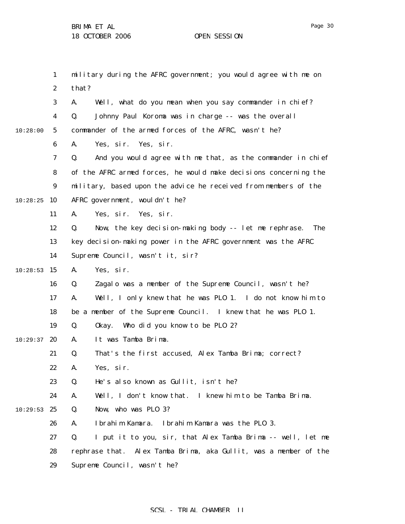1 2 3 4 5 6 7 8 9  $10:28:25$  10 11 12 13 14  $10:28:53$  15 16 17 18 19  $10:29:37$  20 21 22 23 24  $10:29:53$  25 26 27 28 29 10:28:00 military during the AFRC government; you would agree with me on that? A. Well, what do you mean when you say commander in chief? Q. Johnny Paul Koroma was in charge -- was the overall commander of the armed forces of the AFRC, wasn't he? A. Yes, sir. Yes, sir. Q. And you would agree with me that, as the commander in chief of the AFRC armed forces, he would make decisions concerning the military, based upon the advice he received from members of the AFRC government, wouldn't he? A. Yes, sir. Yes, sir. Q. Now, the key decision-making body -- let me rephrase. The key decision-making power in the AFRC government was the AFRC Supreme Council, wasn't it, sir? A. Yes, sir. Q. Zagalo was a member of the Supreme Council, wasn't he? A. Well, I only knew that he was PLO 1. I do not know him to be a member of the Supreme Council. I knew that he was PLO 1. Q. Okay. Who did you know to be PLO 2? A. It was Tamba Brima. Q. That's the first accused, Alex Tamba Brima; correct? A. Yes, sir. Q. He's also known as Gullit, isn't he? A. Well, I don't know that. I knew him to be Tamba Brima. Q. Now, who was PLO 3? A. Ibrahim Kamara. Ibrahim Kamara was the PLO 3. Q. I put it to you, sir, that Alex Tamba Brima -- well, let me rephrase that. Alex Tamba Brima, aka Gullit, was a member of the Supreme Council, wasn't he?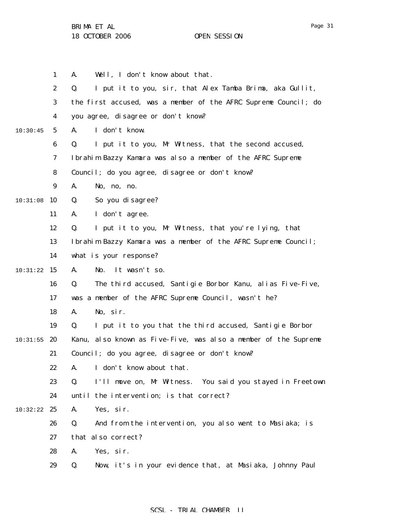1 2 3 4 5 6 7 8 9 10:31:08 10 11 12 13 14 10:31:22 15 16 17 18 19  $10:31:55$  20 21 22 23 24 10:32:22 25 26 27 28 29 10:30:45 A. Well, I don't know about that. Q. I put it to you, sir, that Alex Tamba Brima, aka Gullit, the first accused, was a member of the AFRC Supreme Council; do you agree, disagree or don't know? A. I don't know. Q. I put it to you, Mr Witness, that the second accused, Ibrahim Bazzy Kamara was also a member of the AFRC Supreme Council; do you agree, disagree or don't know? A. No, no, no. Q. So you disagree? A. I don't agree. Q. I put it to you, Mr Witness, that you're lying, that Ibrahim Bazzy Kamara was a member of the AFRC Supreme Council; what is your response? A. No. It wasn't so. Q. The third accused, Santigie Borbor Kanu, alias Five-Five, was a member of the AFRC Supreme Council, wasn't he? A. No, sir. Q. I put it to you that the third accused, Santigie Borbor Kanu, also known as Five-Five, was also a member of the Supreme Council; do you agree, disagree or don't know? A. I don't know about that. Q. I'll move on, Mr Witness. You said you stayed in Freetown until the intervention; is that correct? A. Yes, sir. Q. And from the intervention, you also went to Masiaka; is that also correct? A. Yes, sir. Q. Now, it's in your evidence that, at Masiaka, Johnny Paul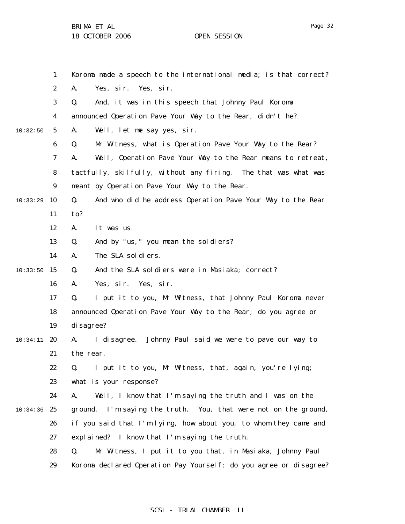Page 32

|          | $\mathbf{1}$     | Koroma made a speech to the international media; is that correct? |
|----------|------------------|-------------------------------------------------------------------|
|          | $\boldsymbol{2}$ | A.<br>Yes, sir. Yes, sir.                                         |
|          | 3                | And, it was in this speech that Johnny Paul Koroma<br>Q.          |
|          | 4                | announced Operation Pave Your Way to the Rear, didn't he?         |
| 10:32:50 | $5\overline{ }$  | Well, let me say yes, sir.<br>A.                                  |
|          | 6                | Q.<br>Mr Witness, what is Operation Pave Your Way to the Rear?    |
|          | 7                | Well, Operation Pave Your Way to the Rear means to retreat,<br>A. |
|          | 8                | tactfully, skilfully, without any firing. The that was what was   |
|          | $\boldsymbol{9}$ | meant by Operation Pave Your Way to the Rear.                     |
| 10:33:29 | 10               | And who did he address Operation Pave Your Way to the Rear<br>Q.  |
|          | 11               | to?                                                               |
|          | 12               | A.<br>It was us.                                                  |
|          | 13               | And by "us, " you mean the soldiers?<br>Q.                        |
|          | 14               | The SLA soldiers.<br>A.                                           |
| 10:33:50 | 15               | And the SLA soldiers were in Masiaka; correct?<br>Q.              |
|          | 16               | Yes, sir. Yes, sir.<br>A.                                         |
|          | 17               | I put it to you, Mr Witness, that Johnny Paul Koroma never<br>Q.  |
|          | 18               | announced Operation Pave Your Way to the Rear; do you agree or    |
|          | 19               | di sagree?                                                        |
| 10:34:11 | 20               | Johnny Paul said we were to pave our way to<br>I di sagree.<br>A. |
|          | 21               | the rear.                                                         |
|          | 22               | Q. I put it to you, Mr Witness, that, again, you're lying;        |
|          | 23               | what is your response?                                            |
|          | 24               | A.<br>Well, I know that I'm saying the truth and I was on the     |
| 10:34:36 | 25               | ground. I'm saying the truth. You, that were not on the ground,   |
|          | 26               | if you said that I'm lying, how about you, to whom they came and  |
|          | 27               | explained? I know that I'm saying the truth.                      |
|          | 28               | Mr Witness, I put it to you that, in Masiaka, Johnny Paul<br>Q.   |
|          | 29               | Koroma declared Operation Pay Yourself; do you agree or disagree? |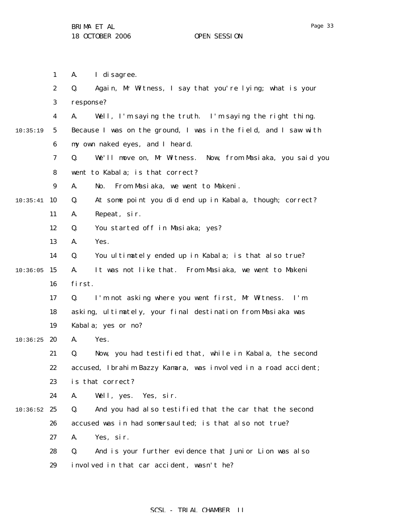|          | $\mathbf{1}$     | I di sagree.<br>A.                                               |
|----------|------------------|------------------------------------------------------------------|
|          | $\boldsymbol{2}$ | Again, Mr Witness, I say that you're lying; what is your<br>Q.   |
|          | 3                | response?                                                        |
|          | 4                | Well, I'm saying the truth. I'm saying the right thing.<br>A.    |
| 10:35:19 | $5\phantom{.0}$  | Because I was on the ground, I was in the field, and I saw with  |
|          | 6                | my own naked eyes, and I heard.                                  |
|          | 7                | We'll move on, Mr Witness. Now, from Masiaka, you said you<br>Q. |
|          | 8                | went to Kabala; is that correct?                                 |
|          | $\boldsymbol{9}$ | A.<br>From Masiaka, we went to Makeni.<br>No.                    |
| 10:35:41 | <b>10</b>        | At some point you did end up in Kabala, though; correct?<br>Q.   |
|          | 11               | Repeat, sir.<br>A.                                               |
|          | 12               | You started off in Masiaka; yes?<br>Q.                           |
|          | 13               | Yes.<br>A.                                                       |
|          | 14               | Q.<br>You ultimately ended up in Kabala; is that also true?      |
| 10:36:05 | 15               | It was not like that. From Masiaka, we went to Makeni<br>A.      |
|          | 16               | first.                                                           |
|          | 17               | I'm not asking where you went first, Mr Witness. I'm<br>Q.       |
|          | 18               | asking, ultimately, your final destination from Masiaka was      |
|          | 19               | Kabala; yes or no?                                               |
| 10:36:25 | 20               | Yes.<br>A.                                                       |
|          | 21               | Now, you had testified that, while in Kabala, the second<br>Q.   |
|          | 22               | accused, Ibrahim Bazzy Kamara, was involved in a road accident;  |
|          | 23               | is that correct?                                                 |
|          | 24               | Well, yes. Yes, sir.<br>A.                                       |
| 10:36:52 | 25               | And you had also testified that the car that the second<br>Q.    |
|          | 26               | accused was in had somersaulted; is that also not true?          |
|          | 27               | Yes, sir.<br>A.                                                  |
|          | 28               | And is your further evidence that Junior Lion was also<br>Q.     |
|          | 29               | involved in that car accident, wasn't he?                        |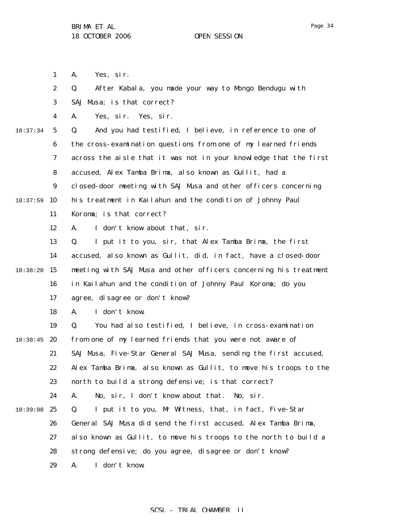1

2 3 4 5 6 7 8 9  $10:37:59$  10 11 12 13 14  $10:38:20$  15 16 17 18 19  $10:38:45$  20 21 22 23 24 10:39:08 25 26 27 28 29 10:37:34 A. Yes, sir. Q. After Kabala, you made your way to Mongo Bendugu with SAJ Musa; is that correct? A. Yes, sir. Yes, sir. Q. And you had testified, I believe, in reference to one of the cross-examination questions from one of my learned friends across the aisle that it was not in your knowledge that the first accused, Alex Tamba Brima, also known as Gullit, had a closed-door meeting with SAJ Musa and other officers concerning his treatment in Kailahun and the condition of Johnny Paul Koroma; is that correct? A. I don't know about that, sir. Q. I put it to you, sir, that Alex Tamba Brima, the first accused, also known as Gullit, did, in fact, have a closed-door meeting with SAJ Musa and other officers concerning his treatment in Kailahun and the condition of Johnny Paul Koroma; do you agree, disagree or don't know? A. I don't know. Q. You had also testified, I believe, in cross-examination from one of my learned friends that you were not aware of SAJ Musa, Five-Star General SAJ Musa, sending the first accused, Alex Tamba Brima, also known as Gullit, to move his troops to the north to build a strong defensive; is that correct? A. No, sir, I don't know about that. No, sir. Q. I put it to you, Mr Witness, that, in fact, Five-Star General SAJ Musa did send the first accused, Alex Tamba Brima, also known as Gullit, to move his troops to the north to build a strong defensive; do you agree, disagree or don't know? A. I don't know.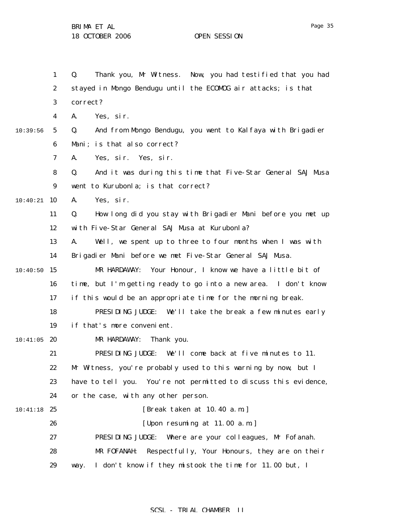1 2 3 4 5 6 7 8 9 10:40:21 10 11 12 13 14  $10:40:50$  15 16 17 18 19  $10:41:05$  20 21 22 23 24 10:41:18 25 26 27 28 29 10:39:56 Q. Thank you, Mr Witness. Now, you had testified that you had stayed in Mongo Bendugu until the ECOMOG air attacks; is that correct? A. Yes, sir. Q. And from Mongo Bendugu, you went to Kalfaya with Brigadier Mani; is that also correct? A. Yes, sir. Yes, sir. Q. And it was during this time that Five-Star General SAJ Musa went to Kurubonla; is that correct? A. Yes, sir. Q. How long did you stay with Brigadier Mani before you met up with Five-Star General SAJ Musa at Kurubonla? A. Well, we spent up to three to four months when I was with Brigadier Mani before we met Five-Star General SAJ Musa. MR HARDAWAY: Your Honour, I know we have a little bit of time, but I'm getting ready to go into a new area. I don't know if this would be an appropriate time for the morning break. PRESIDING JUDGE: We'll take the break a few minutes early if that's more convenient. MR HARDAWAY: Thank you. PRESIDING JUDGE: We'll come back at five minutes to 11. Mr Witness, you're probably used to this warning by now, but I have to tell you. You're not permitted to discuss this evidence, or the case, with any other person. [Break taken at 10.40 a.m.] [Upon resuming at 11.00 a.m.] PRESIDING JUDGE: Where are your colleagues, Mr Fofanah. MR FOFANAH: Respectfully, Your Honours, they are on their way. I don't know if they mistook the time for 11.00 but, I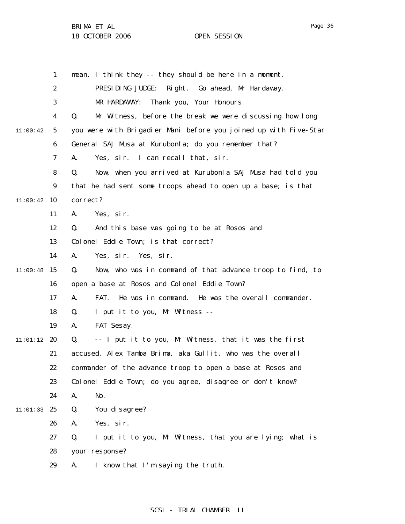|          | 1  | mean, I think they -- they should be here in a moment.           |
|----------|----|------------------------------------------------------------------|
|          | 2  | PRESIDING JUDGE:<br>Right. Go ahead, Mr Hardaway.                |
|          | 3  | MR HARDAWAY: Thank you, Your Honours.                            |
|          | 4  | Mr Witness, before the break we were discussing how long<br>Q.   |
| 11:00:42 | 5  | you were with Brigadier Mani before you joined up with Five-Star |
|          | 6  | General SAJ Musa at Kurubonla; do you remember that?             |
|          | 7  | I can recall that, sir.<br>A.<br>Yes, sir.                       |
|          | 8  | Now, when you arrived at Kurubonla SAJ Musa had told you<br>Q.   |
|          | 9  | that he had sent some troops ahead to open up a base; is that    |
| 11:00:42 | 10 | correct?                                                         |
|          | 11 | Yes, sir.<br>A.                                                  |
|          | 12 | And this base was going to be at Rosos and<br>Q.                 |
|          | 13 | Colonel Eddie Town; is that correct?                             |
|          | 14 | Yes, sir. Yes, sir.<br>A.                                        |
| 11:00:48 | 15 | Now, who was in command of that advance troop to find, to<br>Q.  |
|          | 16 | open a base at Rosos and Colonel Eddie Town?                     |
|          | 17 | FAT.<br>He was in command. He was the overall commander.<br>A.   |
|          | 18 | I put it to you, Mr Witness --<br>Q.                             |
|          | 19 | FAT Sesay.<br>A.                                                 |
| 11:01:12 | 20 | -- I put it to you, Mr Witness, that it was the first<br>Q.      |
|          | 21 | accused, Alex Tamba Brima, aka Gullit, who was the overall       |
|          | 22 | commander of the advance troop to open a base at Rosos and       |
|          | 23 | Colonel Eddie Town; do you agree, disagree or don't know?        |
|          | 24 | No.<br>A.                                                        |
| 11:01:33 | 25 | You di sagree?<br>Q.                                             |
|          | 26 | Yes, sir.<br>A.                                                  |
|          | 27 | I put it to you, Mr Witness, that you are lying; what is<br>Q.   |
|          | 28 | your response?                                                   |
|          | 29 | I know that I'm saying the truth.<br>A.                          |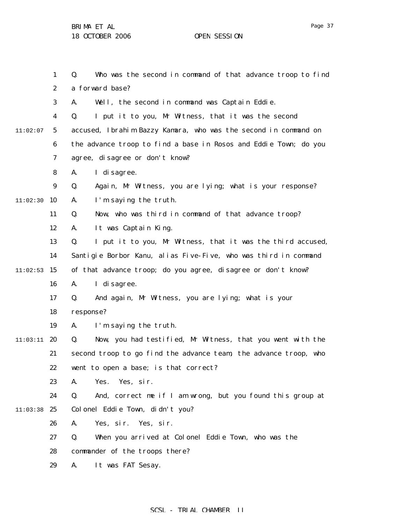11:02:07

1 2 3 4 5 6 7 8 9  $11:02:30$  10 11 12 13 14  $11:02:53$  15 16 17 18 19  $11:03:11$  20 21 22 23 24 11:03:38 25 26 Q. Who was the second in command of that advance troop to find a forward base? A. Well, the second in command was Captain Eddie. Q. I put it to you, Mr Witness, that it was the second accused, Ibrahim Bazzy Kamara, who was the second in command on the advance troop to find a base in Rosos and Eddie Town; do you agree, disagree or don't know? A. I disagree. Q. Again, Mr Witness, you are lying; what is your response? A. I'm saying the truth. Q. Now, who was third in command of that advance troop? A. It was Captain King. Q. I put it to you, Mr Witness, that it was the third accused, Santigie Borbor Kanu, alias Five-Five, who was third in command of that advance troop; do you agree, disagree or don't know? A. I disagree. Q. And again, Mr Witness, you are lying; what is your response? A. I'm saying the truth. Q. Now, you had testified, Mr Witness, that you went with the second troop to go find the advance team, the advance troop, who went to open a base; is that correct? A. Yes. Yes, sir. Q. And, correct me if I am wrong, but you found this group at Colonel Eddie Town, didn't you? A. Yes, sir. Yes, sir.

> 27 Q. When you arrived at Colonel Eddie Town, who was the

- 28 commander of the troops there?
- 29 A. It was FAT Sesay.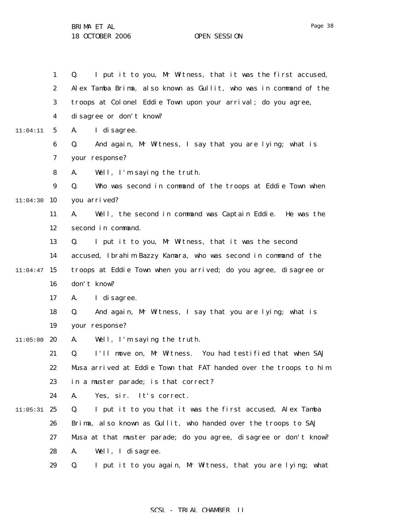1 2 3 4 5 6 7 8 9  $11:04:30$  10 11 12 13 14  $11:04:47$  15 16 17 18 19  $11:05:00$  20 21 22 23 24  $11:05:31$  25 26 27 28 29 11:04:11 Q. I put it to you, Mr Witness, that it was the first accused, Alex Tamba Brima, also known as Gullit, who was in command of the troops at Colonel Eddie Town upon your arrival; do you agree, disagree or don't know? A. I disagree. Q. And again, Mr Witness, I say that you are lying; what is your response? A. Well, I'm saying the truth. Q. Who was second in command of the troops at Eddie Town when you arrived? A. Well, the second in command was Captain Eddie. He was the second in command. Q. I put it to you, Mr Witness, that it was the second accused, Ibrahim Bazzy Kamara, who was second in command of the troops at Eddie Town when you arrived; do you agree, disagree or don't know? A. I disagree. Q. And again, Mr Witness, I say that you are lying; what is your response? A. Well, I'm saying the truth. Q. I'll move on, Mr Witness. You had testified that when SAJ Musa arrived at Eddie Town that FAT handed over the troops to him in a muster parade; is that correct? A. Yes, sir. It's correct. Q. I put it to you that it was the first accused, Alex Tamba Brima, also known as Gullit, who handed over the troops to SAJ Musa at that muster parade; do you agree, disagree or don't know? A. Well, I disagree. Q. I put it to you again, Mr Witness, that you are lying; what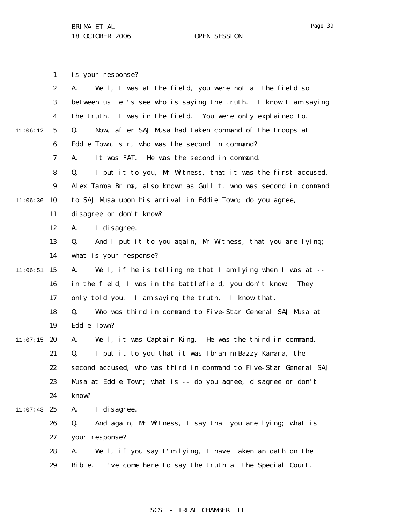1 is your response?

|          | $\boldsymbol{2}$ | Well, I was at the field, you were not at the field so<br>A.      |
|----------|------------------|-------------------------------------------------------------------|
|          | 3                | between us let's see who is saying the truth. I know I am saying  |
|          | 4                | the truth. I was in the field. You were only explained to.        |
| 11:06:12 | $\mathbf 5$      | Now, after SAJ Musa had taken command of the troops at<br>Q.      |
|          | 6                | Eddie Town, sir, who was the second in command?                   |
|          | 7                | It was FAT. He was the second in command.<br>A.                   |
|          | 8                | I put it to you, Mr Witness, that it was the first accused,<br>Q. |
|          | $\boldsymbol{9}$ | Alex Tamba Brima, also known as Gullit, who was second in command |
| 11:06:36 | 10               | to SAJ Musa upon his arrival in Eddie Town; do you agree,         |
|          | 11               | disagree or don't know?                                           |
|          | 12               | I di sagree.<br>A.                                                |
|          | 13               | And I put it to you again, Mr Witness, that you are lying;<br>Q.  |
|          | 14               | what is your response?                                            |
| 11:06:51 | 15               | Well, if he is telling me that I am lying when I was at --<br>A.  |
|          | 16               | in the field, I was in the battlefield, you don't know.<br>They   |
|          | 17               | only told you. I am saying the truth. I know that.                |
|          | 18               | Who was third in command to Five-Star General SAJ Musa at<br>Q.   |
|          | 19               | Eddie Town?                                                       |
| 11:07:15 | 20               | Well, it was Captain King. He was the third in command.<br>A.     |
|          | 21               | I put it to you that it was Ibrahim Bazzy Kamara, the<br>Q.       |
|          | 22               | second accused, who was third in command to Five-Star General SAJ |
|          | 23               | Musa at Eddie Town; what is -- do you agree, disagree or don't    |
|          | 24               | know?                                                             |
| 11:07:43 | 25               | I di sagree.<br>A.                                                |
|          | 26               | And again, Mr Witness, I say that you are lying; what is<br>Q.    |
|          | 27               | your response?                                                    |
|          | 28               | Well, if you say I'm lying, I have taken an oath on the<br>A.     |
|          | 29               | I've come here to say the truth at the Special Court.<br>Bible.   |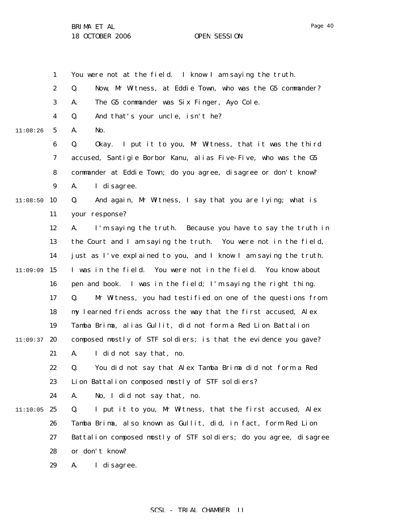1 2 3 4 5 6 7 8 9  $11:08:50$  10 11 12 13 14  $11:09:09$  15 16 17 18 19  $11:09:37$  20 21 22 23 24  $11:10:05$  25 26 27 28 29 11:08:26 You were not at the field. I know I am saying the truth. Q. Now, Mr Witness, at Eddie Town, who was the G5 commander? A. The G5 commander was Six Finger, Ayo Cole. Q. And that's your uncle, isn't he? A. No. Q. Okay. I put it to you, Mr Witness, that it was the third accused, Santigie Borbor Kanu, alias Five-Five, who was the G5 commander at Eddie Town; do you agree, disagree or don't know? A. I disagree. Q. And again, Mr Witness, I say that you are lying; what is your response? A. I'm saying the truth. Because you have to say the truth in the Court and I am saying the truth. You were not in the field, just as I've explained to you, and I know I am saying the truth. I was in the field. You were not in the field. You know about pen and book. I was in the field; I'm saying the right thing. Q. Mr Witness, you had testified on one of the questions from my learned friends across the way that the first accused, Alex Tamba Brima, alias Gullit, did not form a Red Lion Battalion composed mostly of STF soldiers; is that the evidence you gave? A. I did not say that, no. Q. You did not say that Alex Tamba Brima did not form a Red Lion Battalion composed mostly of STF soldiers? A. No, I did not say that, no. Q. I put it to you, Mr Witness, that the first accused, Alex Tamba Brima, also known as Gullit, did, in fact, form Red Lion Battalion composed mostly of STF soldiers; do you agree, disagree or don't know? A. I disagree.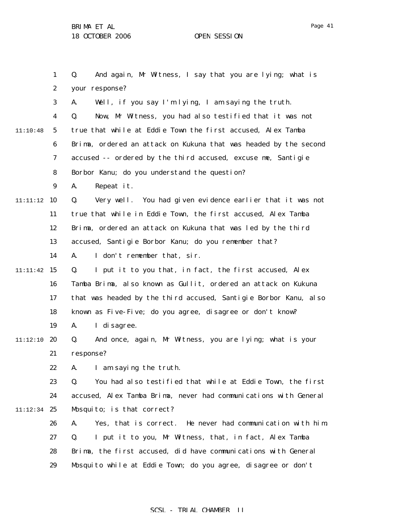11:10:48

1 2 3 4 5 6 7 8 9 11:11:12 **10** 11 12 13 14 11:11:42 15 16 17 18 19 11:12:10 20 21 22 23 24 11:12:34 25 26 27 28 29 Q. And again, Mr Witness, I say that you are lying; what is your response? A. Well, if you say I'm lying, I am saying the truth. Q. Now, Mr Witness, you had also testified that it was not true that while at Eddie Town the first accused, Alex Tamba Brima, ordered an attack on Kukuna that was headed by the second accused -- ordered by the third accused, excuse me, Santigie Borbor Kanu; do you understand the question? A. Repeat it. Q. Very well. You had given evidence earlier that it was not true that while in Eddie Town, the first accused, Alex Tamba Brima, ordered an attack on Kukuna that was led by the third accused, Santigie Borbor Kanu; do you remember that? A. I don't remember that, sir. Q. I put it to you that, in fact, the first accused, Alex Tamba Brima, also known as Gullit, ordered an attack on Kukuna that was headed by the third accused, Santigie Borbor Kanu, also known as Five-Five; do you agree, disagree or don't know? A. I disagree. Q. And once, again, Mr Witness, you are lying; what is your response? A. I am saying the truth. Q. You had also testified that while at Eddie Town, the first accused, Alex Tamba Brima, never had communications with General Mosquito; is that correct? A. Yes, that is correct. He never had communication with him. Q. I put it to you, Mr Witness, that, in fact, Alex Tamba Brima, the first accused, did have communications with General Mosquito while at Eddie Town; do you agree, disagree or don't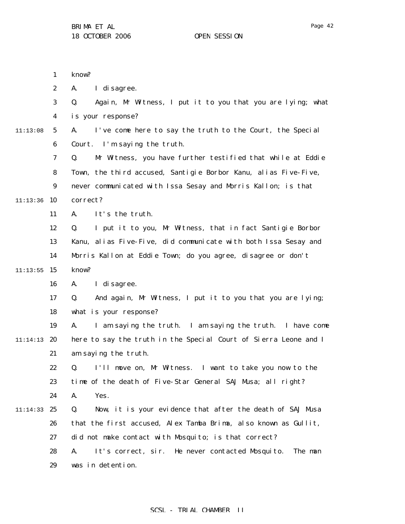1

know?

|          | $\boldsymbol{2}$ | I di sagree.<br>A.                                                |
|----------|------------------|-------------------------------------------------------------------|
|          | 3                | Again, Mr Witness, I put it to you that you are lying; what<br>Q. |
|          | 4                | is your response?                                                 |
| 11:13:08 | $\mathbf{5}$     | I've come here to say the truth to the Court, the Special<br>A.   |
|          | $\boldsymbol{6}$ | Court. I'm saying the truth.                                      |
|          | 7                | Mr Witness, you have further testified that while at Eddie<br>Q.  |
|          | 8                | Town, the third accused, Santigie Borbor Kanu, alias Five-Five,   |
|          | $\boldsymbol{9}$ | never communicated with Issa Sesay and Morris Kallon; is that     |
| 11:13:36 | 10               | correct?                                                          |
|          | 11               | It's the truth.<br>A.                                             |
|          | 12               | I put it to you, Mr Witness, that in fact Santigie Borbor<br>Q.   |
|          | 13               | Kanu, alias Five-Five, did communicate with both Issa Sesay and   |
|          | 14               | Morris Kallon at Eddie Town; do you agree, disagree or don't      |
| 11:13:55 | 15               | know?                                                             |
|          | 16               | I di sagree.<br>A.                                                |
|          | 17               | And again, Mr Witness, I put it to you that you are lying;<br>Q.  |
|          | 18               | what is your response?                                            |
|          | 19               | I am saying the truth. I am saying the truth. I have come<br>A.   |
| 11:14:13 | 20               | here to say the truth in the Special Court of Sierra Leone and I  |
|          | 21               | am saying the truth.                                              |
|          | 22               | I'll move on, Mr Witness. I want to take you now to the<br>Q.     |
|          | 23               | time of the death of Five-Star General SAJ Musa; all right?       |
|          | 24               | Yes.<br>A.                                                        |
| 11:14:33 | 25               | Now, it is your evidence that after the death of SAJ Musa<br>Q.   |
|          | 26               | that the first accused, Alex Tamba Brima, also known as Gullit,   |
|          | 27               | did not make contact with Mosquito; is that correct?              |
|          | 28               | It's correct, sir. He never contacted Mosquito.<br>The man<br>A.  |
|          | 29               | was in detention.                                                 |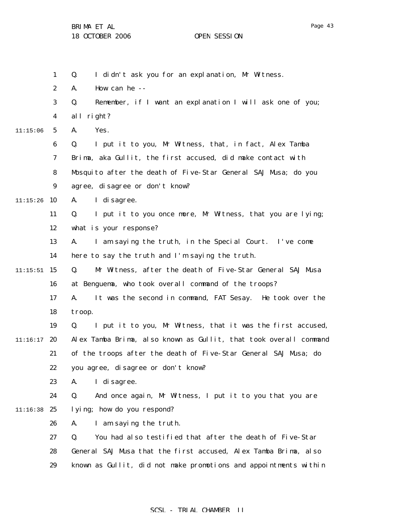|          | $\mathbf{1}$     | I didn't ask you for an explanation, Mr Witness.<br>Q.            |
|----------|------------------|-------------------------------------------------------------------|
|          | $\boldsymbol{2}$ | How can he --<br>A.                                               |
|          | 3                | Remember, if I want an explanation I will ask one of you;<br>Q.   |
|          | 4                | all right?                                                        |
| 11:15:06 | $5\phantom{.0}$  | Yes.<br>A.                                                        |
|          | $\bf 6$          | I put it to you, Mr Witness, that, in fact, Alex Tamba<br>Q.      |
|          | 7                | Brima, aka Gullit, the first accused, did make contact with       |
|          | 8                | Mosquito after the death of Five-Star General SAJ Musa; do you    |
|          | 9                | agree, disagree or don't know?                                    |
| 11:15:26 | 10               | I di sagree.<br>A.                                                |
|          | 11               | I put it to you once more, Mr Witness, that you are lying;<br>Q.  |
|          | 12               | what is your response?                                            |
|          | 13               | I am saying the truth, in the Special Court. I've come<br>A.      |
|          | 14               | here to say the truth and I'm saying the truth.                   |
| 11:15:51 | 15               | Mr Witness, after the death of Five-Star General SAJ Musa<br>Q.   |
|          | 16               | at Benguema, who took overall command of the troops?              |
|          | 17               | It was the second in command, FAT Sesay. He took over the<br>A.   |
|          | 18               | troop.                                                            |
|          | 19               | I put it to you, Mr Witness, that it was the first accused,<br>Q. |
| 11:16:17 | 20               | Alex Tamba Brima, also known as Gullit, that took overall command |
|          | 21               | of the troops after the death of Five-Star General SAJ Musa; do   |
|          | 22               | you agree, disagree or don't know?                                |
|          | 23               | I di sagree.<br>A.                                                |
|          | 24               | And once again, Mr Witness, I put it to you that you are<br>Q.    |
| 11:16:38 | 25               | lying; how do you respond?                                        |
|          | 26               | I am saying the truth.<br>A.                                      |
|          | 27               | Q.<br>You had also testified that after the death of Five-Star    |
|          | 28               | General SAJ Musa that the first accused, Alex Tamba Brima, also   |
|          | 29               | known as Gullit, did not make promotions and appointments within  |
|          |                  |                                                                   |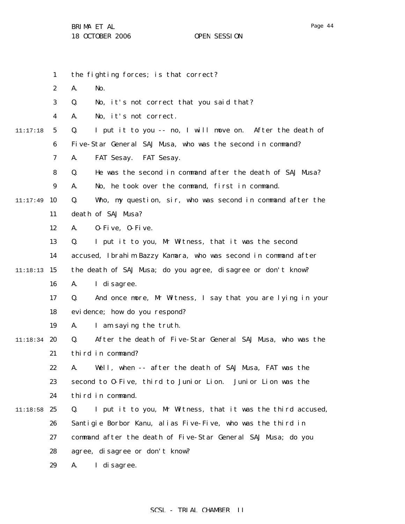- 1 2 3 4 5 6 7 8 9  $11:17:49$  10 11 12 13 14 11:18:13 15 16 17 18 19 11:18:34 20 21 22 23 24 11:18:58 25 26 27 28 11:17:18 the fighting forces; is that correct? A. No. Q. No, it's not correct that you said that? A. No, it's not correct. Q. I put it to you -- no, I will move on. After the death of Five-Star General SAJ Musa, who was the second in command? A. FAT Sesay. FAT Sesay. Q. He was the second in command after the death of SAJ Musa? A. No, he took over the command, first in command. Q. Who, my question, sir, who was second in command after the death of SAJ Musa? A. O-Five, O-Five. Q. I put it to you, Mr Witness, that it was the second accused, Ibrahim Bazzy Kamara, who was second in command after the death of SAJ Musa; do you agree, disagree or don't know? A. I disagree. Q. And once more, Mr Witness, I say that you are lying in your evidence; how do you respond? A. I am saying the truth. Q. After the death of Five-Star General SAJ Musa, who was the third in command? A. Well, when -- after the death of SAJ Musa, FAT was the second to O-Five, third to Junior Lion. Junior Lion was the third in command. Q. I put it to you, Mr Witness, that it was the third accused, Santigie Borbor Kanu, alias Five-Five, who was the third in command after the death of Five-Star General SAJ Musa; do you agree, disagree or don't know?
	- 29 A. I disagree.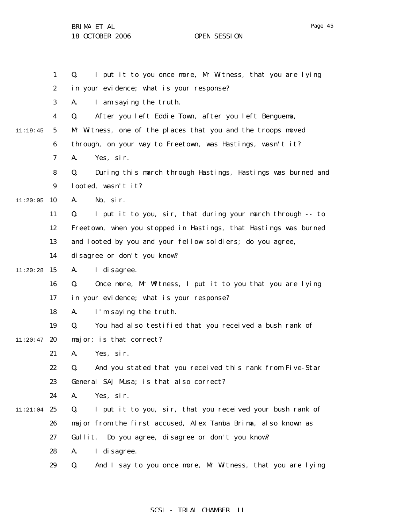1 2 3 4 5 6 7 8 9  $11:20:05$  10 11 12 13 14  $11:20:28$  15 16 17 18 19  $11:20:47$  20 21 22 23 24 11:21:04 25 26 27 28 11:19:45 Q. I put it to you once more, Mr Witness, that you are lying in your evidence; what is your response? A. I am saying the truth. Q. After you left Eddie Town, after you left Benguema, Mr Witness, one of the places that you and the troops moved through, on your way to Freetown, was Hastings, wasn't it? A. Yes, sir. Q. During this march through Hastings, Hastings was burned and looted, wasn't it? A. No, sir. Q. I put it to you, sir, that during your march through -- to Freetown, when you stopped in Hastings, that Hastings was burned and looted by you and your fellow soldiers; do you agree, disagree or don't you know? A. I disagree. Q. Once more, Mr Witness, I put it to you that you are lying in your evidence; what is your response? A. I'm saying the truth. Q. You had also testified that you received a bush rank of major; is that correct? A. Yes, sir. Q. And you stated that you received this rank from Five-Star General SAJ Musa; is that also correct? A. Yes, sir. Q. I put it to you, sir, that you received your bush rank of major from the first accused, Alex Tamba Brima, also known as Gullit. Do you agree, disagree or don't you know? A. I disagree.

> 29 Q. And I say to you once more, Mr Witness, that you are lying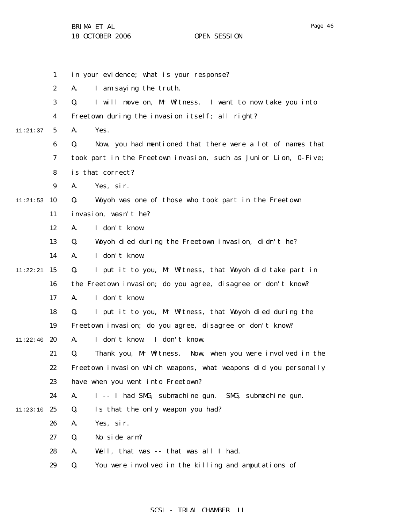|          | $\mathbf{1}$     | in your evidence; what is your response?                         |
|----------|------------------|------------------------------------------------------------------|
|          | $\boldsymbol{2}$ | I am saying the truth.<br>A.                                     |
|          | 3                | I will move on, Mr Witness. I want to now take you into<br>Q.    |
|          | 4                | Freetown during the invasion itself; all right?                  |
| 11:21:37 | $5\phantom{.0}$  | A.<br>Yes.                                                       |
|          | $\boldsymbol{6}$ | Q.<br>Now, you had mentioned that there were a lot of names that |
|          | 7                | took part in the Freetown invasion, such as Junior Lion, 0-Five; |
|          | 8                | is that correct?                                                 |
|          | 9                | A.<br>Yes, sir.                                                  |
| 11:21:53 | 10               | Woyoh was one of those who took part in the Freetown<br>Q.       |
|          | 11               | invasion, wasn't he?                                             |
|          | 12               | I don't know.<br>A.                                              |
|          | 13               | Woyoh died during the Freetown invasion, didn't he?<br>Q.        |
|          | 14               | I don't know.<br>A.                                              |
| 11:22:21 | 15               | Q.<br>I put it to you, Mr Witness, that Woyoh did take part in   |
|          | 16               | the Freetown invasion; do you agree, disagree or don't know?     |
|          | 17               | I don't know.<br>A.                                              |
|          | 18               | I put it to you, Mr Witness, that Woyoh died during the<br>Q.    |
|          | 19               | Freetown invasion; do you agree, disagree or don't know?         |
| 11:22:40 | 20               | I don't know. I don't know.<br>A.                                |
|          | 21               | Thank you, Mr Witness. Now, when you were involved in the<br>Q.  |
|          | 22               | Freetown invasion which weapons, what weapons did you personally |
|          | 23               | have when you went into Freetown?                                |
|          | 24               | I -- I had SMG, submachine gun. SMG, submachine gun.<br>A.       |
| 11:23:10 | 25               | Is that the only weapon you had?<br>Q.                           |
|          | 26               | A.<br>Yes, sir.                                                  |
|          | 27               | No side arm?<br>Q.                                               |
|          | 28               | A.<br>Well, that was -- that was all I had.                      |
|          | 29               | You were involved in the killing and amputations of<br>Q.        |
|          |                  |                                                                  |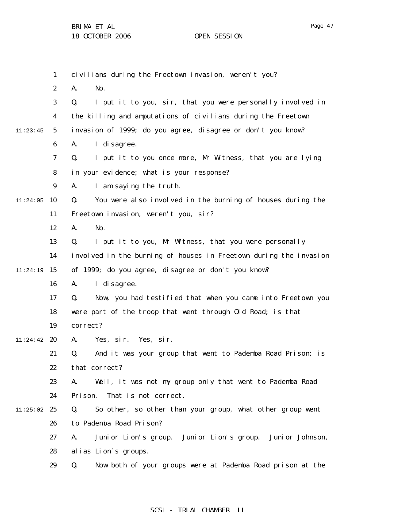|          | 1                | civilians during the Freetown invasion, weren't you?               |
|----------|------------------|--------------------------------------------------------------------|
|          | $\boldsymbol{2}$ | A.<br>No.                                                          |
|          | 3                | I put it to you, sir, that you were personally involved in<br>Q.   |
|          | $\boldsymbol{4}$ | the killing and amputations of civilians during the Freetown       |
| 11:23:45 | $5\overline{)}$  | invasion of 1999; do you agree, disagree or don't you know?        |
|          | 6                | I di sagree.<br>A.                                                 |
|          | 7                | I put it to you once more, Mr Witness, that you are lying<br>Q.    |
|          | 8                | in your evidence; what is your response?                           |
|          | 9                | I am saying the truth.<br>A.                                       |
| 11:24:05 | 10               | You were also involved in the burning of houses during the<br>Q.   |
|          | 11               | Freetown invasion, weren't you, sir?                               |
|          | 12               | No.<br>A.                                                          |
|          | 13               | I put it to you, Mr Witness, that you were personally<br>Q.        |
|          | 14               | involved in the burning of houses in Freetown during the invasion  |
| 11:24:19 | 15               | of 1999; do you agree, disagree or don't you know?                 |
|          | 16               | I di sagree.<br>A.                                                 |
|          | 17               | Now, you had testified that when you came into Freetown you<br>Q.  |
|          | 18               | were part of the troop that went through Old Road; is that         |
|          | 19               | correct?                                                           |
| 11:24:42 | 20               | Yes, sir. Yes, sir.<br>A.                                          |
|          | 21               | And it was your group that went to Pademba Road Prison; is<br>Q.   |
|          | 22               | that correct?                                                      |
|          | 23               | Well, it was not my group only that went to Pademba Road<br>A.     |
|          | 24               | That is not correct.<br>Pri son.                                   |
| 11:25:02 | 25               | So other, so other than your group, what other group went<br>Q.    |
|          | 26               | to Pademba Road Prison?                                            |
|          | 27               | Juni or Lion's group. Juni or Lion's group. Juni or Johnson,<br>A. |
|          | 28               | alias Lion's groups.                                               |
|          | 29               | Now both of your groups were at Pademba Road prison at the<br>Q.   |
|          |                  |                                                                    |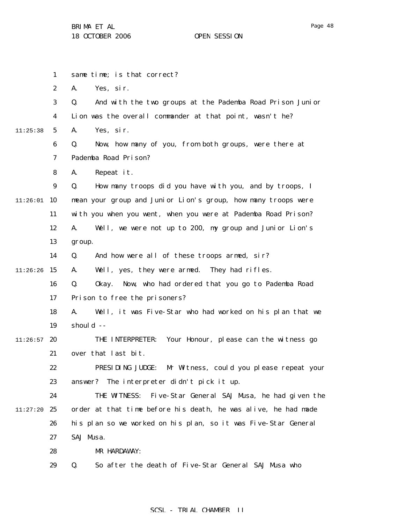Page 48

|          | 1                | same time; is that correct?                                     |
|----------|------------------|-----------------------------------------------------------------|
|          | $\boldsymbol{2}$ | Yes, sir.<br>A.                                                 |
|          | 3                | And with the two groups at the Pademba Road Prison Junior<br>Q. |
|          | 4                | Lion was the overall commander at that point, wasn't he?        |
| 11:25:38 | 5                | Yes, sir.<br>A.                                                 |
|          | 6                | Now, how many of you, from both groups, were there at<br>Q.     |
|          | 7                | Pademba Road Prison?                                            |
|          | 8                | Repeat it.<br>A.                                                |
|          | 9                | How many troops did you have with you, and by troops, I<br>Q.   |
| 11:26:01 | 10               | mean your group and Junior Lion's group, how many troops were   |
|          | 11               | with you when you went, when you were at Pademba Road Prison?   |
|          | 12               | A.<br>Well, we were not up to 200, my group and Junior Lion's   |
|          | 13               | group.                                                          |
|          | 14               | And how were all of these troops armed, sir?<br>Q.              |
| 11:26:26 | 15               | Well, yes, they were armed. They had rifles.<br>A.              |
|          | 16               | Q.<br>Now, who had ordered that you go to Pademba Road<br>0kay. |
|          | 17               | Prison to free the prisoners?                                   |
|          | 18               | Well, it was Five-Star who had worked on his plan that we<br>A. |
|          | 19               | should --                                                       |
| 11:26:57 | 20               | Your Honour, please can the witness go<br>THE INTERPRETER:      |
|          | 21               | over that last bit.                                             |
|          | 22               | PRESIDING JUDGE:<br>Mr Witness, could you please repeat your    |
|          | 23               | answer? The interpreter didn't pick it up.                      |
|          | 24               | THE WITNESS:<br>Five-Star General SAJ Musa, he had given the    |
| 11:27:20 | 25               | order at that time before his death, he was alive, he had made  |
|          | 26               | his plan so we worked on his plan, so it was Five-Star General  |
|          | 27               | SAJ Musa.                                                       |
|          | 28               | MR HARDAWAY:                                                    |
|          | 29               | So after the death of Five-Star General SAJ Musa who<br>Q.      |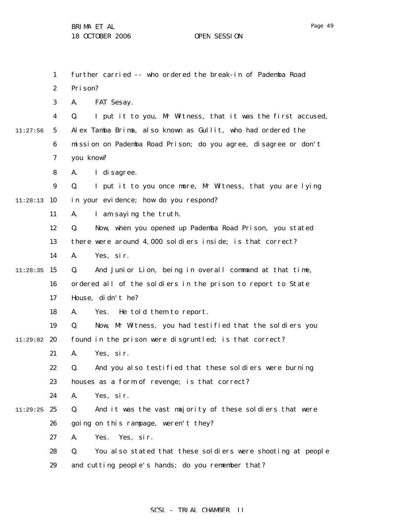|          | 1                | further carried -- who ordered the break-in of Pademba Road       |
|----------|------------------|-------------------------------------------------------------------|
|          | $\boldsymbol{2}$ | Prison?                                                           |
|          | 3                | FAT Sesay.<br>A.                                                  |
|          | 4                | I put it to you, Mr Witness, that it was the first accused,<br>Q. |
| 11:27:56 | $\mathbf{5}$     | Alex Tamba Brima, also known as Gullit, who had ordered the       |
|          | 6                | mission on Pademba Road Prison; do you agree, disagree or don't   |
|          | 7                | you know?                                                         |
|          | 8                | I di sagree.<br>A.                                                |
|          | 9                | I put it to you once more, Mr Witness, that you are lying<br>Q.   |
| 11:28:13 | 10               | in your evidence; how do you respond?                             |
|          | 11               | I am saying the truth.<br>A.                                      |
|          | 12               | Now, when you opened up Pademba Road Prison, you stated<br>Q.     |
|          | 13               | there were around 4,000 soldiers inside; is that correct?         |
|          | 14               | Yes, sir.<br>A.                                                   |
| 11:28:35 | 15               | And Junior Lion, being in overall command at that time,<br>Q.     |
|          | 16               | ordered all of the soldiers in the prison to report to State      |
|          | 17               | House, didn't he?                                                 |
|          | 18               | He told them to report.<br>Yes.<br>A.                             |
|          | 19               | Now, Mr Witness, you had testified that the soldiers you<br>Q.    |
| 11:29:02 | 20               | found in the prison were disgruntled; is that correct?            |
|          | 21               | A.<br>Yes, sir.                                                   |
|          | 22               | And you also testified that these soldiers were burning<br>Q.     |
|          | 23               | houses as a form of revenge; is that correct?                     |
|          | 24               | Yes, sir.<br>A.                                                   |
| 11:29:25 | 25               | Q.<br>And it was the vast majority of these soldiers that were    |
|          | 26               | going on this rampage, weren't they?                              |
|          | 27               | Yes. Yes, sir.<br>A.                                              |
|          | 28               | You also stated that these soldiers were shooting at people<br>Q. |
|          | 29               | and cutting people's hands; do you remember that?                 |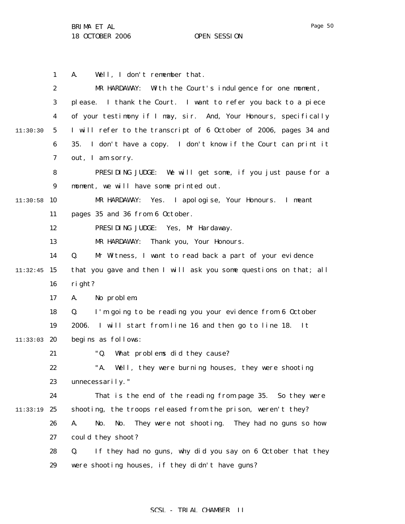|          | $\mathbf{1}$     | Well, I don't remember that.<br>A.                                  |
|----------|------------------|---------------------------------------------------------------------|
|          | $\boldsymbol{2}$ | MR HARDAWAY: With the Court's indulgence for one moment,            |
|          | $\boldsymbol{3}$ | please. I thank the Court. I want to refer you back to a piece      |
|          | $\boldsymbol{4}$ | of your testimony if I may, sir. And, Your Honours, specifically    |
| 11:30:30 | $5\overline{ }$  | I will refer to the transcript of 6 October of 2006, pages 34 and   |
|          | 6                | I don't have a copy. I don't know if the Court can print it<br>35.  |
|          | 7                | out, I am sorry.                                                    |
|          | 8                | PRESIDING JUDGE: We will get some, if you just pause for a          |
|          | 9                | moment, we will have some printed out.                              |
| 11:30:58 | <b>10</b>        | Yes. I apologise, Your Honours. I meant<br>MR HARDAWAY:             |
|          | 11               | pages 35 and 36 from 6 October.                                     |
|          | 12               | PRESIDING JUDGE: Yes, Mr Hardaway.                                  |
|          | 13               | Thank you, Your Honours.<br>MR HARDAWAY:                            |
|          | 14               | Q.<br>Mr Witness, I want to read back a part of your evidence       |
| 11:32:45 | 15               | that you gave and then I will ask you some questions on that; all   |
|          | 16               | right?                                                              |
|          | 17               | No problem.<br>A.                                                   |
|          | 18               | I'm going to be reading you your evidence from 6 October<br>Q.      |
|          | 19               | 2006.<br>I will start from line 16 and then go to line 18.<br>It    |
| 11:33:03 | -20              | begins as follows:                                                  |
|          | 21               | "Q.<br>What problems did they cause?                                |
|          | 22               | "A.<br>Well, they were burning houses, they were shooting           |
|          | 23               | unnecessarily."                                                     |
|          | 24               | That is the end of the reading from page 35. So they were           |
| 11:33:19 | 25               | shooting, the troops released from the prison, weren't they?        |
|          | 26               | No.<br>They were not shooting. They had no guns so how<br>A.<br>No. |
|          | 27               | could they shoot?                                                   |
|          | 28               | If they had no guns, why did you say on 6 October that they<br>Q.   |
|          | 29               | were shooting houses, if they didn't have guns?                     |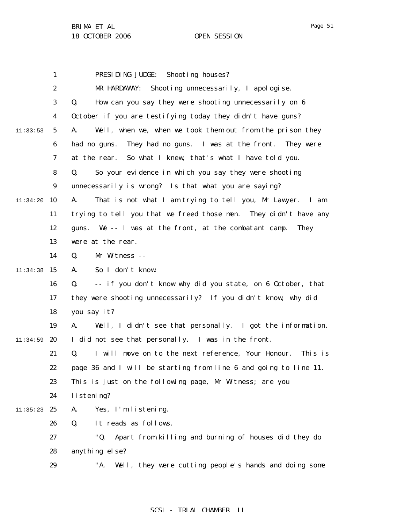|          | 1                | PRESIDING JUDGE:<br>Shooting houses?                                |
|----------|------------------|---------------------------------------------------------------------|
|          | $\boldsymbol{2}$ | MR HARDAWAY: Shooting unnecessarily, I apologise.                   |
|          | $\boldsymbol{3}$ | How can you say they were shooting unnecessarily on 6<br>Q.         |
|          | $\boldsymbol{4}$ | October if you are testifying today they didn't have guns?          |
| 11:33:53 | $\mathbf 5$      | A.<br>Well, when we, when we took them out from the prison they     |
|          | 6                | They had no guns. I was at the front. They were<br>had no guns.     |
|          | 7                | So what I knew, that's what I have told you.<br>at the rear.        |
|          | 8                | So your evidence in which you say they were shooting<br>Q.          |
|          | $\boldsymbol{9}$ | unnecessarily is wrong? Is that what you are saying?                |
| 11:34:20 | 10               | A.<br>That is not what I am trying to tell you, Mr Lawyer. I am     |
|          | 11               | trying to tell you that we freed those men. They didn't have any    |
|          | 12               | guns. We -- I was at the front, at the combatant camp.<br>They      |
|          | 13               | were at the rear.                                                   |
|          | 14               | Q.<br>Mr Witness --                                                 |
| 11:34:38 | 15               | So I don't know.<br>A.                                              |
|          | 16               | -- if you don't know why did you state, on 6 October, that<br>Q.    |
|          | 17               | they were shooting unnecessarily? If you didn't know, why did       |
|          | 18               | you say it?                                                         |
|          | 19               | Well, I didn't see that personally. I got the information.<br>A.    |
| 11:34:59 | 20               | I did not see that personally. I was in the front.                  |
|          | 21               | I will move on to the next reference, Your Honour.<br>Q.<br>This is |
|          | 22               | page 36 and I will be starting from line 6 and going to line 11.    |
|          | 23               | This is just on the following page, Mr Witness; are you             |
|          | 24               | listening?                                                          |
| 11:35:23 | 25               | Yes, I'm listening.<br>A.                                           |
|          | 26               | It reads as follows.<br>Q.                                          |
|          | 27               | "Q.<br>Apart from killing and burning of houses did they do         |
|          | 28               | anything else?                                                      |
|          | 29               | "A.<br>Well, they were cutting people's hands and doing some        |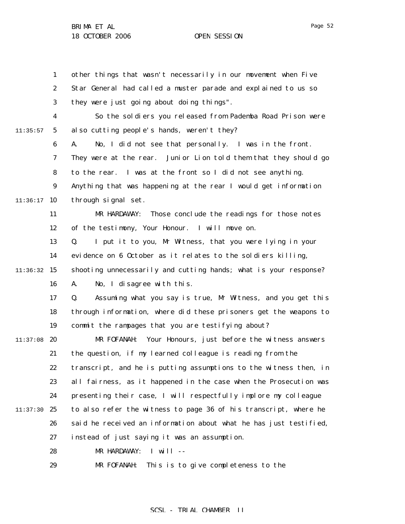1 2 3 4 5 6 7 8 9  $11:36:17$  10 11 12 13 14  $11:36:32$  15 16 17 18 19  $11:37:08$  20 21 22 23 24 11:37:30 25 26 27 28 29 11:35:57 other things that wasn't necessarily in our movement when Five Star General had called a muster parade and explained to us so they were just going about doing things". So the soldiers you released from Pademba Road Prison were also cutting people's hands, weren't they? A. No, I did not see that personally. I was in the front. They were at the rear. Junior Lion told them that they should go to the rear. I was at the front so I did not see anything. Anything that was happening at the rear I would get information through signal set. MR HARDAWAY: Those conclude the readings for those notes of the testimony, Your Honour. I will move on. Q. I put it to you, Mr Witness, that you were lying in your evidence on 6 October as it relates to the soldiers killing, shooting unnecessarily and cutting hands; what is your response? A. No, I disagree with this. Q. Assuming what you say is true, Mr Witness, and you get this through information, where did these prisoners get the weapons to commit the rampages that you are testifying about? MR FOFANAH: Your Honours, just before the witness answers the question, if my learned colleague is reading from the transcript, and he is putting assumptions to the witness then, in all fairness, as it happened in the case when the Prosecution was presenting their case, I will respectfully implore my colleague to also refer the witness to page 36 of his transcript, where he said he received an information about what he has just testified, instead of just saying it was an assumption. MR HARDAWAY: I will -- MR FOFANAH: This is to give completeness to the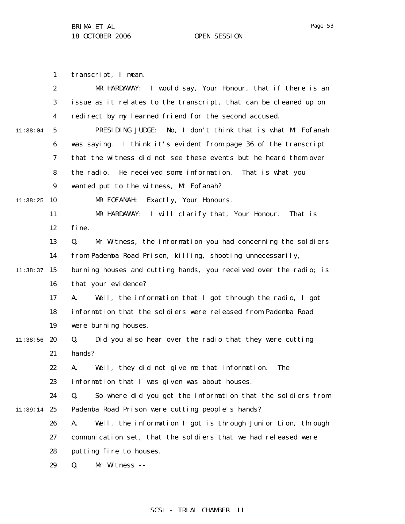Page 53

1 transcript, I mean.

|          | $\boldsymbol{2}$ | I would say, Your Honour, that if there is an<br>MR HARDAWAY:     |
|----------|------------------|-------------------------------------------------------------------|
|          | $\boldsymbol{3}$ | issue as it relates to the transcript, that can be cleaned up on  |
|          | $\boldsymbol{4}$ | redirect by my learned friend for the second accused.             |
| 11:38:04 | $\sqrt{5}$       | PRESIDING JUDGE:<br>No, I don't think that is what Mr Fofanah     |
|          | 6                | was saying. I think it's evident from page 36 of the transcript   |
|          | 7                | that the witness did not see these events but he heard them over  |
|          | 8                | the radio.<br>He received some information. That is what you      |
|          | $\boldsymbol{9}$ | wanted put to the witness, Mr Fofanah?                            |
| 11:38:25 | 10               | Exactly, Your Honours.<br>MR FOFANAH:                             |
|          | 11               | I will clarify that, Your Honour.<br>That is<br>MR HARDAWAY:      |
|          | 12               | fine.                                                             |
|          | 13               | Mr Witness, the information you had concerning the soldiers<br>Q. |
|          | 14               | from Pademba Road Prison, killing, shooting unnecessarily,        |
| 11:38:37 | 15               | burning houses and cutting hands, you received over the radio; is |
|          | 16               | that your evidence?                                               |
|          | 17               | Well, the information that I got through the radio, I got<br>A.   |
|          | 18               | information that the soldiers were released from Pademba Road     |
|          | 19               | were burning houses.                                              |
| 11:38:56 | 20               | Did you also hear over the radio that they were cutting<br>Q.     |
|          | 21               | hands?                                                            |
|          | 22               | Well, they did not give me that information.<br><b>The</b><br>A.  |
|          | 23               | information that I was given was about houses.                    |
|          | 24               | So where did you get the information that the soldiers from<br>Q. |
| 11:39:14 | 25               | Pademba Road Prison were cutting people's hands?                  |
|          | 26               | Well, the information I got is through Junior Lion, through<br>A. |
|          | 27               | communication set, that the soldiers that we had released were    |
|          | 28               | putting fire to houses.                                           |
|          | 29               | Q.<br>Mr Witness --                                               |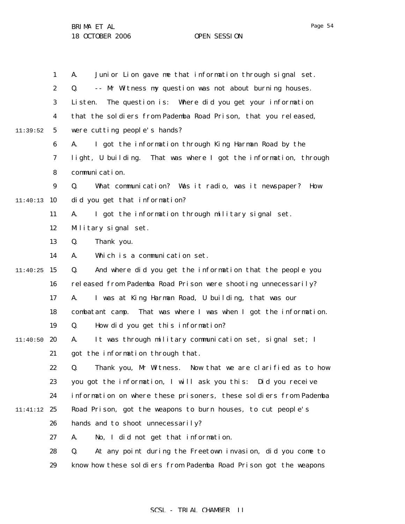1 2 3 4 5 6 7 8 9  $11:40:13$  10 11 12 13 14  $11:40:25$  15 16 17 18 19  $11:40:50$  20 21 22 23 24 11:41:12 25 26 27 28 29 11:39:52 A. Junior Lion gave me that information through signal set. Q. -- Mr Witness my question was not about burning houses. Listen. The question is: Where did you get your information that the soldiers from Pademba Road Prison, that you released, were cutting people's hands? A. I got the information through King Harman Road by the light, U building. That was where I got the information, through communication. Q. What communication? Was it radio, was it newspaper? How did you get that information? A. I got the information through military signal set. Military signal set. Q. Thank you. A. Which is a communication set. Q. And where did you get the information that the people you released from Pademba Road Prison were shooting unnecessarily? A. I was at King Harman Road, U building, that was our combatant camp. That was where I was when I got the information. Q. How did you get this information? A. It was through military communication set, signal set; I got the information through that. Q. Thank you, Mr Witness. Now that we are clarified as to how you got the information, I will ask you this: Did you receive information on where these prisoners, these soldiers from Pademba Road Prison, got the weapons to burn houses, to cut people's hands and to shoot unnecessarily? A. No, I did not get that information. Q. At any point during the Freetown invasion, did you come to know how these soldiers from Pademba Road Prison got the weapons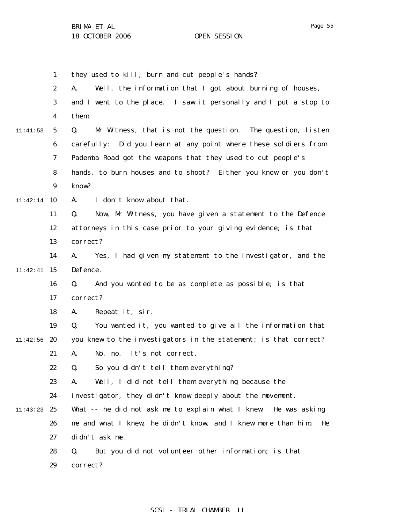1 2 3 4 5 6 7 8 9 11:42:14 10 11 12 13 14 11:42:41 15 16 17 18 19 11:42:56 20 21 22 23 24 11:43:23 25 26 27 28 29 11:41:53 they used to kill, burn and cut people's hands? A. Well, the information that I got about burning of houses, and I went to the place. I saw it personally and I put a stop to them. Q. Mr Witness, that is not the question. The question, listen carefully: Did you learn at any point where these soldiers from Pademba Road got the weapons that they used to cut people's hands, to burn houses and to shoot? Either you know or you don't know? A. I don't know about that. Q. Now, Mr Witness, you have given a statement to the Defence attorneys in this case prior to your giving evidence; is that correct? A. Yes, I had given my statement to the investigator, and the Defence. Q. And you wanted to be as complete as possible; is that correct? A. Repeat it, sir. Q. You wanted it, you wanted to give all the information that you knew to the investigators in the statement; is that correct? A. No, no. It's not correct. Q. So you didn't tell them everything? A. Well, I did not tell them everything because the investigator, they didn't know deeply about the movement. What -- he did not ask me to explain what I knew. He was asking me and what I knew, he didn't know, and I knew more than him. He didn't ask me. Q. But you did not volunteer other information; is that correct?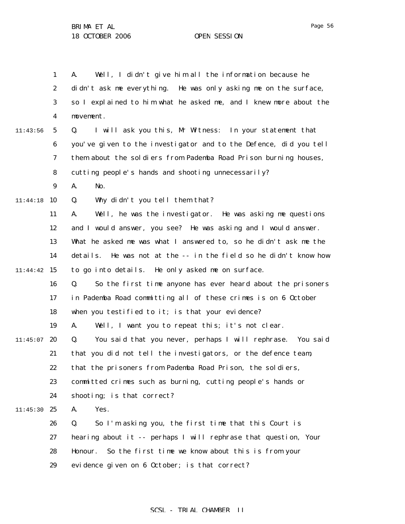1 2 3 4 5 6 7 8 9 11:44:18 10 11 12 13 14 11:44:42 15 16 17 18 19  $11:45:07$  20 21 22 23 24 11:45:30 25 26 27 28 29 11:43:56 A. Well, I didn't give him all the information because he didn't ask me everything. He was only asking me on the surface, so I explained to him what he asked me, and I knew more about the movement. Q. I will ask you this, Mr Witness: In your statement that you've given to the investigator and to the Defence, did you tell them about the soldiers from Pademba Road Prison burning houses, cutting people's hands and shooting unnecessarily? A. No. Q. Why didn't you tell them that? A. Well, he was the investigator. He was asking me questions and I would answer, you see? He was asking and I would answer. What he asked me was what I answered to, so he didn't ask me the details. He was not at the -- in the field so he didn't know how to go into details. He only asked me on surface. Q. So the first time anyone has ever heard about the prisoners in Pademba Road committing all of these crimes is on 6 October when you testified to it; is that your evidence? A. Well, I want you to repeat this; it's not clear. Q. You said that you never, perhaps I will rephrase. You said that you did not tell the investigators, or the defence team, that the prisoners from Pademba Road Prison, the soldiers, committed crimes such as burning, cutting people's hands or shooting; is that correct? A. Yes. Q. So I'm asking you, the first time that this Court is hearing about it -- perhaps I will rephrase that question, Your Honour. So the first time we know about this is from your evidence given on 6 October; is that correct?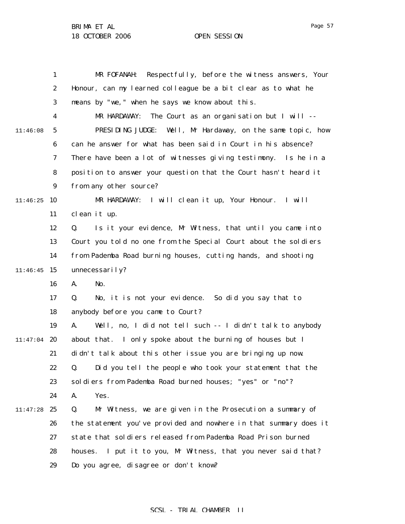Page 57

|          | 1                | Respectfully, before the witness answers, Your<br>MR FOFANAH:     |
|----------|------------------|-------------------------------------------------------------------|
|          | $\boldsymbol{2}$ | Honour, can my learned colleague be a bit clear as to what he     |
|          | 3                | means by "we," when he says we know about this.                   |
|          | $\boldsymbol{4}$ | The Court as an organisation but I will --<br>MR HARDAWAY:        |
| 11:46:08 | $\mathbf{5}$     | PRESIDING JUDGE: Well, Mr Hardaway, on the same topic, how        |
|          | 6                | can he answer for what has been said in Court in his absence?     |
|          | 7                | There have been a lot of witnesses giving testimony. Is he in a   |
|          | 8                | position to answer your question that the Court hasn't heard it   |
|          | $\boldsymbol{9}$ | from any other source?                                            |
| 11:46:25 | 10               | MR HARDAWAY: I will clean it up, Your Honour.<br>I will           |
|          | 11               | clean it up.                                                      |
|          | 12               | Is it your evidence, Mr Witness, that until you came into<br>Q.   |
|          | 13               | Court you told no one from the Special Court about the soldiers   |
|          | 14               | from Pademba Road burning houses, cutting hands, and shooting     |
| 11:46:45 | 15               | unnecessarily?                                                    |
|          | 16               | A.<br>No.                                                         |
|          | 17               | No, it is not your evidence. So did you say that to<br>Q.         |
|          | 18               | anybody before you came to Court?                                 |
|          | 19               | Well, no, I did not tell such -- I didn't talk to anybody<br>A.   |
| 11:47:04 | 20               | about that. I only spoke about the burning of houses but I        |
|          | 21               | didn't talk about this other issue you are bringing up now.       |
|          | 22               | Q. Did you tell the people who took your statement that the       |
|          | 23               | soldiers from Pademba Road burned houses; "yes" or "no"?          |
|          | 24               | A.<br>Yes.                                                        |
| 11:47:28 | 25               | Q.<br>Mr Witness, we are given in the Prosecution a summary of    |
|          | 26               | the statement you've provided and nowhere in that summary does it |
|          | 27               | state that soldiers released from Pademba Road Prison burned      |
|          | 28               | I put it to you, Mr Witness, that you never said that?<br>houses. |
|          | 29               | Do you agree, disagree or don't know?                             |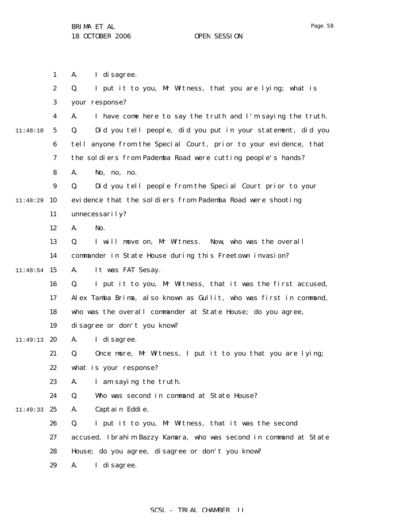Page 58

1 2 3 4 5 6 7 8 9 10 11 12 13 14  $11:48:54$  15 16 17 18 19 11:49:13 20 21 22 23 24 11:49:33 25 26 27 28 29 11:48:10 11:48:29 A. I disagree. Q. I put it to you, Mr Witness, that you are lying; what is your response? A. I have come here to say the truth and I'm saying the truth. Q. Did you tell people, did you put in your statement, did you tell anyone from the Special Court, prior to your evidence, that the soldiers from Pademba Road were cutting people's hands? A. No, no, no. Q. Did you tell people from the Special Court prior to your evidence that the soldiers from Pademba Road were shooting unnecessarily? A. No. Q. I will move on, Mr Witness. Now, who was the overall commander in State House during this Freetown invasion? A. It was FAT Sesay. Q. I put it to you, Mr Witness, that it was the first accused, Alex Tamba Brima, also known as Gullit, who was first in command, who was the overall commander at State House; do you agree, disagree or don't you know? A. I disagree. Q. Once more, Mr Witness, I put it to you that you are lying; what is your response? A. I am saying the truth. Q. Who was second in command at State House? A. Captain Eddie. Q. I put it to you, Mr Witness, that it was the second accused, Ibrahim Bazzy Kamara, who was second in command at State House; do you agree, disagree or don't you know? A. I disagree.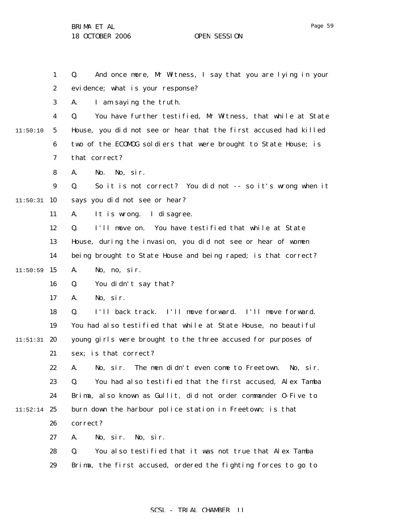Page 59

1 2 3 4 5 6 7 8 9  $11:50:31$  10 11 12 13 14  $11:50:59$  15 16 17 18 19  $11:51:31$  20 21 22 23 24  $11:52:14$  25 26 27 28 29 11:50:10 Q. And once more, Mr Witness, I say that you are lying in your evidence; what is your response? A. I am saying the truth. Q. You have further testified, Mr Witness, that while at State House, you did not see or hear that the first accused had killed two of the ECOMOG soldiers that were brought to State House; is that correct? A. No. No, sir. Q. So it is not correct? You did not -- so it's wrong when it says you did not see or hear? A. It is wrong. I disagree. Q. I'll move on. You have testified that while at State House, during the invasion, you did not see or hear of women being brought to State House and being raped; is that correct? A. No, no, sir. Q. You didn't say that? A. No, sir. Q. I'll back track. I'll move forward. I'll move forward. You had also testified that while at State House, no beautiful young girls were brought to the three accused for purposes of sex; is that correct? A. No, sir. The men didn't even come to Freetown. No, sir. Q. You had also testified that the first accused, Alex Tamba Brima, also known as Gullit, did not order commander O-Five to burn down the harbour police station in Freetown; is that correct? A. No, sir. No, sir. Q. You also testified that it was not true that Alex Tamba Brima, the first accused, ordered the fighting forces to go to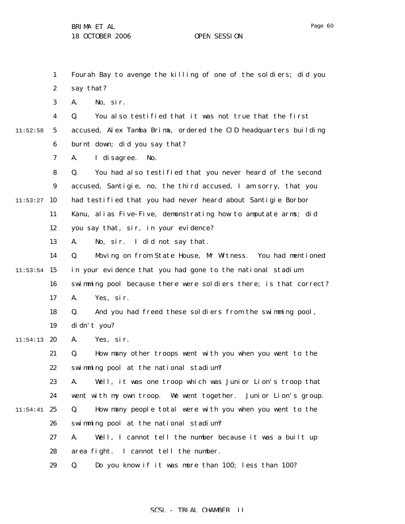Page 60

1 2 3 4 5 6 7 8 9  $11:53:27$  10 11 12 13 14  $11:53:54$  15 16 17 18 19  $11:54:13$  20 21 22 23 24  $11:54:41$  25 26 27 28 29 11:52:58 Fourah Bay to avenge the killing of one of the soldiers; did you say that? A. No, sir. Q. You also testified that it was not true that the first accused, Alex Tamba Brima, ordered the CID headquarters building burnt down; did you say that? A. I disagree. No. Q. You had also testified that you never heard of the second accused, Santigie, no, the third accused, I am sorry, that you had testified that you had never heard about Santigie Borbor Kanu, alias Five-Five, demonstrating how to amputate arms; did you say that, sir, in your evidence? A. No, sir. I did not say that. Q. Moving on from State House, Mr Witness. You had mentioned in your evidence that you had gone to the national stadium swimming pool because there were soldiers there; is that correct? A. Yes, sir. Q. And you had freed these soldiers from the swimming pool, didn't you? A. Yes, sir. Q. How many other troops went with you when you went to the swimming pool at the national stadium? A. Well, it was one troop which was Junior Lion's troop that went with my own troop. We went together. Junior Lion's group. Q. How many people total were with you when you went to the swimming pool at the national stadium? A. Well, I cannot tell the number because it was a built up area fight. I cannot tell the number. Q. Do you know if it was more than 100; less than 100?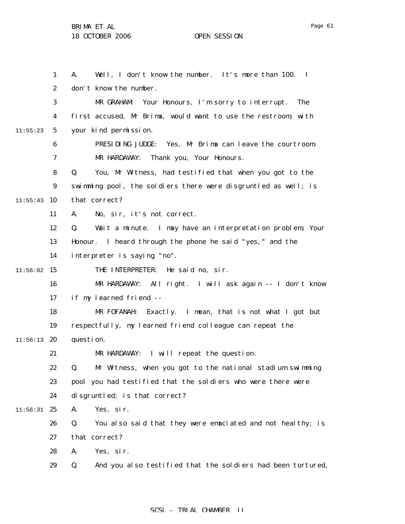1 2 3 4 5 6 7 8 9  $11:55:43$  10 11 12 13 14  $11:56:02$  15 16 17 18 19  $11:56:13$  20 21 22 23 24  $11:56:31$  25 26 27 28 29 11:55:23 A. Well, I don't know the number. It's more than 100. I don't know the number. MR GRAHAM: Your Honours, I'm sorry to interrupt. The first accused, Mr Brima, would want to use the restroom, with your kind permission. PRESIDING JUDGE: Yes, Mr Brima can leave the courtroom. MR HARDAWAY: Thank you, Your Honours. Q. You, Mr Witness, had testified that when you got to the swimming pool, the soldiers there were disgruntled as well; is that correct? A. No, sir, it's not correct. Q. Wait a minute. I may have an interpretation problem, Your Honour. I heard through the phone he said "yes," and the interpreter is saying "no". THE INTERPRETER: He said no, sir. MR HARDAWAY: All right. I will ask again -- I don't know if my learned friend -- MR FOFANAH: Exactly. I mean, that is not what I got but respectfully, my learned friend colleague can repeat the question. MR HARDAWAY: I will repeat the question. Q. Mr Witness, when you got to the national stadium swimming pool you had testified that the soldiers who were there were disgruntled; is that correct? A. Yes, sir. Q. You also said that they were emaciated and not healthy; is that correct? A. Yes, sir. Q. And you also testified that the soldiers had been tortured,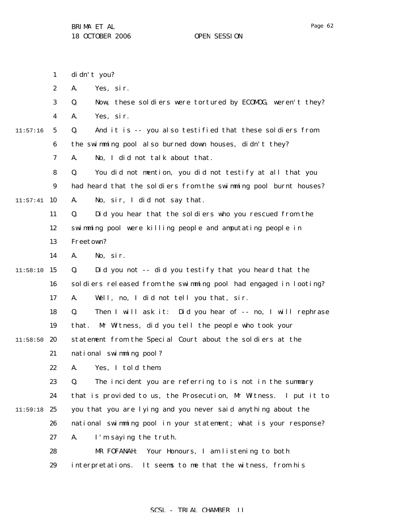|          | $\mathbf{1}$     | di dn't you?                                                     |
|----------|------------------|------------------------------------------------------------------|
|          | $\boldsymbol{2}$ | Yes, sir.<br>A.                                                  |
|          | 3                | Now, these soldiers were tortured by ECOMDG, weren't they?<br>Q. |
|          | 4                | Yes, sir.<br>A.                                                  |
| 11:57:16 | $\mathbf{5}$     | And it is -- you also testified that these soldiers from<br>Q.   |
|          | $\boldsymbol{6}$ | the swimming pool also burned down houses, didn't they?          |
|          | 7                | No, I did not talk about that.<br>A.                             |
|          | 8                | You did not mention, you did not testify at all that you<br>Q.   |
|          | 9                | had heard that the soldiers from the swimming pool burnt houses? |
| 11:57:41 | 10               | No, sir, I did not say that.<br>A.                               |
|          | 11               | Did you hear that the soldiers who you rescued from the<br>Q.    |
|          | 12               | swimming pool were killing people and amputating people in       |
|          | 13               | Freetown?                                                        |
|          | 14               | No, sir.<br>A.                                                   |
| 11:58:10 | 15               | Did you not -- did you testify that you heard that the<br>Q.     |
|          | 16               | soldiers released from the swimming pool had engaged in looting? |
|          | 17               | Well, no, I did not tell you that, sir.<br>A.                    |
|          | 18               | Then I will ask it: Did you hear of -- no, I will rephrase<br>Q. |
|          | 19               | Mr Witness, did you tell the people who took your<br>that.       |
| 11:58:50 | 20               | statement from the Special Court about the soldiers at the       |
|          | 21               | national swimming pool?                                          |
|          | 22               | A. Yes, I told them.                                             |
|          | 23               | The incident you are referring to is not in the summary<br>Q.    |
|          | 24               | that is provided to us, the Prosecution, Mr Witness. I put it to |
| 11:59:18 | 25               | you that you are lying and you never said anything about the     |
|          | 26               | national swimming pool in your statement; what is your response? |
|          | 27               | I'm saying the truth.<br>A.                                      |
|          | 28               | Your Honours, I am listening to both<br>MR FOFANAH:              |
|          | 29               | interpretations. It seems to me that the witness, from his       |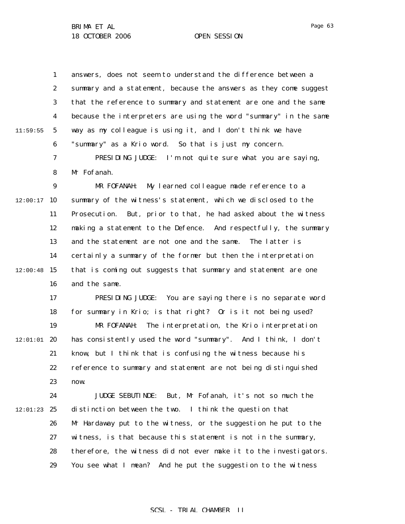1 2 3 4 5 6 11:59:55 answers, does not seem to understand the difference between a summary and a statement, because the answers as they come suggest that the reference to summary and statement are one and the same because the interpreters are using the word "summary" in the same way as my colleague is using it, and I don't think we have "summary" as a Krio word. So that is just my concern.

> 7 8 PRESIDING JUDGE: I'm not quite sure what you are saying, Mr Fofanah.

9  $12:00:17$  10 11 12 13 14  $12:00:48$  15 16 MR FOFANAH: My learned colleague made reference to a summary of the witness's statement, which we disclosed to the Prosecution. But, prior to that, he had asked about the witness making a statement to the Defence. And respectfully, the summary and the statement are not one and the same. The latter is certainly a summary of the former but then the interpretation that is coming out suggests that summary and statement are one and the same.

17 18 19  $12:01:01$  20 21 22 23 PRESIDING JUDGE: You are saying there is no separate word for summary in Krio; is that right? Or is it not being used? MR FOFANAH: The interpretation, the Krio interpretation has consistently used the word "summary". And I think, I don't know, but I think that is confusing the witness because his reference to summary and statement are not being distinguished now.

24  $12:01:23$  25 26 27 28 29 JUDGE SEBUTINDE: But, Mr Fofanah, it's not so much the distinction between the two. I think the question that Mr Hardaway put to the witness, or the suggestion he put to the witness, is that because this statement is not in the summary, therefore, the witness did not ever make it to the investigators. You see what I mean? And he put the suggestion to the witness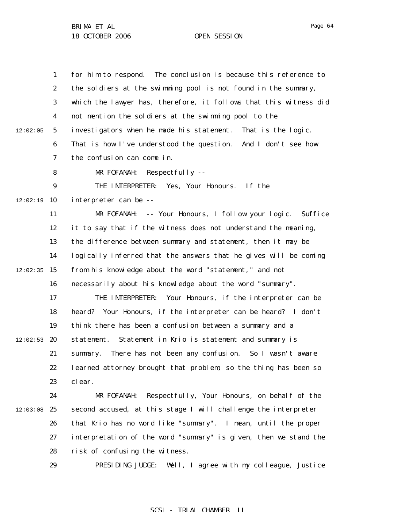1 2 3 4 5 6 7 8 9  $12:02:19$  10 11 12 13 14  $12:02:35$  15 16 17 18 19  $12:02:53$  20 21 22 23 24  $12:03:08$  25 26 27 28 29 12:02:05 for him to respond. The conclusion is because this reference to the soldiers at the swimming pool is not found in the summary, which the lawyer has, therefore, it follows that this witness did not mention the soldiers at the swimming pool to the investigators when he made his statement. That is the logic. That is how I've understood the question. And I don't see how the confusion can come in. MR FOFANAH: Respectfully -- THE INTERPRETER: Yes, Your Honours. If the interpreter can be -- MR FOFANAH: -- Your Honours, I follow your logic. Suffice it to say that if the witness does not understand the meaning, the difference between summary and statement, then it may be logically inferred that the answers that he gives will be coming from his knowledge about the word "statement," and not necessarily about his knowledge about the word "summary". THE INTERPRETER: Your Honours, if the interpreter can be heard? Your Honours, if the interpreter can be heard? I don't think there has been a confusion between a summary and a statement. Statement in Krio is statement and summary is summary. There has not been any confusion. So I wasn't aware learned attorney brought that problem, so the thing has been so clear. MR FOFANAH: Respectfully, Your Honours, on behalf of the second accused, at this stage I will challenge the interpreter that Krio has no word like "summary". I mean, until the proper interpretation of the word "summary" is given, then we stand the risk of confusing the witness. PRESIDING JUDGE: Well, I agree with my colleague, Justice

### SCSL - TRIAL CHAMBER II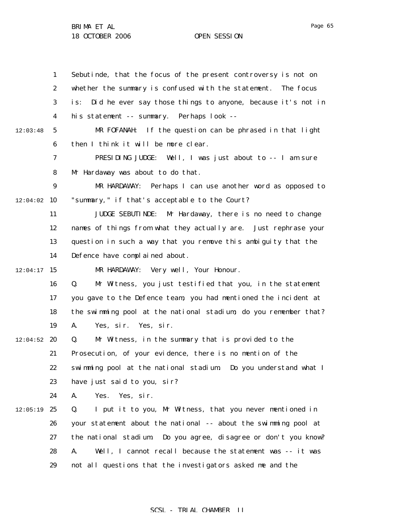1 2 3 4 5 6 7 8 9  $12:04:02$  10 11 12 13 14  $12:04:17$  15 16 17 18 19  $12:04:52$  20 21 22 23 24  $12:05:19$  25 26 27 28 29 12:03:48 Sebutinde, that the focus of the present controversy is not on whether the summary is confused with the statement. The focus is: Did he ever say those things to anyone, because it's not in his statement -- summary. Perhaps look -- MR FOFANAH: If the question can be phrased in that light then I think it will be more clear. PRESIDING JUDGE: Well, I was just about to -- I am sure Mr Hardaway was about to do that. MR HARDAWAY: Perhaps I can use another word as opposed to "summary," if that's acceptable to the Court? JUDGE SEBUTINDE: Mr Hardaway, there is no need to change names of things from what they actually are. Just rephrase your question in such a way that you remove this ambiguity that the Defence have complained about. MR HARDAWAY: Very well, Your Honour. Q. Mr Witness, you just testified that you, in the statement you gave to the Defence team, you had mentioned the incident at the swimming pool at the national stadium; do you remember that? A. Yes, sir. Yes, sir. Q. Mr Witness, in the summary that is provided to the Prosecution, of your evidence, there is no mention of the swimming pool at the national stadium. Do you understand what I have just said to you, sir? A. Yes. Yes, sir. Q. I put it to you, Mr Witness, that you never mentioned in your statement about the national -- about the swimming pool at the national stadium. Do you agree, disagree or don't you know? A. Well, I cannot recall because the statement was -- it was not all questions that the investigators asked me and the

## SCSL - TRIAL CHAMBER II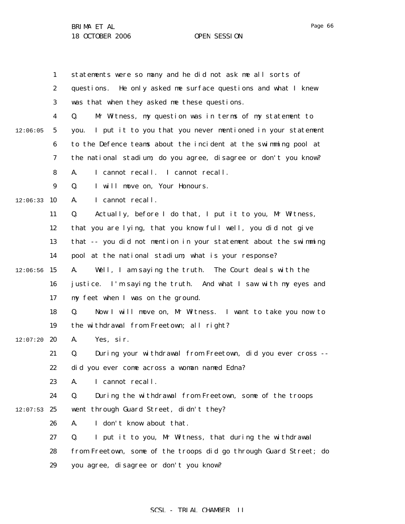|          | 1                | statements were so many and he did not ask me all sorts of         |
|----------|------------------|--------------------------------------------------------------------|
|          | $\boldsymbol{2}$ | He only asked me surface questions and what I knew<br>questions.   |
|          | 3                | was that when they asked me these questions.                       |
|          | 4                | Mr Witness, my question was in terms of my statement to<br>Q.      |
| 12:06:05 | 5                | I put it to you that you never mentioned in your statement<br>you. |
|          | 6                | to the Defence teams about the incident at the swimming pool at    |
|          | 7                | the national stadium; do you agree, disagree or don't you know?    |
|          | 8                | I cannot recall. I cannot recall.<br>A.                            |
|          | 9                | I will move on, Your Honours.<br>Q.                                |
| 12:06:33 | 10               | I cannot recall.<br>A.                                             |
|          | 11               | Actually, before I do that, I put it to you, Mr Witness,<br>Q.     |
|          | 12               | that you are lying, that you know full well, you did not give      |
|          | 13               | that -- you did not mention in your statement about the swimming   |
|          | 14               | pool at the national stadium; what is your response?               |
| 12:06:56 | 15               | Well, I am saying the truth. The Court deals with the<br>A.        |
|          | 16               | justice. I'm saying the truth. And what I saw with my eyes and     |
|          | 17               | my feet when I was on the ground.                                  |
|          | 18               | Now I will move on, Mr Witness. I want to take you now to<br>Q.    |
|          | 19               | the withdrawal from Freetown; all right?                           |
| 12:07:20 | 20               | Yes, sir.<br>A.                                                    |
|          | 21               | During your withdrawal from Freetown, did you ever cross --<br>Q.  |
|          | 22               | did you ever come across a woman named Edna?                       |
|          | 23               | I cannot recall.<br>A.                                             |
|          | 24               | During the withdrawal from Freetown, some of the troops<br>Q.      |
| 12:07:53 | 25               | went through Guard Street, didn't they?                            |
|          | 26               | I don't know about that.<br>A.                                     |
|          | 27               | I put it to you, Mr Witness, that during the withdrawal<br>Q.      |
|          | 28               | from Freetown, some of the troops did go through Guard Street; do  |
|          | 29               | you agree, disagree or don't you know?                             |

# SCSL - TRIAL CHAMBER II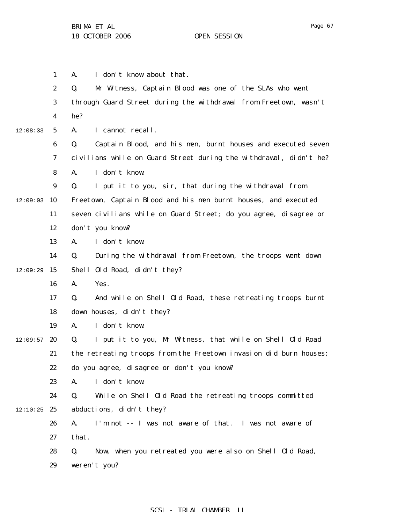1 2 3 4 5 6 7 8 9  $12:09:03$  10 11 12 13 14  $12:09:29$  15 16 17 18 19  $12:09:57$  20 21 22 23 24  $12:10:25$  25 26 27 28 29 12:08:33 A. I don't know about that. Q. Mr Witness, Captain Blood was one of the SLAs who went through Guard Street during the withdrawal from Freetown, wasn't he? A. I cannot recall. Q. Captain Blood, and his men, burnt houses and executed seven civilians while on Guard Street during the withdrawal, didn't he? A. I don't know. Q. I put it to you, sir, that during the withdrawal from Freetown, Captain Blood and his men burnt houses, and executed seven civilians while on Guard Street; do you agree, disagree or don't you know? A. I don't know. Q. During the withdrawal from Freetown, the troops went down Shell Old Road, didn't they? A. Yes. Q. And while on Shell Old Road, these retreating troops burnt down houses, didn't they? A. I don't know. Q. I put it to you, Mr Witness, that while on Shell Old Road the retreating troops from the Freetown invasion did burn houses; do you agree, disagree or don't you know? A. I don't know. Q. While on Shell Old Road the retreating troops committed abductions, didn't they? A. I'm not -- I was not aware of that. I was not aware of that. Q. Now, when you retreated you were also on Shell Old Road, weren't you?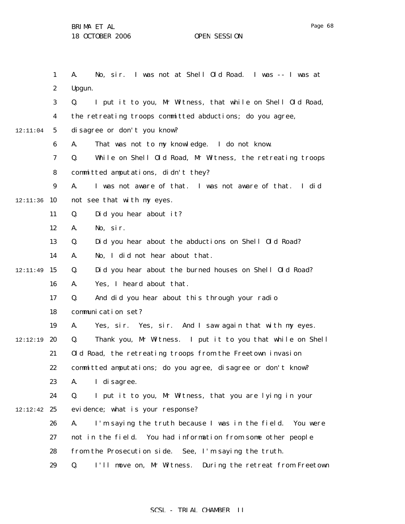1 2 3 4 5 6 7 8 9 12:11:36 10 11 12 13 14 12:11:49 15 16 17 18 19 12:12:19 **20** 21 22 23 24  $12:12:42$  25 26 27 28 29 12:11:04 A. No, sir. I was not at Shell Old Road. I was -- I was at Upgun. Q. I put it to you, Mr Witness, that while on Shell Old Road, the retreating troops committed abductions; do you agree, disagree or don't you know? A. That was not to my knowledge. I do not know. Q. While on Shell Old Road, Mr Witness, the retreating troops committed amputations, didn't they? A. I was not aware of that. I was not aware of that. I did not see that with my eyes. Q. Did you hear about it? A. No, sir. Q. Did you hear about the abductions on Shell Old Road? A. No, I did not hear about that. Q. Did you hear about the burned houses on Shell Old Road? A. Yes, I heard about that. Q. And did you hear about this through your radio communication set? A. Yes, sir. Yes, sir. And I saw again that with my eyes. Q. Thank you, Mr Witness. I put it to you that while on Shell Old Road, the retreating troops from the Freetown invasion committed amputations; do you agree, disagree or don't know? A. I disagree. Q. I put it to you, Mr Witness, that you are lying in your evidence; what is your response? A. I'm saying the truth because I was in the field. You were not in the field. You had information from some other people from the Prosecution side. See, I'm saying the truth. Q. I'll move on, Mr Witness. During the retreat from Freetown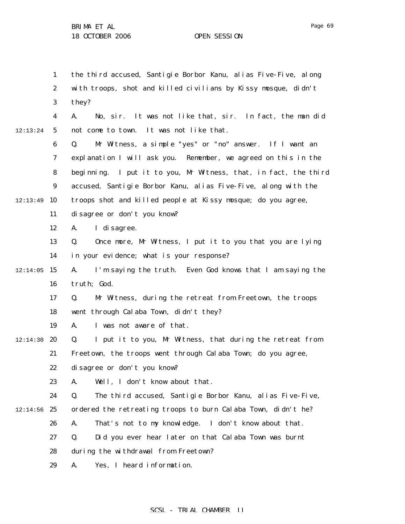1 2 3 4 5 6 7 8 9 12:13:49 10 11 12 13 14  $12:14:05$  15 16 17 18 19  $12:14:30$  20 21 22 23 24  $12:14:56$  25 26 27 28 29 12:13:24 the third accused, Santigie Borbor Kanu, alias Five-Five, along with troops, shot and killed civilians by Kissy mosque, didn't they? A. No, sir. It was not like that, sir. In fact, the man did not come to town. It was not like that. Q. Mr Witness, a simple "yes" or "no" answer. If I want an explanation I will ask you. Remember, we agreed on this in the beginning. I put it to you, Mr Witness, that, in fact, the third accused, Santigie Borbor Kanu, alias Five-Five, along with the troops shot and killed people at Kissy mosque; do you agree, disagree or don't you know? A. I disagree. Q. Once more, Mr Witness, I put it to you that you are lying in your evidence; what is your response? A. I'm saying the truth. Even God knows that I am saying the truth; God. Q. Mr Witness, during the retreat from Freetown, the troops went through Calaba Town, didn't they? A. I was not aware of that. Q. I put it to you, Mr Witness, that during the retreat from Freetown, the troops went through Calaba Town; do you agree, disagree or don't you know? A. Well, I don't know about that. Q. The third accused, Santigie Borbor Kanu, alias Five-Five, ordered the retreating troops to burn Calaba Town, didn't he? A. That's not to my knowledge. I don't know about that. Q. Did you ever hear later on that Calaba Town was burnt during the withdrawal from Freetown? A. Yes, I heard information.

Page 69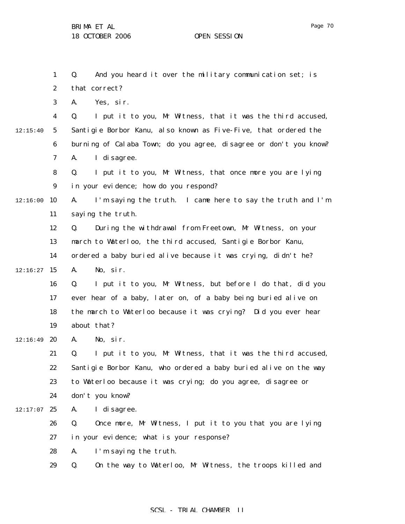1 2 3 4 5 6 7 8 9  $12:16:00$  10 11 12 13 14  $12:16:27$  15 16 17 18 19  $12:16:49$  20 21 22 23 24  $12:17:07$  25 26 27 28 29 12:15:40 Q. And you heard it over the military communication set; is that correct? A. Yes, sir. Q. I put it to you, Mr Witness, that it was the third accused, Santigie Borbor Kanu, also known as Five-Five, that ordered the burning of Calaba Town; do you agree, disagree or don't you know? A. I disagree. Q. I put it to you, Mr Witness, that once more you are lying in your evidence; how do you respond? A. I'm saying the truth. I came here to say the truth and I'm saying the truth. Q. During the withdrawal from Freetown, Mr Witness, on your march to Waterloo, the third accused, Santigie Borbor Kanu, ordered a baby buried alive because it was crying, didn't he? A. No, sir. Q. I put it to you, Mr Witness, but before I do that, did you ever hear of a baby, later on, of a baby being buried alive on the march to Waterloo because it was crying? Did you ever hear about that? A. No, sir. Q. I put it to you, Mr Witness, that it was the third accused, Santigie Borbor Kanu, who ordered a baby buried alive on the way to Waterloo because it was crying; do you agree, disagree or don't you know? A. I disagree. Q. Once more, Mr Witness, I put it to you that you are lying in your evidence; what is your response? A. I'm saying the truth. Q. On the way to Waterloo, Mr Witness, the troops killed and

## SCSL - TRIAL CHAMBER II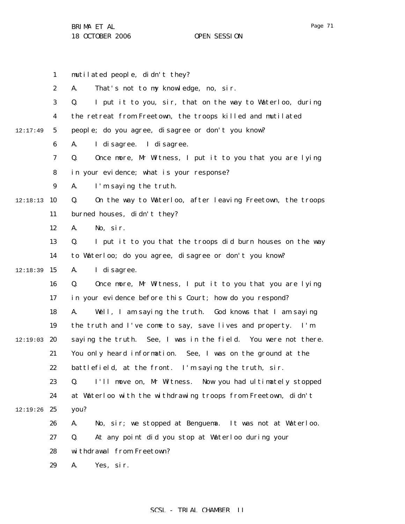|          | $\mathbf{1}$     | mutilated people, didn't they?                                    |
|----------|------------------|-------------------------------------------------------------------|
|          | $\boldsymbol{2}$ | That's not to my knowledge, no, sir.<br>A.                        |
|          | 3                | I put it to you, sir, that on the way to Waterloo, during<br>Q.   |
|          | 4                | the retreat from Freetown, the troops killed and mutilated        |
| 12:17:49 | $\mathbf 5$      | people; do you agree, disagree or don't you know?                 |
|          | 6                | I di sagree. I di sagree.<br>A.                                   |
|          | 7                | Q.<br>Once more, Mr Witness, I put it to you that you are lying   |
|          | 8                | in your evidence; what is your response?                          |
|          | $\boldsymbol{9}$ | I'm saying the truth.<br>A.                                       |
| 12:18:13 | 10               | On the way to Waterloo, after leaving Freetown, the troops<br>Q.  |
|          | 11               | burned houses, didn't they?                                       |
|          | 12               | No, sir.<br>A.                                                    |
|          | 13               | I put it to you that the troops did burn houses on the way<br>Q.  |
|          | 14               | to Waterloo; do you agree, disagree or don't you know?            |
| 12:18:39 | 15               | I di sagree.<br>A.                                                |
|          | 16               | Once more, Mr Witness, I put it to you that you are lying<br>Q.   |
|          | 17               | in your evidence before this Court; how do you respond?           |
|          | 18               | Well, I am saying the truth. God knows that I am saying<br>A.     |
|          | 19               | the truth and I've come to say, save lives and property. I'm      |
| 12:19:03 | 20               | saying the truth. See, I was in the field. You were not there.    |
|          | 21               | You only heard information. See, I was on the ground at the       |
|          | 22               | battlefield, at the front. I'm saying the truth, sir.             |
|          | 23               | I'll move on, Mr Witness.<br>Now you had ultimately stopped<br>Q. |
|          | 24               | at Waterloo with the withdrawing troops from Freetown, didn't     |
| 12:19:26 | 25               | you?                                                              |
|          | 26               | No, sir; we stopped at Benguema. It was not at Waterloo.<br>A.    |
|          | 27               | At any point did you stop at Waterloo during your<br>Q.           |
|          | 28               | withdrawal from Freetown?                                         |
|          | 29               | Yes, sir.<br>A.                                                   |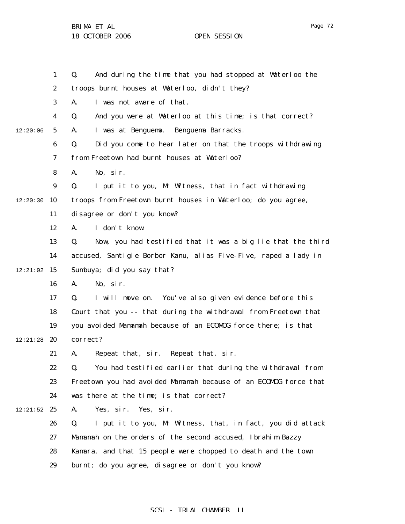1 2 3 4 5 6 7 8 9  $12:20:30$  10 11 12 13 14  $12:21:02$  15 16 17 18 19 12:21:28 **20** 21 22 23 24  $12:21:52$  25 26 27 28 29 12:20:06 Q. And during the time that you had stopped at Waterloo the troops burnt houses at Waterloo, didn't they? A. I was not aware of that. Q. And you were at Waterloo at this time; is that correct? A. I was at Benguema. Benguema Barracks. Q. Did you come to hear later on that the troops withdrawing from Freetown had burnt houses at Waterloo? A. No, sir. Q. I put it to you, Mr Witness, that in fact withdrawing troops from Freetown burnt houses in Waterloo; do you agree, disagree or don't you know? A. I don't know. Q. Now, you had testified that it was a big lie that the third accused, Santigie Borbor Kanu, alias Five-Five, raped a lady in Sumbuya; did you say that? A. No, sir. Q. I will move on. You've also given evidence before this Court that you -- that during the withdrawal from Freetown that you avoided Mamamah because of an ECOMOG force there; is that correct? A. Repeat that, sir. Repeat that, sir. Q. You had testified earlier that during the withdrawal from Freetown you had avoided Mamamah because of an ECOMOG force that was there at the time; is that correct? A. Yes, sir. Yes, sir. Q. I put it to you, Mr Witness, that, in fact, you did attack Mamamah on the orders of the second accused, Ibrahim Bazzy Kamara, and that 15 people were chopped to death and the town burnt; do you agree, disagree or don't you know?

SCSL - TRIAL CHAMBER II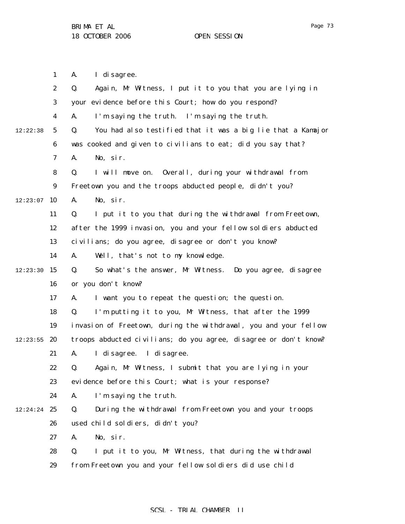1

Page 73

2 3 4 5 6 7 8 9  $12:23:07$  10 11 12 13 14  $12:23:30$  15 16 17 18 19  $12:23:55$  20 21 22 23 24 12:24:24 25 26 27 28 29 12:22:38 A. I disagree. Q. Again, Mr Witness, I put it to you that you are lying in your evidence before this Court; how do you respond? A. I'm saying the truth. I'm saying the truth. Q. You had also testified that it was a big lie that a Kamajor was cooked and given to civilians to eat; did you say that? A. No, sir. Q. I will move on. Overall, during your withdrawal from Freetown you and the troops abducted people, didn't you? A. No, sir. Q. I put it to you that during the withdrawal from Freetown, after the 1999 invasion, you and your fellow soldiers abducted civilians; do you agree, disagree or don't you know? A. Well, that's not to my knowledge. Q. So what's the answer, Mr Witness. Do you agree, disagree or you don't know? A. I want you to repeat the question; the question. Q. I'm putting it to you, Mr Witness, that after the 1999 invasion of Freetown, during the withdrawal, you and your fellow troops abducted civilians; do you agree, disagree or don't know? A. I disagree. I disagree. Q. Again, Mr Witness, I submit that you are lying in your evidence before this Court; what is your response? A. I'm saying the truth. Q. During the withdrawal from Freetown you and your troops used child soldiers, didn't you? A. No, sir. Q. I put it to you, Mr Witness, that during the withdrawal from Freetown you and your fellow soldiers did use child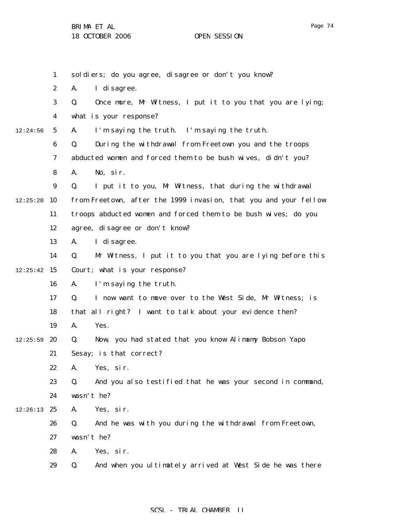|          | $\mathbf{1}$     | soldiers; do you agree, disagree or don't you know?              |
|----------|------------------|------------------------------------------------------------------|
|          | $\boldsymbol{2}$ | I di sagree.<br>A.                                               |
|          | 3                | Q.<br>Once more, Mr Witness, I put it to you that you are lying; |
|          | $\boldsymbol{4}$ | what is your response?                                           |
| 12:24:56 | $\mathbf{5}$     | I'm saying the truth. I'm saying the truth.<br>A.                |
|          | 6                | During the withdrawal from Freetown you and the troops<br>Q.     |
|          | 7                | abducted women and forced them to be bush wives, didn't you?     |
|          | 8                | No, sir.<br>A.                                                   |
|          | $\boldsymbol{9}$ | Q.<br>I put it to you, Mr Witness, that during the withdrawal    |
| 12:25:20 | 10               | from Freetown, after the 1999 invasion, that you and your fellow |
|          | 11               | troops abducted women and forced them to be bush wives; do you   |
|          | 12               | agree, disagree or don't know?                                   |
|          | 13               | I di sagree.<br>A.                                               |
|          | 14               | Mr Witness, I put it to you that you are lying before this<br>Q. |
| 12:25:42 | 15               | Court; what is your response?                                    |
|          | 16               | I'm saying the truth.<br>A.                                      |
|          | 17               | Q.<br>I now want to move over to the West Side, Mr Witness; is   |
|          | 18               | that all right? I want to talk about your evidence then?         |
|          | 19               | Yes.<br>A.                                                       |
| 12:25:59 | 20               | Now, you had stated that you know Alimamy Bobson Yapo<br>Q.      |
|          | 21               | Sesay; is that correct?                                          |
|          | 22               | Yes, sir.<br>A.                                                  |
|          | 23               | And you also testified that he was your second in command,<br>Q. |
|          | 24               | wasn't he?                                                       |
| 12:26:13 | 25               | Yes, sir.<br>A.                                                  |
|          | 26               | Q.<br>And he was with you during the withdrawal from Freetown,   |
|          | 27               | wasn't he?                                                       |
|          | 28               | A.<br>Yes, sir.                                                  |
|          | 29               | And when you ultimately arrived at West Side he was there<br>Q.  |
|          |                  |                                                                  |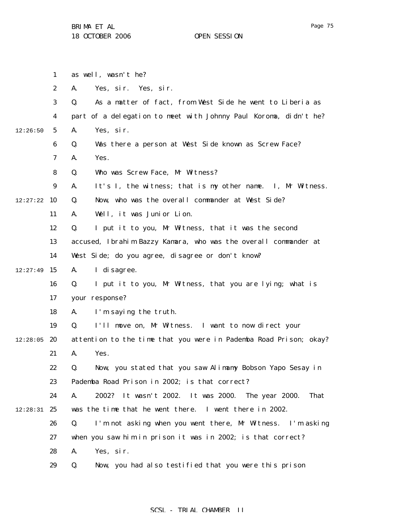1 2 3 4 5 6 7 8 9  $12:27:22$  10 11 12 13 14  $12:27:49$  15 16 17 18 19  $12:28:05$  20 21 22 23 24 12:28:31 25 26 27 28 29 12:26:50 as well, wasn't he? A. Yes, sir. Yes, sir. Q. As a matter of fact, from West Side he went to Liberia as part of a delegation to meet with Johnny Paul Koroma, didn't he? A. Yes, sir. Q. Was there a person at West Side known as Screw Face? A. Yes. Q. Who was Screw Face, Mr Witness? A. It's I, the witness; that is my other name. I, Mr Witness. Q. Now, who was the overall commander at West Side? A. Well, it was Junior Lion. Q. I put it to you, Mr Witness, that it was the second accused, Ibrahim Bazzy Kamara, who was the overall commander at West Side; do you agree, disagree or don't know? A. I disagree. Q. I put it to you, Mr Witness, that you are lying; what is your response? A. I'm saying the truth. Q. I'll move on, Mr Witness. I want to now direct your attention to the time that you were in Pademba Road Prison; okay? A. Yes. Q. Now, you stated that you saw Alimamy Bobson Yapo Sesay in Pademba Road Prison in 2002; is that correct? A. 2002? It wasn't 2002. It was 2000. The year 2000. That was the time that he went there. I went there in 2002. Q. I'm not asking when you went there, Mr Witness. I'm asking when you saw him in prison it was in 2002; is that correct? A. Yes, sir. Q. Now, you had also testified that you were this prison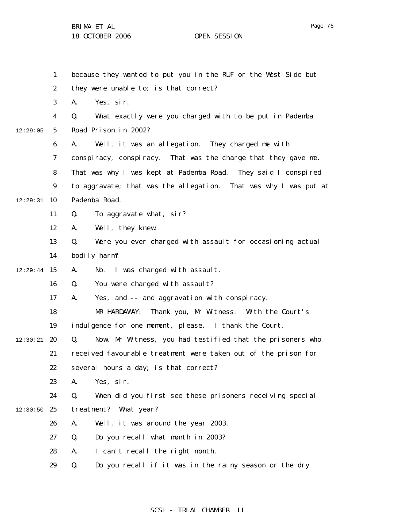1 2 3 4 5 6 7 8 9  $12:29:31$  10 11 12 13 14  $12:29:44$  15 16 17 18 19  $12:30:21$  20 21 22 23 24  $12:30:50$  25 26 27 28 29 12:29:05 because they wanted to put you in the RUF or the West Side but they were unable to; is that correct? A. Yes, sir. Q. What exactly were you charged with to be put in Pademba Road Prison in 2002? A. Well, it was an allegation. They charged me with conspiracy, conspiracy. That was the charge that they gave me. That was why I was kept at Pademba Road. They said I conspired to aggravate; that was the allegation. That was why I was put at Pademba Road. Q. To aggravate what, sir? A. Well, they knew. Q. Were you ever charged with assault for occasioning actual bodily harm? A. No. I was charged with assault. Q. You were charged with assault? A. Yes, and -- and aggravation with conspiracy. MR HARDAWAY: Thank you, Mr Witness. With the Court's indulgence for one moment, please. I thank the Court. Q. Now, Mr Witness, you had testified that the prisoners who received favourable treatment were taken out of the prison for several hours a day; is that correct? A. Yes, sir. Q. When did you first see these prisoners receiving special treatment? What year? A. Well, it was around the year 2003. Q. Do you recall what month in 2003? A. I can't recall the right month. Q. Do you recall if it was in the rainy season or the dry

#### SCSL - TRIAL CHAMBER II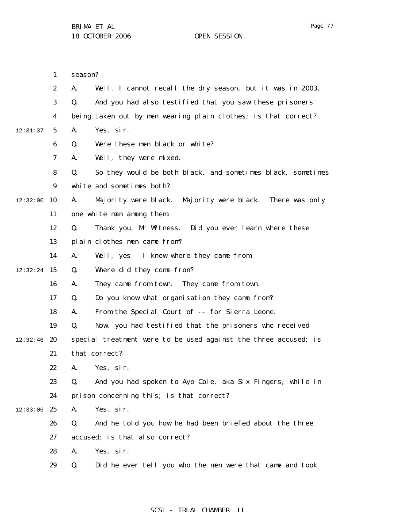1

season?

|          | $\boldsymbol{2}$ | Well, I cannot recall the dry season, but it was in 2003.<br>A.   |
|----------|------------------|-------------------------------------------------------------------|
|          | 3                | Q.<br>And you had also testified that you saw these prisoners     |
|          | 4                | being taken out by men wearing plain clothes; is that correct?    |
| 12:31:37 | $5\phantom{.0}$  | Yes, sir.<br>A.                                                   |
|          | 6                | Were these men black or white?<br>Q.                              |
|          | 7                | Well, they were mixed.<br>A.                                      |
|          | 8                | So they would be both black, and sometimes black, sometimes<br>Q. |
|          | 9                | white and sometimes both?                                         |
| 12:32:00 | 10               | Majority were black.<br>Majority were black. There was only<br>A. |
|          | 11               | one white man among them.                                         |
|          | 12               | Q.<br>Thank you, Mr Witness. Did you ever learn where these       |
|          | 13               | plain clothes men came from?                                      |
|          | 14               | I knew where they came from<br>A.<br>Well, yes.                   |
| 12:32:24 | -15              | Where did they come from?<br>Q.                                   |
|          | 16               | They came from town. They came from town.<br>A.                   |
|          | 17               | Do you know what organisation they came from?<br>Q.               |
|          | 18               | From the Special Court of -- for Sierra Leone.<br>A.              |
|          | 19               | Q.<br>Now, you had testified that the prisoners who received      |
| 12:32:46 | 20               | special treatment were to be used against the three accused; is   |
|          | 21               | that correct?                                                     |
|          | 22               | Yes, sir.<br>A.                                                   |
|          | 23               | And you had spoken to Ayo Cole, aka Six Fingers, while in<br>Q.   |
|          | 24               | prison concerning this; is that correct?                          |
| 12:33:06 | 25               | Yes, sir.<br>A.                                                   |
|          | 26               | Q.<br>And he told you how he had been briefed about the three     |
|          | 27               | accused; is that also correct?                                    |
|          | 28               | Yes, sir.<br>A.                                                   |
|          | 29               | Q.<br>Did he ever tell you who the men were that came and took    |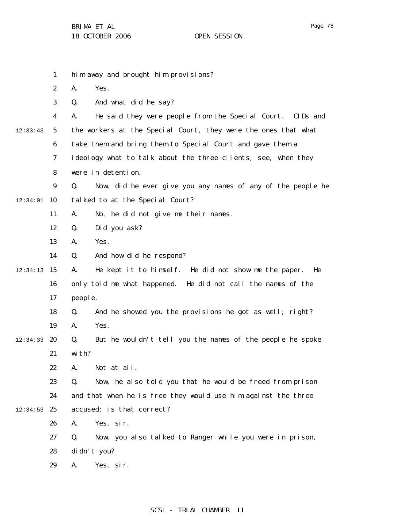|          | $\mathbf{1}$     | him away and brought him provisions?                              |
|----------|------------------|-------------------------------------------------------------------|
|          | $\boldsymbol{2}$ | Yes.<br>A.                                                        |
|          | 3                | And what did he say?<br>Q.                                        |
|          | 4                | He said they were people from the Special Court. CIDs and<br>A.   |
| 12:33:43 | 5                | the workers at the Special Court, they were the ones that what    |
|          | 6                | take them and bring them to Special Court and gave them a         |
|          | 7                | ideology what to talk about the three clients, see, when they     |
|          | 8                | were in detention.                                                |
|          | $\boldsymbol{9}$ | Now, did he ever give you any names of any of the people he<br>Q. |
| 12:34:01 | 10               | talked to at the Special Court?                                   |
|          | 11               | No, he did not give me their names.<br>A.                         |
|          | 12               | Did you ask?<br>Q.                                                |
|          | 13               | Yes.<br>A.                                                        |
|          | 14               | And how did he respond?<br>Q.                                     |
| 12:34:13 | 15               | He kept it to himself. He did not show me the paper.<br>A.<br>He  |
|          | 16               | only told me what happened. He did not call the names of the      |
|          | 17               | people.                                                           |
|          | 18               | And he showed you the provisions he got as well; right?<br>Q.     |
|          | 19               | Yes.<br>A.                                                        |
| 12:34:33 | 20               | But he wouldn't tell you the names of the people he spoke<br>Q.   |
|          | 21               | with?                                                             |
|          | 22               | A. Not at all.                                                    |
|          | 23               | Now, he also told you that he would be freed from prison<br>Q.    |
|          | 24               | and that when he is free they would use him against the three     |
| 12:34:53 | 25               | accused; is that correct?                                         |
|          | 26               | Yes, sir.<br>A.                                                   |
|          | 27               | Now, you also talked to Ranger while you were in prison,<br>Q.    |
|          | 28               | di dn't you?                                                      |
|          | 29               | A.<br>Yes, sir.                                                   |
|          |                  |                                                                   |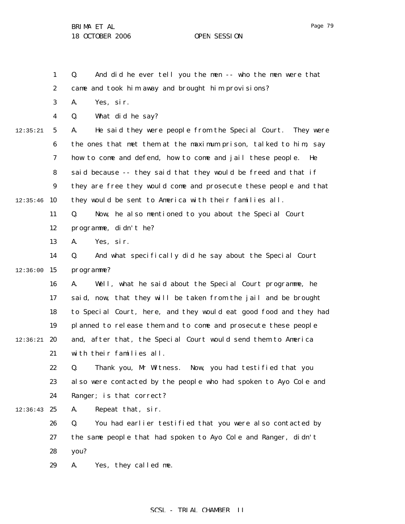1

Q. And did he ever tell you the men -- who the men were that

Page 79

2 3 4 5 6 7 8 9  $12:35:46$  10 11 12 13 14  $12:36:00$  15 16 17 18 19  $12:36:21$  20 21 22 23 24  $12:36:43$  25 12:35:21 came and took him away and brought him provisions? A. Yes, sir. Q. What did he say? A. He said they were people from the Special Court. They were the ones that met them at the maximum prison, talked to him, say how to come and defend, how to come and jail these people. He said because -- they said that they would be freed and that if they are free they would come and prosecute these people and that they would be sent to America with their families all. Q. Now, he also mentioned to you about the Special Court programme, didn't he? A. Yes, sir. Q. And what specifically did he say about the Special Court programme? A. Well, what he said about the Special Court programme, he said, now, that they will be taken from the jail and be brought to Special Court, here, and they would eat good food and they had planned to release them and to come and prosecute these people and, after that, the Special Court would send them to America with their families all. Q. Thank you, Mr Witness. Now, you had testified that you also were contacted by the people who had spoken to Ayo Cole and Ranger; is that correct? A. Repeat that, sir.

26 27 28 Q. You had earlier testified that you were also contacted by the same people that had spoken to Ayo Cole and Ranger, didn't you?

29 A. Yes, they called me.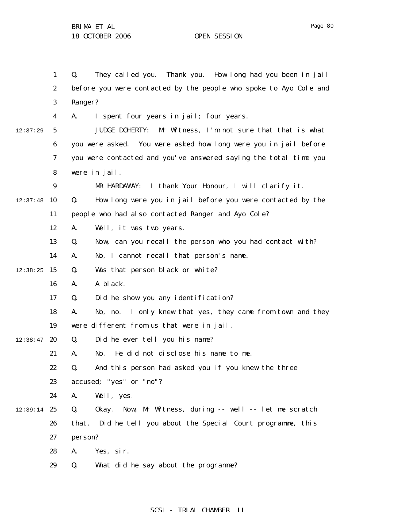|               | $\mathbf{1}$     | They called you. Thank you. How long had you been in jail<br>Q.     |
|---------------|------------------|---------------------------------------------------------------------|
|               | $\boldsymbol{2}$ | before you were contacted by the people who spoke to Ayo Cole and   |
|               | $\bf{3}$         | Ranger?                                                             |
|               | 4                | I spent four years in jail; four years.<br>A.                       |
| 12:37:29      | 5                | <b>JUDGE DOHERTY:</b><br>Mr Witness, I'm not sure that that is what |
|               | $\boldsymbol{6}$ | you were asked. You were asked how long were you in jail before     |
|               | 7                | you were contacted and you've answered saying the total time you    |
|               | 8                | were in jail.                                                       |
|               | $\boldsymbol{9}$ | I thank Your Honour, I will clarify it.<br>MR HARDAWAY:             |
| 12:37:48      | 10               | How long were you in jail before you were contacted by the<br>Q.    |
|               | 11               | people who had also contacted Ranger and Ayo Cole?                  |
|               | 12               | Well, it was two years.<br>A.                                       |
|               | 13               | Now, can you recall the person who you had contact with?<br>Q.      |
|               | 14               | No, I cannot recall that person's name.<br>A.                       |
| 12:38:25      | 15               | Was that person black or white?<br>Q.                               |
|               | 16               | A black.<br>A.                                                      |
|               | 17               | Did he show you any identification?<br>Q.                           |
|               | 18               | I only knew that yes, they came from town and they<br>A.<br>No, no. |
|               | 19               | were different from us that were in jail.                           |
| 12:38:47      | 20               | Did he ever tell you his name?<br>Q.                                |
|               | 21               | He did not disclose his name to me.<br>A.<br>No.                    |
|               | 22               | And this person had asked you if you knew the three<br>Q.           |
|               | 23               | accused; "yes" or "no"?                                             |
|               | 24               | Well, yes.<br>A.                                                    |
| $12:39:14$ 25 |                  | Okay. Now, Mr Witness, during -- well -- let me scratch<br>Q.       |
|               | 26               | Did he tell you about the Special Court programme, this<br>that.    |
|               | 27               | person?                                                             |
|               | 28               | A.<br>Yes, sir.                                                     |
|               | 29               | What did he say about the programme?<br>Q.                          |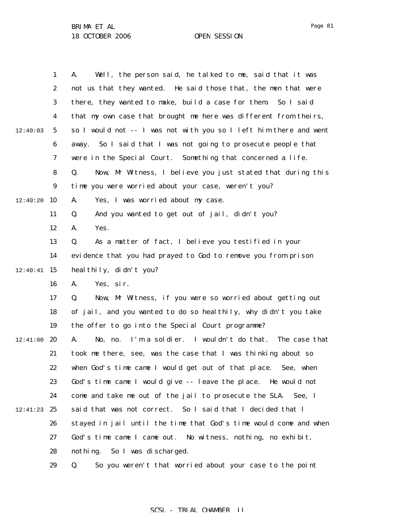| Page<br>o |  |
|-----------|--|
|-----------|--|

|          | $\mathbf{1}$     | Well, the person said, he talked to me, said that it was<br>A.       |
|----------|------------------|----------------------------------------------------------------------|
|          | $\boldsymbol{2}$ | not us that they wanted. He said those that, the men that were       |
|          | 3                | there, they wanted to make, build a case for them. So I said         |
|          | $\boldsymbol{4}$ | that my own case that brought me here was different from theirs,     |
| 12:40:03 | $5\phantom{.0}$  | so I would not -- I was not with you so I left him there and went    |
|          | $\boldsymbol{6}$ | away. So I said that I was not going to prosecute people that        |
|          | 7                | were in the Special Court. Something that concerned a life.          |
|          | 8                | Now, Mr Witness, I believe you just stated that during this<br>Q.    |
|          | $\boldsymbol{9}$ | time you were worried about your case, weren't you?                  |
| 12:40:20 | 10               | Yes, I was worried about my case.<br>A.                              |
|          | 11               | And you wanted to get out of jail, didn't you?<br>Q.                 |
|          | 12               | Yes.<br>A.                                                           |
|          | 13               | As a matter of fact, I believe you testified in your<br>Q.           |
|          | 14               | evidence that you had prayed to God to remove you from prison        |
| 12:40:41 | 15               | heal thily, didn't you?                                              |
|          | 16               | Yes, sir.<br>A.                                                      |
|          | 17               | Now, Mr Witness, if you were so worried about getting out<br>Q.      |
|          | 18               | of jail, and you wanted to do so healthily, why didn't you take      |
|          | 19               | the offer to go into the Special Court programme?                    |
| 12:41:00 | 20               | I'm a soldier. I wouldn't do that.<br>The case that<br>No, no.<br>A. |
|          | 21               | took me there, see, was the case that I was thinking about so        |
|          | 22               | when God's time came I would get out of that place. See, when        |
|          | 23               | God's time came I would give -- leave the place. He would not        |
|          | 24               | come and take me out of the jail to prosecute the SLA. See, I        |
| 12:41:23 | 25               | said that was not correct. So I said that I decided that I           |
|          | 26               | stayed in jail until the time that God's time would come and when    |
|          | 27               | God's time came I came out. No witness, nothing, no exhibit,         |
|          | 28               | nothing. So I was discharged.                                        |
|          | 29               | So you weren't that worried about your case to the point<br>Q.       |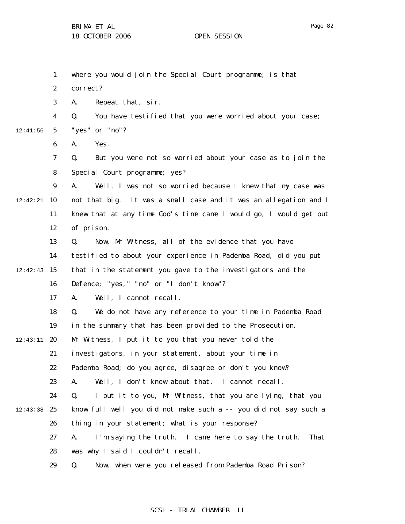|          | $\mathbf{1}$     | where you would join the Special Court programme; is that         |
|----------|------------------|-------------------------------------------------------------------|
|          | $\boldsymbol{2}$ | correct?                                                          |
|          | 3                | Repeat that, sir.<br>A.                                           |
|          | 4                | You have testified that you were worried about your case;<br>Q.   |
| 12:41:56 | $\sqrt{5}$       | "yes" or "no"?                                                    |
|          | $\boldsymbol{6}$ | Yes.<br>A.                                                        |
|          | 7                | Q.<br>But you were not so worried about your case as to join the  |
|          | 8                | Special Court programme; yes?                                     |
|          | 9                | Well, I was not so worried because I knew that my case was<br>A.  |
| 12:42:21 | 10               | not that big. It was a small case and it was an allegation and I  |
|          | 11               | knew that at any time God's time came I would go, I would get out |
|          | 12               | of prison.                                                        |
|          | 13               | Now, Mr Witness, all of the evidence that you have<br>Q.          |
|          | 14               | testified to about your experience in Pademba Road, did you put   |
| 12:42:43 | 15               | that in the statement you gave to the investigators and the       |
|          | 16               | Defence; "yes, " "no" or "I don't know"?                          |
|          | 17               | Well, I cannot recall.<br>A.                                      |
|          | 18               | We do not have any reference to your time in Pademba Road<br>Q.   |
|          | 19               | in the summary that has been provided to the Prosecution.         |
| 12:43:11 | 20               | Mr Witness, I put it to you that you never told the               |
|          | 21               | investigators, in your statement, about your time in              |
|          | 22               | Pademba Road; do you agree, disagree or don't you know?           |
|          | 23               | Well, I don't know about that. I cannot recall.<br>A.             |
|          | 24               | Q.<br>I put it to you, Mr Witness, that you are lying, that you   |
| 12:43:38 | 25               | know full well you did not make such a -- you did not say such a  |
|          | 26               | thing in your statement; what is your response?                   |
|          | 27               | I'm saying the truth. I came here to say the truth.<br>A.<br>That |
|          | 28               | was why I said I couldn't recall.                                 |
|          | 29               | Now, when were you released from Pademba Road Prison?<br>Q.       |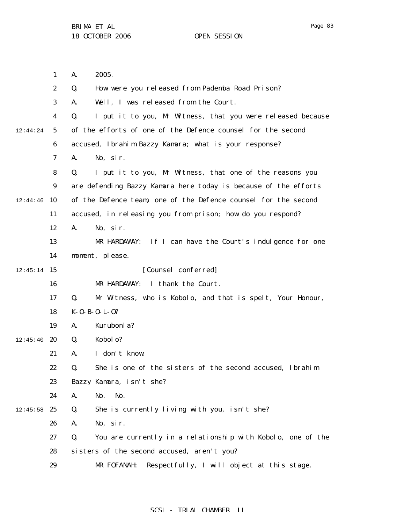|          | $\mathbf{1}$     | 2005.<br>A.                                                       |
|----------|------------------|-------------------------------------------------------------------|
|          | $\boldsymbol{2}$ | How were you released from Pademba Road Prison?<br>Q.             |
|          | 3                | Well, I was released from the Court.<br>A.                        |
|          | 4                | I put it to you, Mr Witness, that you were released because<br>Q. |
| 12:44:24 | $\sqrt{5}$       | of the efforts of one of the Defence counsel for the second       |
|          | 6                | accused, Ibrahim Bazzy Kamara; what is your response?             |
|          | 7                | No, sir.<br>A.                                                    |
|          | 8                | I put it to you, Mr Witness, that one of the reasons you<br>Q.    |
|          | $\boldsymbol{9}$ | are defending Bazzy Kamara here today is because of the efforts   |
| 12:44:46 | 10               | of the Defence team, one of the Defence counsel for the second    |
|          | 11               | accused, in releasing you from prison; how do you respond?        |
|          | 12               | No, sir.<br>A.                                                    |
|          | 13               | If I can have the Court's indulgence for one<br>MR HARDAWAY:      |
|          | 14               | moment, please.                                                   |
| 12:45:14 | 15               | [Counsel conferred]                                               |
|          | 16               | I thank the Court.<br>MR HARDAWAY:                                |
|          | 17               | Mr Witness, who is Kobolo, and that is spelt, Your Honour,<br>Q.  |
|          | 18               | $K - 0 - B - 0 - L - 0$ ?                                         |
|          | 19               | Kurubonla?<br>A.                                                  |
| 12:45:40 | 20               | Kobol o?<br>Q.                                                    |
|          | 21               | I don't know.<br>A.                                               |
|          | 22               | She is one of the sisters of the second accused, Ibrahim<br>Q.    |
|          | 23               | Bazzy Kamara, isn't she?                                          |
|          | 24               | No.<br>No.<br>A.                                                  |
| 12:45:58 | 25               | She is currently living with you, isn't she?<br>Q.                |
|          | 26               | No, sir.<br>A.                                                    |
|          | 27               | You are currently in a relationship with Kobolo, one of the<br>Q. |
|          | 28               | sisters of the second accused, aren't you?                        |
|          | 29               | Respectfully, I will object at this stage.<br>MR FOFANAH:         |
|          |                  |                                                                   |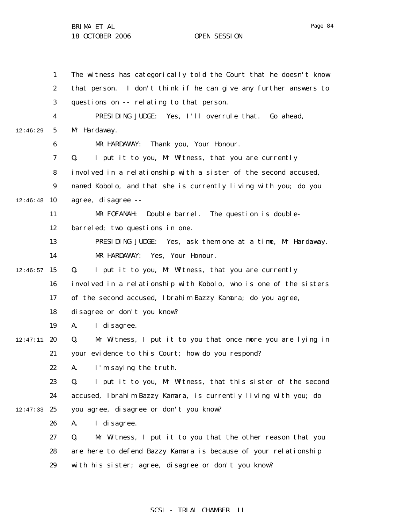1 2 3 4 5 6 7 8 9  $12:46:48$  10 11 12 13 14  $12:46:57$  15 16 17 18 19  $12:47:11$  20 21 22 23 24  $12:47:33$  25 26 27 28 29 12:46:29 The witness has categorically told the Court that he doesn't know that person. I don't think if he can give any further answers to questions on -- relating to that person. PRESIDING JUDGE: Yes, I'll overrule that. Go ahead, Mr Hardaway. MR HARDAWAY: Thank you, Your Honour. Q. I put it to you, Mr Witness, that you are currently involved in a relationship with a sister of the second accused, named Kobolo, and that she is currently living with you; do you agree, disagree -- MR FOFANAH: Double barrel. The question is doublebarreled; two questions in one. PRESIDING JUDGE: Yes, ask them one at a time, Mr Hardaway. MR HARDAWAY: Yes, Your Honour. Q. I put it to you, Mr Witness, that you are currently involved in a relationship with Kobolo, who is one of the sisters of the second accused, Ibrahim Bazzy Kamara; do you agree, disagree or don't you know? A. I disagree. Q. Mr Witness, I put it to you that once more you are lying in your evidence to this Court; how do you respond? A. I'm saying the truth. Q. I put it to you, Mr Witness, that this sister of the second accused, Ibrahim Bazzy Kamara, is currently living with you; do you agree, disagree or don't you know? A. I disagree. Q. Mr Witness, I put it to you that the other reason that you are here to defend Bazzy Kamara is because of your relationship with his sister; agree, disagree or don't you know?

#### SCSL - TRIAL CHAMBER II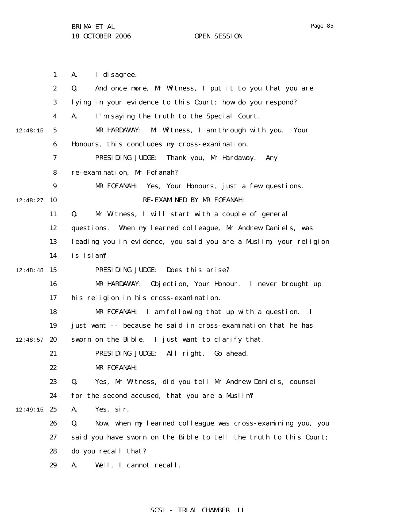1 2 3 4 5 6 7 8 9  $12:48:27$  10 11 12 13 14  $12:48:48$  15 16 17 18 19  $12:48:57$  20 21 22 23 24  $12:49:15$  25 26 27 28 29 12:48:15 A. I disagree. Q. And once more, Mr Witness, I put it to you that you are lying in your evidence to this Court; how do you respond? A. I'm saying the truth to the Special Court. MR HARDAWAY: Mr Witness, I am through with you. Your Honours, this concludes my cross-examination. PRESIDING JUDGE: Thank you, Mr Hardaway. Any re-examination, Mr Fofanah? MR FOFANAH: Yes, Your Honours, just a few questions. RE-EXAMINED BY MR FOFANAH: Q. Mr Witness, I will start with a couple of general questions. When my learned colleague, Mr Andrew Daniels, was leading you in evidence, you said you are a Muslim; your religion is Islam? PRESIDING JUDGE: Does this arise? MR HARDAWAY: Objection, Your Honour. I never brought up his religion in his cross-examination. MR FOFANAH: I am following that up with a question. I just want -- because he said in cross-examination that he has sworn on the Bible. I just want to clarify that. PRESIDING JUDGE: All right. Go ahead. MR FOFANAH: Q. Yes, Mr Witness, did you tell Mr Andrew Daniels, counsel for the second accused, that you are a Muslim? A. Yes, sir. Q. Now, when my learned colleague was cross-examining you, you said you have sworn on the Bible to tell the truth to this Court; do you recall that? A. Well, I cannot recall.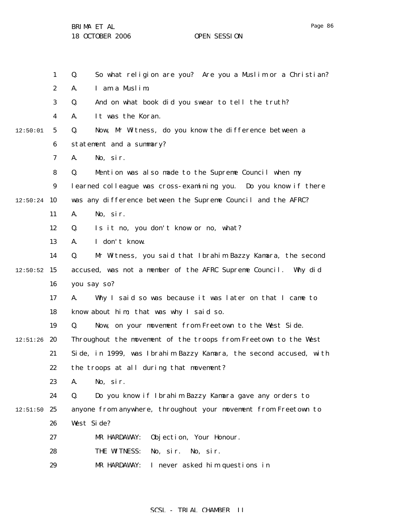1 2 3 4 5 6 7 8 9  $12:50:24$  10 11 12 13 14  $12:50:52$  15 16 17 18 19  $12:51:26$  20 21 22 23 24  $12:51:50$  25 26 27 28 29 12:50:01 Q. So what religion are you? Are you a Muslim or a Christian? A. I am a Muslim. Q. And on what book did you swear to tell the truth? A. It was the Koran. Q. Now, Mr Witness, do you know the difference between a statement and a summary? A. No, sir. Q. Mention was also made to the Supreme Council when my learned colleague was cross-examining you. Do you know if there was any difference between the Supreme Council and the AFRC? A. No, sir. Q. Is it no, you don't know or no, what? A. I don't know. Q. Mr Witness, you said that Ibrahim Bazzy Kamara, the second accused, was not a member of the AFRC Supreme Council. Why did you say so? A. Why I said so was because it was later on that I came to know about him; that was why I said so. Q. Now, on your movement from Freetown to the West Side. Throughout the movement of the troops from Freetown to the West Side, in 1999, was Ibrahim Bazzy Kamara, the second accused, with the troops at all during that movement? A. No, sir. Q. Do you know if Ibrahim Bazzy Kamara gave any orders to anyone from anywhere, throughout your movement from Freetown to West Side? MR HARDAWAY: Objection, Your Honour. THE WITNESS: No, sir. No, sir. MR HARDAWAY: I never asked him questions in

#### SCSL - TRIAL CHAMBER II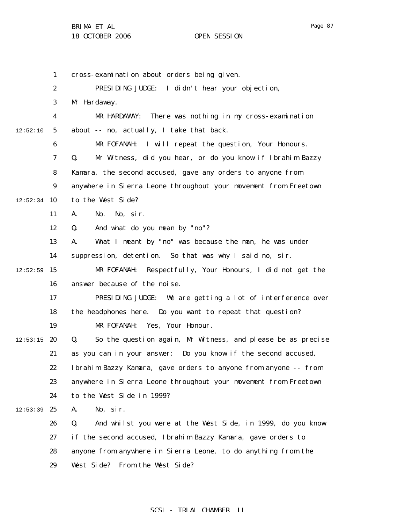1 2 3 4 5 6 7 8 9  $12:52:34$  10 11 12 13 14  $12:52:59$  15 16 17 18 19  $12:53:15$  20 21 22 23 24  $12:53:39$  25 26 27 28 29 12:52:10 cross-examination about orders being given. PRESIDING JUDGE: I didn't hear your objection, Mr Hardaway. MR HARDAWAY: There was nothing in my cross-examination about -- no, actually, I take that back. MR FOFANAH: I will repeat the question, Your Honours. Q. Mr Witness, did you hear, or do you know if Ibrahim Bazzy Kamara, the second accused, gave any orders to anyone from anywhere in Sierra Leone throughout your movement from Freetown to the West Side? A. No. No, sir. Q. And what do you mean by "no"? A. What I meant by "no" was because the man, he was under suppression, detention. So that was why I said no, sir. MR FOFANAH: Respectfully, Your Honours, I did not get the answer because of the noise. PRESIDING JUDGE: We are getting a lot of interference over the headphones here. Do you want to repeat that question? MR FOFANAH: Yes, Your Honour. Q. So the question again, Mr Witness, and please be as precise as you can in your answer: Do you know if the second accused, Ibrahim Bazzy Kamara, gave orders to anyone from anyone -- from anywhere in Sierra Leone throughout your movement from Freetown to the West Side in 1999? A. No, sir. Q. And whilst you were at the West Side, in 1999, do you know if the second accused, Ibrahim Bazzy Kamara, gave orders to anyone from anywhere in Sierra Leone, to do anything from the West Side? From the West Side?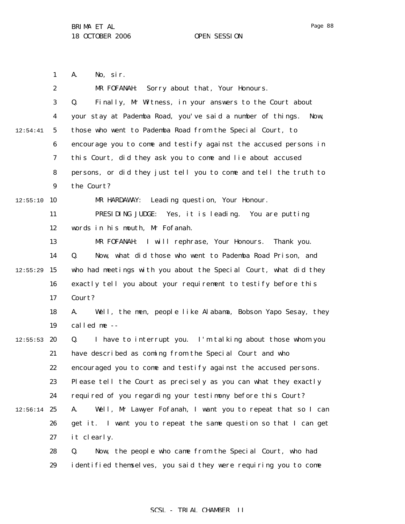1 A. No, sir.

|          | $\boldsymbol{2}$ | MR FOFANAH: Sorry about that, Your Honours.                        |
|----------|------------------|--------------------------------------------------------------------|
|          | $\boldsymbol{3}$ | Finally, Mr Witness, in your answers to the Court about<br>Q.      |
|          | 4                | your stay at Pademba Road, you've said a number of things.<br>Now, |
| 12:54:41 | $\mathbf{5}$     | those who went to Pademba Road from the Special Court, to          |
|          | $\boldsymbol{6}$ | encourage you to come and testify against the accused persons in   |
|          | 7                | this Court, did they ask you to come and lie about accused         |
|          | 8                | persons, or did they just tell you to come and tell the truth to   |
|          | $\boldsymbol{9}$ | the Court?                                                         |
| 12:55:10 | 10               | MR HARDAWAY:<br>Leading question, Your Honour.                     |
|          | 11               | PRESIDING JUDGE:<br>Yes, it is leading. You are putting            |
|          | 12               | words in his mouth, Mr Fofanah.                                    |
|          | 13               | MR FOFANAH: I will rephrase, Your Honours. Thank you.              |
|          | 14               | Now, what did those who went to Pademba Road Prison, and<br>Q.     |
| 12:55:29 | 15               | who had meetings with you about the Special Court, what did they   |
|          | 16               | exactly tell you about your requirement to testify before this     |
|          | 17               | Court?                                                             |
|          | 18               | Well, the men, people like Alabama, Bobson Yapo Sesay, they<br>A.  |
|          | 19               | called me --                                                       |
| 12:55:53 | 20               | I have to interrupt you. I'm talking about those whom you<br>Q.    |
|          | 21               | have described as coming from the Special Court and who            |
|          | 22               | encouraged you to come and testify against the accused persons.    |
|          | 23               | Please tell the Court as precisely as you can what they exactly    |
|          | 24               | required of you regarding your testimony before this Court?        |
| 12:56:14 | 25               | Well, Mr Lawyer Fofanah, I want you to repeat that so I can<br>A.  |
|          | 26               | get it. I want you to repeat the same question so that I can get   |
|          | 27               | it clearly.                                                        |
|          | 28               | Q.<br>Now, the people who came from the Special Court, who had     |
|          | 29               | identified themselves, you said they were requiring you to come    |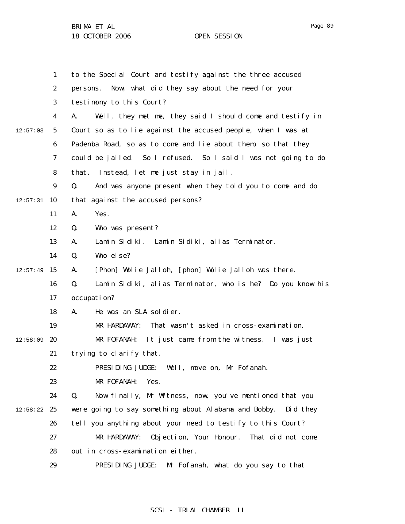1 2 3 4 5 6 7 8 9  $12:57:31$  10 11 12 13 14  $12:57:49$  15 16 17 18 19  $12:58:09$  20 21 22 23 24  $12:58:22$  25 26 27 28 29 12:57:03 to the Special Court and testify against the three accused persons. Now, what did they say about the need for your testimony to this Court? A. Well, they met me, they said I should come and testify in Court so as to lie against the accused people, when I was at Pademba Road, so as to come and lie about them, so that they could be jailed. So I refused. So I said I was not going to do that. Instead, let me just stay in jail. Q. And was anyone present when they told you to come and do that against the accused persons? A. Yes. Q. Who was present? A. Lamin Sidiki. Lamin Sidiki, alias Terminator. Q. Who else? A. [Phon] Wolie Jalloh, [phon] Wolie Jalloh was there. Q. Lamin Sidiki, alias Terminator, who is he? Do you know his occupation? A. He was an SLA soldier. MR HARDAWAY: That wasn't asked in cross-examination. MR FOFANAH: It just came from the witness. I was just trying to clarify that. PRESIDING JUDGE: Well, move on, Mr Fofanah. MR FOFANAH: Yes. Q. Now finally, Mr Witness, now, you've mentioned that you were going to say something about Alabama and Bobby. Did they tell you anything about your need to testify to this Court? MR HARDAWAY: Objection, Your Honour. That did not come out in cross-examination either. PRESIDING JUDGE: Mr Fofanah, what do you say to that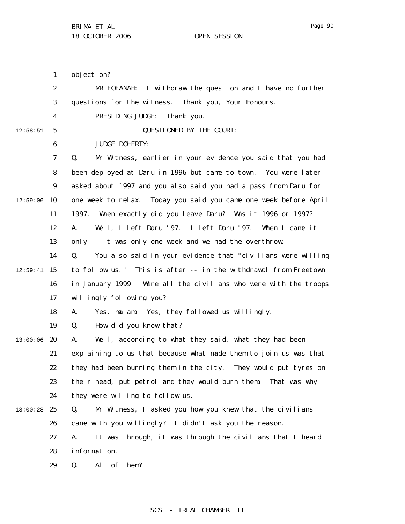1 2 3 4 5 6 7 8 9  $12:59:06$  10 11 12 13 14  $12:59:41$  15 16 17 18 19  $13:00:06$  20 21 22 23 24 13:00:28 25 26 27 28 29 12:58:51 objection? MR FOFANAH: I withdraw the question and I have no further questions for the witness. Thank you, Your Honours. PRESIDING JUDGE: Thank you. QUESTIONED BY THE COURT: JUDGE DOHERTY: Q. Mr Witness, earlier in your evidence you said that you had been deployed at Daru in 1996 but came to town. You were later asked about 1997 and you also said you had a pass from Daru for one week to relax. Today you said you came one week before April 1997. When exactly did you leave Daru? Was it 1996 or 1997? A. Well, I left Daru '97. I left Daru '97. When I came it only -- it was only one week and we had the overthrow. Q. You also said in your evidence that "civilians were willing to follow us." This is after -- in the withdrawal from Freetown in January 1999. Were all the civilians who were with the troops willingly following you? A. Yes, ma'am. Yes, they followed us willingly. Q. How did you know that? A. Well, according to what they said, what they had been explaining to us that because what made them to join us was that they had been burning them in the city. They would put tyres on their head, put petrol and they would burn them. That was why they were willing to follow us. Q. Mr Witness, I asked you how you knew that the civilians came with you willingly? I didn't ask you the reason. A. It was through, it was through the civilians that I heard information. Q. All of them?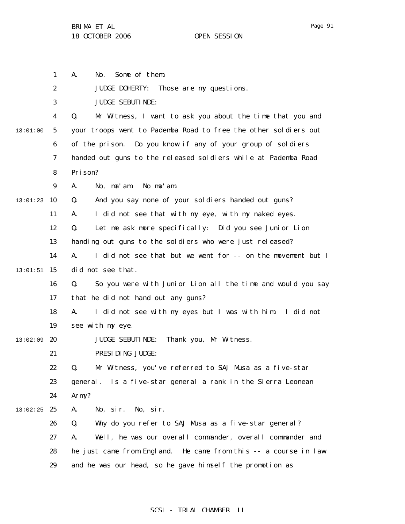|          | $\mathbf{1}$     | Some of them.<br>A.<br>No.                                        |
|----------|------------------|-------------------------------------------------------------------|
|          | $\boldsymbol{2}$ | <b>JUDGE DOHERTY:</b><br>Those are my questions.                  |
|          | 3                | <b>JUDGE SEBUTINDE:</b>                                           |
|          | $\boldsymbol{4}$ | Q.<br>Mr Witness, I want to ask you about the time that you and   |
| 13:01:00 | $\sqrt{5}$       | your troops went to Pademba Road to free the other soldiers out   |
|          | 6                | of the prison. Do you know if any of your group of soldiers       |
|          | 7                | handed out guns to the released soldiers while at Pademba Road    |
|          | 8                | Prison?                                                           |
|          | $\boldsymbol{9}$ | No ma' am.<br>A.<br>No, ma'am.                                    |
| 13:01:23 | 10               | And you say none of your soldiers handed out guns?<br>Q.          |
|          | 11               | I did not see that with my eye, with my naked eyes.<br>A.         |
|          | 12               | Let me ask more specifically: Did you see Junior Lion<br>Q.       |
|          | 13               | handing out guns to the soldiers who were just released?          |
|          | 14               | I did not see that but we went for -- on the movement but I<br>A. |
| 13:01:51 | 15               | did not see that.                                                 |
|          | 16               | So you were with Junior Lion all the time and would you say<br>Q. |
|          | 17               | that he did not hand out any guns?                                |
|          | 18               | I did not see with my eyes but I was with him. I did not<br>A.    |
|          | 19               | see with my eye.                                                  |
| 13:02:09 | 20               | Thank you, Mr Witness.<br><b>JUDGE SEBUTINDE:</b>                 |
|          | 21               | PRESIDING JUDGE:                                                  |
|          | 22               | Mr Witness, you've referred to SAJ Musa as a five-star<br>O.      |
|          | 23               | general. Is a five-star general a rank in the Sierra Leonean      |
|          | 24               | Army?                                                             |
| 13:02:25 | 25               | No, sir.<br>A.<br>No, sir.                                        |
|          | 26               | Why do you refer to SAJ Musa as a five-star general?<br>Q.        |
|          | 27               | Well, he was our overall commander, overall commander and<br>A.   |
|          | 28               | he just came from England. He came from this -- a course in law   |
|          | 29               | and he was our head, so he gave himself the promotion as          |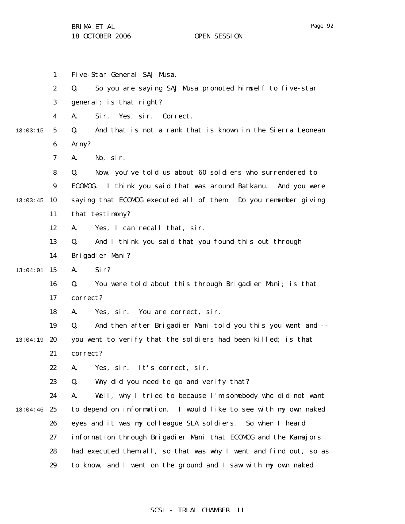Page 92

|          | 1                | Five-Star General SAJ Musa.                                       |
|----------|------------------|-------------------------------------------------------------------|
|          | $\boldsymbol{2}$ | So you are saying SAJ Musa promoted himself to five-star<br>Q.    |
|          | 3                | general; is that right?                                           |
|          | 4                | Sir. Yes, sir. Correct.<br>A.                                     |
| 13:03:15 | $5\phantom{.0}$  | And that is not a rank that is known in the Sierra Leonean<br>Q.  |
|          | 6                | Army?                                                             |
|          | 7                | No, sir.<br>A.                                                    |
|          | 8                | Now, you've told us about 60 soldiers who surrendered to<br>Q.    |
|          | 9                | ECOMOG. I think you said that was around Batkanu. And you were    |
| 13:03:45 | <b>10</b>        | saying that ECOMDG executed all of them Do you remember giving    |
|          | 11               | that testimony?                                                   |
|          | 12               | Yes, I can recall that, sir.<br>A.                                |
|          | 13               | And I think you said that you found this out through<br>Q.        |
|          | 14               | Brigadier Mani?                                                   |
| 13:04:01 | 15               | A.<br>Si r?                                                       |
|          | 16               | Q.<br>You were told about this through Brigadier Mani; is that    |
|          | 17               | correct?                                                          |
|          | 18               | Yes, sir. You are correct, sir.<br>A.                             |
|          | 19               | Q.<br>And then after Brigadier Mani told you this you went and -- |
| 13:04:19 | 20               | you went to verify that the soldiers had been killed; is that     |
|          | 21               | correct?                                                          |
|          | 22               | A.<br>Yes, sir. It's correct, sir.                                |
|          | 23               | Why did you need to go and verify that?<br>Q.                     |
|          | 24               | Well, why I tried to because I'm somebody who did not want<br>A.  |
| 13:04:46 | 25               | to depend on information. I would like to see with my own naked   |
|          | 26               | eyes and it was my colleague SLA soldiers. So when I heard        |
|          | 27               | information through Brigadier Mani that ECOMOG and the Kamajors   |
|          | 28               | had executed them all, so that was why I went and find out, so as |
|          | 29               | to know, and I went on the ground and I saw with my own naked     |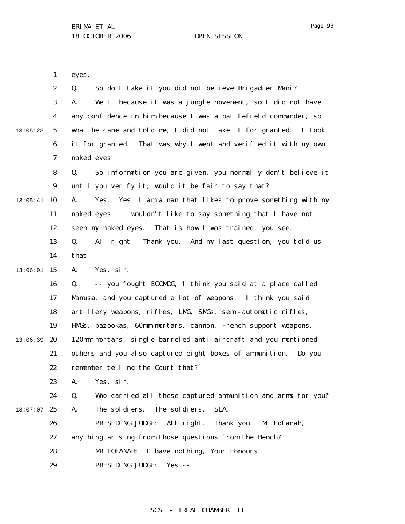1 eyes.

|          | $\boldsymbol{2}$ | Q.<br>So do I take it you did not believe Brigadier Mani?           |
|----------|------------------|---------------------------------------------------------------------|
|          | 3                | Well, because it was a jungle movement, so I did not have<br>A.     |
|          | $\boldsymbol{4}$ | any confidence in him because I was a battlefield commander, so     |
| 13:05:23 | $\mathbf{5}$     | what he came and told me, I did not take it for granted. I took     |
|          | 6                | it for granted. That was why I went and verified it with my own     |
|          | 7                | naked eyes.                                                         |
|          | 8                | So information you are given, you normally don't believe it<br>Q.   |
|          | $\boldsymbol{9}$ | until you verify it; would it be fair to say that?                  |
| 13:05:41 | 10               | Yes, I am a man that likes to prove something with my<br>A.<br>Yes. |
|          | 11               | naked eyes. I wouldn't like to say something that I have not        |
|          | 12               | seen my naked eyes. That is how I was trained, you see.             |
|          | 13               | All right.<br>Thank you. And my last question, you told us<br>Q.    |
|          | 14               | that $-$                                                            |
| 13:06:01 | 15               | A.<br>Yes, sir.                                                     |
|          | 16               | -- you fought ECOMDG, I think you said at a place called<br>Q.      |
|          | 17               | Mamusa, and you captured a lot of weapons. I think you said         |
|          | 18               | artillery weapons, rifles, LMG, SMGs, semi-automatic rifles,        |
|          | 19               | HMGs, bazookas, 60mm mortars, cannon, French support weapons,       |
| 13:06:39 | 20               | 120mm mortars, single-barreled anti-aircraft and you mentioned      |
|          | 21               | others and you also captured eight boxes of ammunition.<br>Do you   |
|          | 22               | remember telling the Court that?                                    |
|          | 23               | Yes, sir.<br>A.                                                     |
|          | 24               | Who carried all these captured ammunition and arms for you?<br>Q.   |
| 13:07:07 | 25               | The soldiers.<br>SLA.<br>The sol di ers.<br>A.                      |
|          | 26               | PRESIDING JUDGE:<br>All right.<br>Thank you.<br>Mr Fofanah,         |
|          | 27               | anything arising from those questions from the Bench?               |
|          | 28               | I have nothing, Your Honours.<br>MR FOFANAH:                        |
|          | 29               | PRESIDING JUDGE:<br>Yes $-$                                         |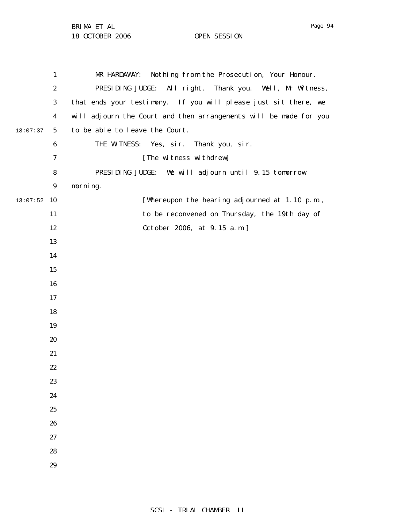$13:07:52$  10 13:07:37 MR HARDAWAY: Nothing from the Prosecution, Your Honour. PRESIDING JUDGE: All right. Thank you. Well, Mr Witness, that ends your testimony. If you will please just sit there, we will adjourn the Court and then arrangements will be made for you to be able to leave the Court. THE WITNESS: Yes, sir. Thank you, sir. [The witness withdrew] PRESIDING JUDGE: We will adjourn until 9.15 tomorrow morning. [Whereupon the hearing adjourned at 1.10 p.m., to be reconvened on Thursday, the 19th day of October 2006, at 9.15 a.m.]